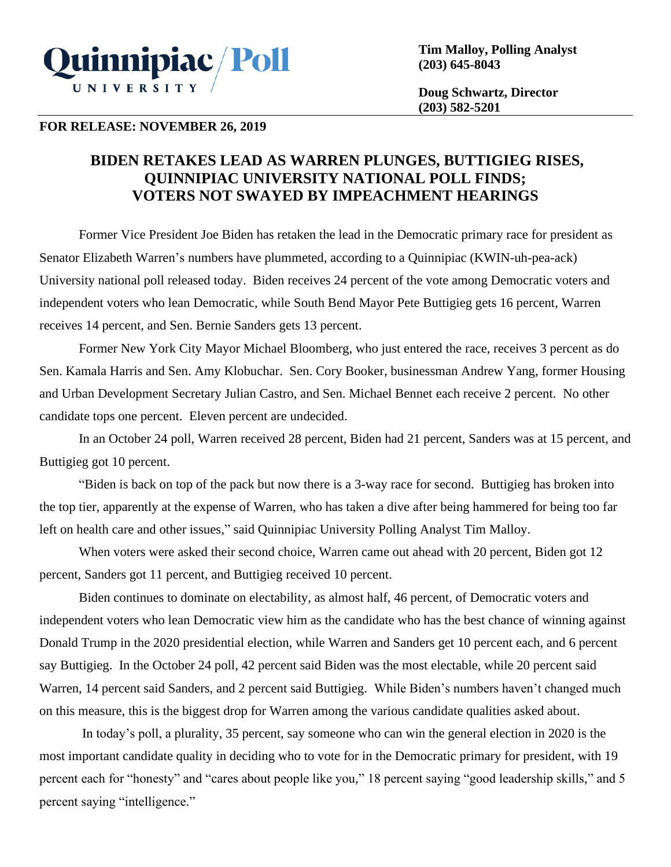

**Tim Malloy, Polling Analyst (203) 645-8043**

**Doug Schwartz, Director (203) 582-5201**

## **FOR RELEASE: NOVEMBER 26, 2019**

## **BIDEN RETAKES LEAD AS WARREN PLUNGES, BUTTIGIEG RISES, QUINNIPIAC UNIVERSITY NATIONAL POLL FINDS; VOTERS NOT SWAYED BY IMPEACHMENT HEARINGS**

Former Vice President Joe Biden has retaken the lead in the Democratic primary race for president as Senator Elizabeth Warren's numbers have plummeted, according to a Quinnipiac (KWIN-uh-pea-ack) University national poll released today. Biden receives 24 percent of the vote among Democratic voters and independent voters who lean Democratic, while South Bend Mayor Pete Buttigieg gets 16 percent, Warren receives 14 percent, and Sen. Bernie Sanders gets 13 percent.

Former New York City Mayor Michael Bloomberg, who just entered the race, receives 3 percent as do Sen. Kamala Harris and Sen. Amy Klobuchar. Sen. Cory Booker, businessman Andrew Yang, former Housing and Urban Development Secretary Julian Castro, and Sen. Michael Bennet each receive 2 percent. No other candidate tops one percent. Eleven percent are undecided.

In an October 24 poll, Warren received 28 percent, Biden had 21 percent, Sanders was at 15 percent, and Buttigieg got 10 percent.

"Biden is back on top of the pack but now there is a 3-way race for second. Buttigieg has broken into the top tier, apparently at the expense of Warren, who has taken a dive after being hammered for being too far left on health care and other issues," said Quinnipiac University Polling Analyst Tim Malloy.

When voters were asked their second choice, Warren came out ahead with 20 percent, Biden got 12 percent, Sanders got 11 percent, and Buttigieg received 10 percent.

Biden continues to dominate on electability, as almost half, 46 percent, of Democratic voters and independent voters who lean Democratic view him as the candidate who has the best chance of winning against Donald Trump in the 2020 presidential election, while Warren and Sanders get 10 percent each, and 6 percent say Buttigieg. In the October 24 poll, 42 percent said Biden was the most electable, while 20 percent said Warren, 14 percent said Sanders, and 2 percent said Buttigieg. While Biden's numbers haven't changed much on this measure, this is the biggest drop for Warren among the various candidate qualities asked about.

In today's poll, a plurality, 35 percent, say someone who can win the general election in 2020 is the most important candidate quality in deciding who to vote for in the Democratic primary for president, with 19 percent each for "honesty" and "cares about people like you," 18 percent saying "good leadership skills," and 5 percent saying "intelligence."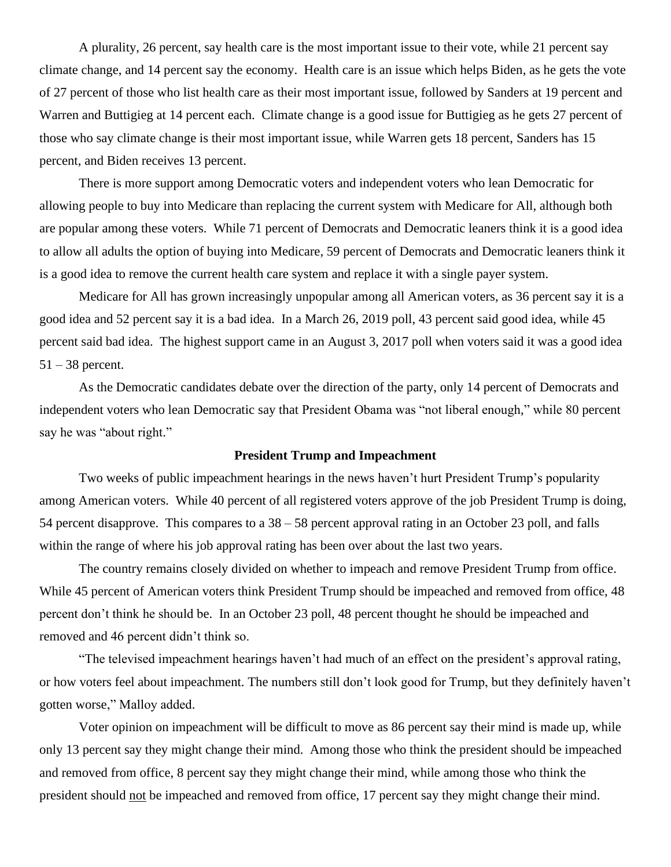A plurality, 26 percent, say health care is the most important issue to their vote, while 21 percent say climate change, and 14 percent say the economy. Health care is an issue which helps Biden, as he gets the vote of 27 percent of those who list health care as their most important issue, followed by Sanders at 19 percent and Warren and Buttigieg at 14 percent each. Climate change is a good issue for Buttigieg as he gets 27 percent of those who say climate change is their most important issue, while Warren gets 18 percent, Sanders has 15 percent, and Biden receives 13 percent.

There is more support among Democratic voters and independent voters who lean Democratic for allowing people to buy into Medicare than replacing the current system with Medicare for All, although both are popular among these voters. While 71 percent of Democrats and Democratic leaners think it is a good idea to allow all adults the option of buying into Medicare, 59 percent of Democrats and Democratic leaners think it is a good idea to remove the current health care system and replace it with a single payer system.

Medicare for All has grown increasingly unpopular among all American voters, as 36 percent say it is a good idea and 52 percent say it is a bad idea. In a March 26, 2019 poll, 43 percent said good idea, while 45 percent said bad idea. The highest support came in an August 3, 2017 poll when voters said it was a good idea 51 – 38 percent.

As the Democratic candidates debate over the direction of the party, only 14 percent of Democrats and independent voters who lean Democratic say that President Obama was "not liberal enough," while 80 percent say he was "about right."

## **President Trump and Impeachment**

Two weeks of public impeachment hearings in the news haven't hurt President Trump's popularity among American voters. While 40 percent of all registered voters approve of the job President Trump is doing, 54 percent disapprove. This compares to a 38 – 58 percent approval rating in an October 23 poll, and falls within the range of where his job approval rating has been over about the last two years.

The country remains closely divided on whether to impeach and remove President Trump from office. While 45 percent of American voters think President Trump should be impeached and removed from office, 48 percent don't think he should be. In an October 23 poll, 48 percent thought he should be impeached and removed and 46 percent didn't think so.

"The televised impeachment hearings haven't had much of an effect on the president's approval rating, or how voters feel about impeachment. The numbers still don't look good for Trump, but they definitely haven't gotten worse," Malloy added.

Voter opinion on impeachment will be difficult to move as 86 percent say their mind is made up, while only 13 percent say they might change their mind. Among those who think the president should be impeached and removed from office, 8 percent say they might change their mind, while among those who think the president should not be impeached and removed from office, 17 percent say they might change their mind.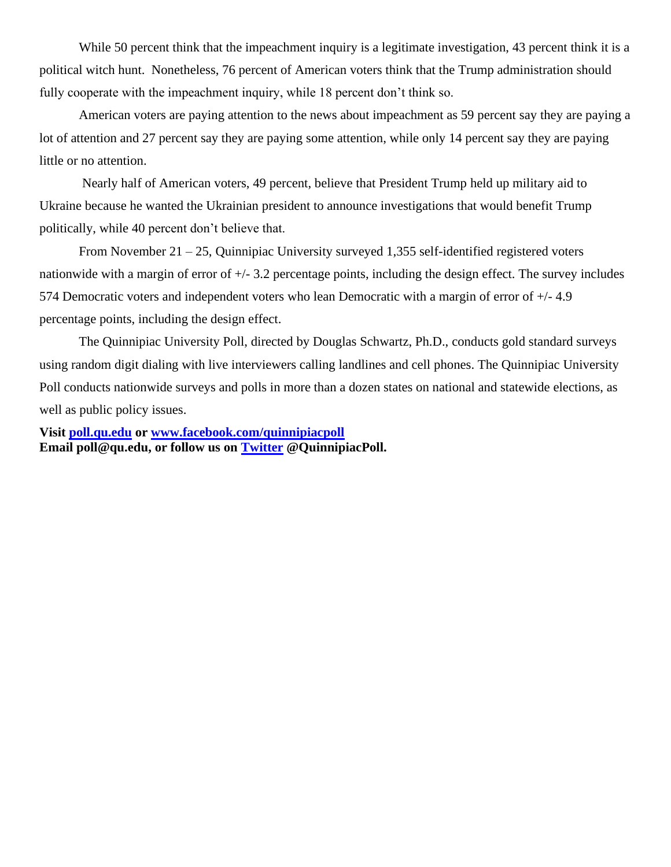While 50 percent think that the impeachment inquiry is a legitimate investigation, 43 percent think it is a political witch hunt. Nonetheless, 76 percent of American voters think that the Trump administration should fully cooperate with the impeachment inquiry, while 18 percent don't think so.

American voters are paying attention to the news about impeachment as 59 percent say they are paying a lot of attention and 27 percent say they are paying some attention, while only 14 percent say they are paying little or no attention.

Nearly half of American voters, 49 percent, believe that President Trump held up military aid to Ukraine because he wanted the Ukrainian president to announce investigations that would benefit Trump politically, while 40 percent don't believe that.

From November 21 – 25, Quinnipiac University surveyed 1,355 self-identified registered voters nationwide with a margin of error of  $+/- 3.2$  percentage points, including the design effect. The survey includes 574 Democratic voters and independent voters who lean Democratic with a margin of error of +/- 4.9 percentage points, including the design effect.

The Quinnipiac University Poll, directed by Douglas Schwartz, Ph.D., conducts gold standard surveys using random digit dialing with live interviewers calling landlines and cell phones. The Quinnipiac University Poll conducts nationwide surveys and polls in more than a dozen states on national and statewide elections, as well as public policy issues.

**Visit [poll.qu.edu](https://poll.qu.edu/) or [www.facebook.com/quinnipiacpoll](http://www.facebook.com/quinnipiacpoll)  Email poll@qu.edu, or follow us on [Twitter](http://twitter.com/QuinnipiacPoll) @QuinnipiacPoll.**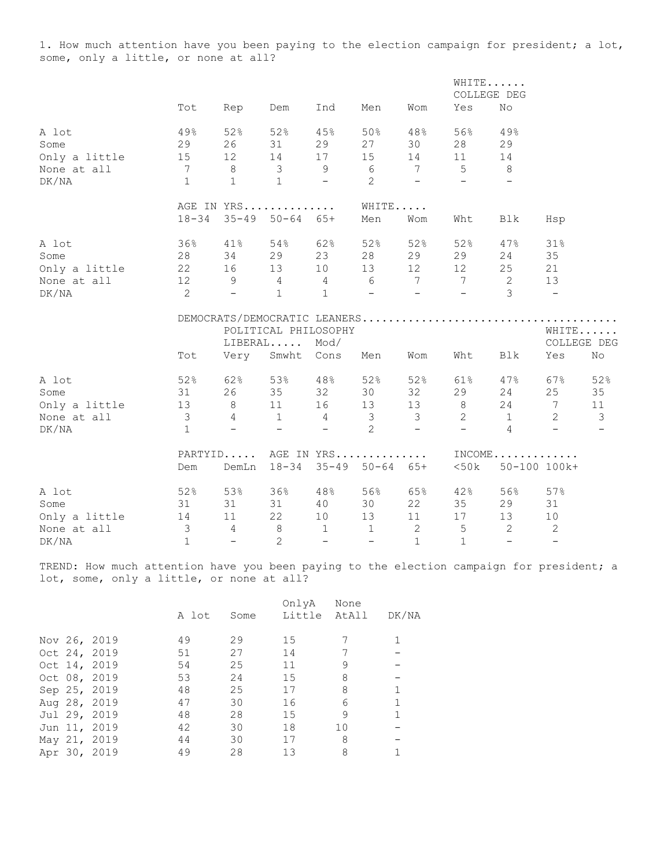1. How much attention have you been paying to the election campaign for president; a lot, some, only a little, or none at all?

|               |                         |                                         |                            |                          |                            |                          |                          | WHITE<br>COLLEGE DEG          |                          |                          |
|---------------|-------------------------|-----------------------------------------|----------------------------|--------------------------|----------------------------|--------------------------|--------------------------|-------------------------------|--------------------------|--------------------------|
|               | Tot                     | Rep                                     | Dem                        | Ind                      | Men                        | Wom                      | Yes                      | No                            |                          |                          |
| A lot         | 49%                     | 52%                                     | 52%                        | 45%                      | 50%                        | 48%                      | 56%                      | 49%                           |                          |                          |
| Some          | 29                      | 26                                      | 31                         | 29                       | 27                         | 30                       | 28                       | 29                            |                          |                          |
| Only a little | 15                      | 12                                      | 14                         | 17                       | 15                         | 14                       | 11                       | 14                            |                          |                          |
| None at all   |                         | 7 8 3 9                                 |                            |                          | 6 7 5                      |                          |                          | 8 <sup>8</sup>                |                          |                          |
| DK/NA         | $\mathbf{1}$            | $\overline{1}$                          | $\overline{1}$             | $\sim$ $ \sim$           | 2                          | $\sim$                   | $\sim$ $-$               | $\overline{\phantom{a}}$      |                          |                          |
|               |                         | AGE IN YRS                              |                            |                          | WHITE                      |                          |                          |                               |                          |                          |
|               | $18 - 34$               |                                         | $35 - 49$ $50 - 64$ $65 +$ |                          | Men                        | Wom                      | Wht                      | Blk                           | Hsp                      |                          |
| A lot         | 36%                     | 41%                                     | 54%                        | 62%                      | 52%                        | 52%                      | 52%                      | 47%                           | 31%                      |                          |
| Some          | 28                      | 34                                      | 29                         | 23                       | 28                         | 29                       | 29                       | 24                            | 35                       |                          |
| Only a little |                         | 22 16                                   | 13                         | 10                       | 13                         | 12                       | 12                       | 25                            | 21                       |                          |
| None at all   |                         | $12 \t 9 \t 4 \t 4 \t 6 \t 7 \t 7 \t 2$ |                            |                          |                            |                          |                          |                               | 13                       |                          |
| DK/NA         | $\overline{2}$          | $\sim$ $-$                              | $\mathbf{1}$               | $\mathbf{1}$             | $\sim 1000$ m $^{-1}$      | <b>Contract Contract</b> | <b>Contract Contract</b> | $\mathcal{E}$                 | $\sim$                   |                          |
|               |                         |                                         |                            |                          |                            |                          |                          |                               |                          |                          |
|               |                         |                                         | POLITICAL PHILOSOPHY       |                          |                            |                          |                          |                               |                          | WHITE                    |
|               |                         |                                         | $LIBERAL$                  | Mod/                     |                            |                          |                          |                               |                          | COLLEGE DEG              |
|               | Tot                     | Very                                    | Smwht                      | Cons                     | Men                        | Wom                      | Wht                      | Blk                           | Yes                      | No                       |
| A lot         | 52%                     | 62%                                     | 53%                        | 48%                      | 52%                        | 52%                      | 61%                      | 47%                           | 67%                      | 52%                      |
| Some          | 31                      | 26                                      | 35                         | 32                       | 30                         | 32                       | 29                       | 24                            | 25                       | 35                       |
| Only a little | 13                      | 8 <sup>1</sup>                          | 11                         | 16                       | 13                         | 13                       | 8 <sup>1</sup>           | 24                            | $7\overline{ }$          | 11                       |
| None at all   | $\overline{\mathbf{3}}$ | $4\overline{4}$                         | 1                          | $4\overline{4}$          | $\overline{\mathbf{3}}$    | $\mathcal{S}$            | $\overline{2}$           | $\overline{1}$                | 2                        | $\overline{3}$           |
| DK/NA         | $\mathbf{1}$            | $\overline{\phantom{0}}$                | $-$                        | $\sim$                   | 2                          | $\sim$                   | $\equiv$                 | $\overline{4}$                | $\sim$                   | $\overline{\phantom{0}}$ |
|               |                         | PARTYID AGE IN YRS                      |                            |                          |                            |                          |                          | $INCOME \ldots \ldots \ldots$ |                          |                          |
|               | Dem                     | DemLn                                   | $18 - 34$                  |                          | $35 - 49$ $50 - 64$ $65 +$ |                          | $50k$                    |                               | 50-100 100k+             |                          |
| A lot         | 52%                     | 53%                                     | 36%                        | 48%                      | 56%                        | 65%                      | 42%                      | 56%                           | 57%                      |                          |
| Some          | 31                      | 31                                      | 31                         | 40                       | 30                         | 22                       | $35 -$                   | 29                            | 31                       |                          |
| Only a little | 14                      | $11$                                    | 22                         | 10                       | 13                         | 11                       | 17                       | 13 <sup>7</sup>               | 10                       |                          |
| None at all   | $\overline{\mathbf{3}}$ | $\overline{4}$                          | 8 <sup>1</sup>             | $\mathbf{1}$             | 1                          | 2                        | $5\phantom{.0}$          | 2                             | 2                        |                          |
| DK/NA         | $\mathbf{1}$            | $\equiv$                                | 2                          | $\overline{\phantom{0}}$ | $\overline{\phantom{a}}$   | $\mathbf{1}$             | $\mathbf{1}$             | $\equiv$                      | $\overline{\phantom{a}}$ |                          |

TREND: How much attention have you been paying to the election campaign for president; a lot, some, only a little, or none at all?

|  |              |       |      | OnlyA  | None  |       |
|--|--------------|-------|------|--------|-------|-------|
|  |              | A lot | Some | Little | AtAll | DK/NA |
|  |              |       |      |        |       |       |
|  | Nov 26, 2019 | 49    | 29   | 15     |       |       |
|  | Oct 24, 2019 | 51    | 27   | 14     |       |       |
|  | Oct 14, 2019 | 54    | 25   | 11     | 9     |       |
|  | Oct 08, 2019 | 53    | 24   | 15     | 8     |       |
|  | Sep 25, 2019 | 48    | 25   | 17     | 8     |       |
|  | Aug 28, 2019 | 47    | 30   | 16     | 6     | 1     |
|  | Jul 29, 2019 | 48    | 28   | 15     | 9     | 1     |
|  | Jun 11, 2019 | 42    | 30   | 18     | 10    |       |
|  | May 21, 2019 | 44    | 30   | 17     | 8     |       |
|  | Apr 30, 2019 | 49    | 28   | 13     | 8     |       |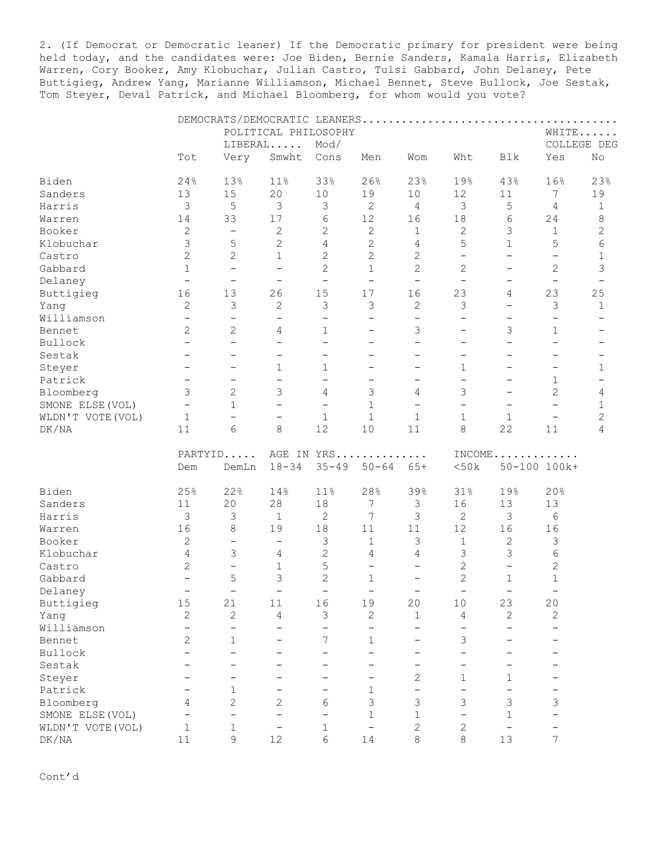2. (If Democrat or Democratic leaner) If the Democratic primary for president were being held today, and the candidates were: Joe Biden, Bernie Sanders, Kamala Harris, Elizabeth Warren, Cory Booker, Amy Klobuchar, Julian Castro, Tulsi Gabbard, John Delaney, Pete Buttigieg, Andrew Yang, Marianne Williamson, Michael Bennet, Steve Bullock, Joe Sestak, Tom Steyer, Deval Patrick, and Michael Bloomberg, for whom would you vote?

|                   |                          |                                   | POLITICAL PHILOSOPHY     |                          |                          |                                          |                               |                          | WHITE                    |                |
|-------------------|--------------------------|-----------------------------------|--------------------------|--------------------------|--------------------------|------------------------------------------|-------------------------------|--------------------------|--------------------------|----------------|
|                   |                          |                                   | LIBERAL                  | Mod/                     |                          |                                          |                               |                          | COLLEGE DEG              |                |
|                   | Tot                      | Very                              | Smwht                    | Cons                     | Men                      | Wom                                      | Wht                           | Blk                      | Yes                      | No             |
| Biden             | 24%                      | 13%                               | 11%                      | 33%                      | 26%                      | 23%                                      | 19%                           | 43%                      | 16%                      | 23%            |
| Sanders           | 13                       | 15                                | 20                       | 10                       | 19                       | 10                                       | 12                            | 11                       | 7                        | 19             |
| Harris            | $\mathfrak{Z}$           | 5                                 | 3                        | 3                        | $\mathbf{2}$             | 4                                        | 3                             | $\mathsf S$              | 4                        | $\mathbf 1$    |
| Warren            | 14                       | 33                                | $17$                     | 6                        | 12                       | 16                                       | $18\,$                        | 6                        | 24                       | $\,8\,$        |
| Booker            | $\mathbf{2}$             | $\overline{\phantom{a}}$          | $\mathbf{2}$             | $\mathbf{2}$             | $\mathbf{2}$             | $\mathbf{1}$                             | $\mathbf{2}$                  | $\mathsf 3$              | $\mathbf{1}$             | $\mathbf{2}$   |
| Klobuchar         | 3                        | 5                                 | $\overline{c}$           | $\overline{4}$           | $\mathbf{2}$             | 4                                        | 5                             | $\mathbf{1}$             | 5                        | $\epsilon$     |
| Castro            | $\overline{2}$           | $\mathbf{2}$                      | $\mathbf{1}$             | $\mathbf{2}$             | $\overline{c}$           | $\mathbf{2}$                             | $\overline{\phantom{0}}$      | $\overline{\phantom{0}}$ | $\overline{\phantom{a}}$ | 1              |
|                   | $\mathbf{1}$             | $\overline{\phantom{m}}$          | $\overline{\phantom{a}}$ | $\overline{c}$           | $\mathbf{1}$             |                                          |                               | $\overline{\phantom{0}}$ |                          |                |
| Gabbard           | $\overline{\phantom{0}}$ |                                   |                          |                          | $\overline{\phantom{m}}$ | $\mathbf{2}$<br>$\overline{\phantom{a}}$ | 2<br>$\overline{\phantom{a}}$ |                          | $\mathbf{2}$             | 3              |
| Delaney           |                          | $\overline{\phantom{a}}$          | $\overline{\phantom{a}}$ | $\overline{\phantom{a}}$ |                          |                                          |                               | $\overline{\phantom{0}}$ | $\overline{\phantom{a}}$ |                |
| Buttigieg         | 16                       | 13                                | 26                       | 15                       | 17                       | 16                                       | 23                            | 4                        | 23                       | 25             |
| Yang              | 2                        | $\mathfrak{Z}$                    | 2                        | 3                        | $\mathfrak{Z}$           | 2                                        | 3                             | $\qquad \qquad -$        | 3                        | $\mathbf{1}$   |
| Williamson        | $\overline{\phantom{0}}$ | $\overline{\phantom{m}}$          | $\overline{\phantom{m}}$ | $\overline{\phantom{0}}$ | $\qquad \qquad -$        | $\qquad \qquad -$                        | $\overline{\phantom{0}}$      | $\qquad \qquad -$        | $\overline{\phantom{0}}$ |                |
| Bennet            | $\overline{2}$           | $\overline{2}$                    | 4                        | $\mathbf{1}$             | $\qquad \qquad -$        | 3                                        | $\overline{\phantom{0}}$      | 3                        | $\mathbf{1}$             |                |
| Bullock           | $\equiv$                 | $\overline{\phantom{0}}$          | $\overline{\phantom{0}}$ | $\overline{\phantom{0}}$ | $\overline{\phantom{0}}$ | $\qquad \qquad -$                        | $\overline{\phantom{0}}$      | $\overline{\phantom{0}}$ | $\overline{\phantom{0}}$ |                |
| Sestak            | $\overline{\phantom{m}}$ | $\qquad \qquad -$                 | $\qquad \qquad -$        | $\qquad \qquad -$        | —                        | $\overline{\phantom{0}}$                 | -                             | $\overline{\phantom{0}}$ | $\overline{\phantom{m}}$ |                |
| Steyer            | $\overline{\phantom{0}}$ | $\qquad \qquad -$                 | 1                        | $\mathbf{1}$             | $\overline{\phantom{0}}$ | $\overline{\phantom{0}}$                 | $\mathbf{1}$                  | $\qquad \qquad -$        | $\overline{\phantom{a}}$ | 1              |
| Patrick           | $\overline{\phantom{0}}$ | $\qquad \qquad -$                 | $\qquad \qquad -$        | $\overline{\phantom{0}}$ | $\overline{\phantom{0}}$ | $\overline{\phantom{0}}$                 | $\overline{\phantom{0}}$      | $\qquad \qquad -$        | $\mathbf 1$              |                |
| Bloomberg         | $\mathfrak{Z}$           | $\overline{c}$                    | 3                        | $\overline{4}$           | 3                        | 4                                        | 3                             | $\overline{\phantom{0}}$ | $\mathbf{2}$             | 4              |
| SMONE ELSE (VOL)  | $\equiv$                 | $\mathbf{1}$                      | $\overline{\phantom{0}}$ | $\overline{\phantom{a}}$ | $\mathbf{1}$             | $\overline{\phantom{0}}$                 | $\overline{\phantom{0}}$      | $\overline{\phantom{0}}$ | $\overline{\phantom{0}}$ | 1              |
| WLDN'T VOTE (VOL) | $\mathbf{1}$             | $\qquad \qquad -$                 | $\qquad \qquad -$        | $\mathbf{1}$             | $\mathbf 1$              | $\mathbf 1$                              | $\mathbf 1$                   | $\mathbf{1}$             | $\overline{\phantom{0}}$ | $\overline{c}$ |
| DK/NA             | 11                       | 6                                 | 8                        | 12                       | $10$                     | 11                                       | 8                             | 22                       | 11                       | 4              |
|                   |                          | PARTYID<br>AGE IN YRS<br>$INCOME$ |                          |                          |                          |                                          |                               |                          |                          |                |
|                   | Dem                      | DemLn                             | $18 - 34$                | $35 - 49$                | $50 - 64$                | $65+$                                    | <50k                          |                          | 50-100 100k+             |                |
| Biden             | 25%                      | 22%                               | 14%                      | 11%                      | 28%                      | 39%                                      | 31%                           | 19%                      | 20%                      |                |
| Sanders           | 11                       | 20                                | 28                       | 18                       | 7                        | 3                                        | 16                            | 13                       | 13                       |                |
| Harris            | $\mathfrak{Z}$           | 3                                 | $\mathbf{1}$             | $\overline{c}$           | 7                        | 3                                        | 2                             | 3                        | 6                        |                |
| Warren            | 16                       | $\,8\,$                           | 19                       | $18\,$                   | 11                       | 11                                       | 12                            | 16                       | 16                       |                |
| Booker            | $\overline{2}$           | $\overline{\phantom{a}}$          | $\overline{\phantom{a}}$ | 3                        | $\mathbf{1}$             | 3                                        | $1\,$                         | $\mathbf{2}$             | 3                        |                |
| Klobuchar         | 4                        | 3                                 | 4                        | $\mathbf{2}$             | 4                        | 4                                        | $\mathfrak{Z}$                | $\mathfrak{Z}$           | $\epsilon$               |                |
|                   |                          | $\overline{\phantom{m}}$          |                          |                          | $\qquad \qquad -$        | $\overline{\phantom{0}}$                 |                               | $\overline{\phantom{0}}$ |                          |                |
| Castro            | $\overline{c}$           |                                   | $\mathbf 1$              | 5                        |                          |                                          | $\mathbf{2}$                  |                          | $\mathbf{2}$             |                |
| Gabbard           | $\qquad \qquad -$        | 5                                 | 3                        | $\overline{c}$           | $\mathbf{1}$             | $\overline{\phantom{m}}$                 | $\mathbf{2}$                  | $\mathbf{1}$             | 1                        |                |
| Delaney           | $\qquad \qquad -$        | $\overline{\phantom{0}}$          | $\overline{\phantom{m}}$ | $\overline{\phantom{m}}$ | $\qquad \qquad -$        | $\overline{\phantom{m}}$                 | $\overline{\phantom{m}}$      | $\overline{\phantom{a}}$ | $\overline{\phantom{m}}$ |                |
| Buttigieg         | 15                       | 21                                | 11                       | 16                       | 19                       | 20                                       | 10                            | 23                       | 20                       |                |
| Yang              | 2                        | 2                                 | 4                        | 3                        | $\mathbf{2}$             | 1                                        | 4                             | 2                        | $\mathbf 2$              |                |
| Williamson        |                          | $\overline{\phantom{0}}$          |                          |                          | $\overline{\phantom{0}}$ |                                          |                               |                          |                          |                |
| Bennet            | $\overline{2}$           | 1                                 |                          | 7                        | $\mathbf 1$              |                                          | 3                             |                          |                          |                |
| Bullock           |                          |                                   |                          |                          |                          |                                          |                               |                          |                          |                |
| Sestak            |                          |                                   |                          |                          |                          |                                          |                               |                          |                          |                |
| Steyer            |                          |                                   |                          |                          |                          | 2                                        | 1                             | 1                        |                          |                |
| Patrick           |                          | 1                                 |                          |                          | 1                        | -                                        |                               |                          |                          |                |
| Bloomberg         | 4                        | 2                                 | 2                        | 6                        | 3                        | 3                                        | 3                             | 3                        | 3                        |                |
| SMONE ELSE (VOL)  |                          |                                   |                          |                          | 1                        | $\mathbf 1$                              |                               | 1                        |                          |                |
| WLDN'T VOTE (VOL) | 1                        | 1                                 | -                        | 1                        |                          | 2                                        | 2                             |                          |                          |                |
| DK/NA             | $1\,1$                   | 9                                 | 12                       | 6                        | 14                       | 8                                        | 8                             | 13                       | 7                        |                |
|                   |                          |                                   |                          |                          |                          |                                          |                               |                          |                          |                |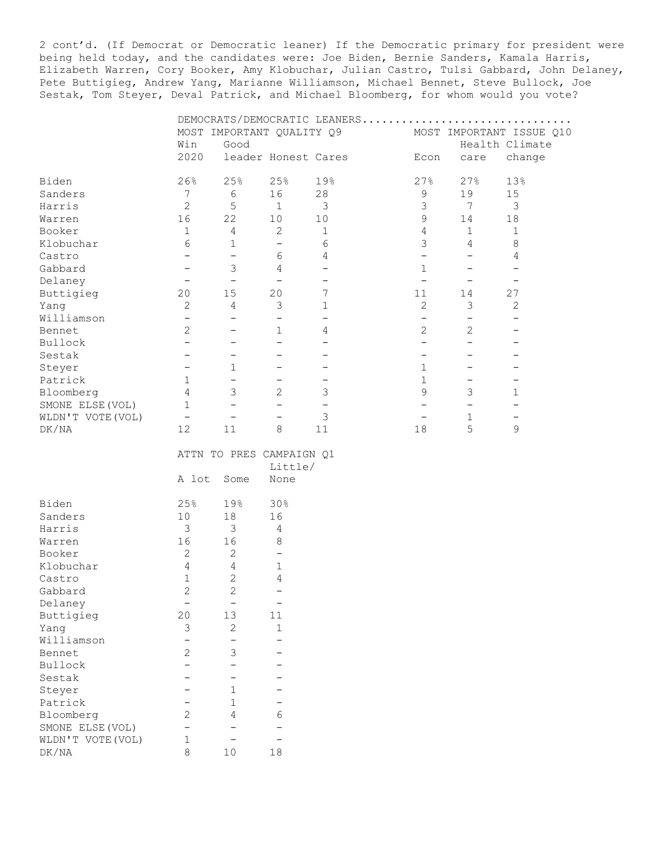2 cont'd. (If Democrat or Democratic leaner) If the Democratic primary for president were being held today, and the candidates were: Joe Biden, Bernie Sanders, Kamala Harris, Elizabeth Warren, Cory Booker, Amy Klobuchar, Julian Castro, Tulsi Gabbard, John Delaney, Pete Buttigieg, Andrew Yang, Marianne Williamson, Michael Bennet, Steve Bullock, Joe Sestak, Tom Steyer, Deval Patrick, and Michael Bloomberg, for whom would you vote?

|                   |                          |                          |                           | DEMOCRATS/DEMOCRATIC LEANERS |                          |                          |                          |
|-------------------|--------------------------|--------------------------|---------------------------|------------------------------|--------------------------|--------------------------|--------------------------|
|                   |                          |                          | MOST IMPORTANT QUALITY Q9 |                              |                          |                          | MOST IMPORTANT ISSUE Q10 |
|                   | Win                      | Good                     |                           |                              |                          |                          | Health Climate           |
|                   | 2020                     |                          | leader Honest Cares       |                              | Econ                     | care                     | change                   |
|                   |                          |                          |                           |                              |                          |                          |                          |
| Biden             | 26%                      | 25%                      | 25%                       | 19%                          | 27%                      | 27%                      | 13%                      |
| Sanders           | 7                        | $6\,$                    | 16                        | 28                           | 9                        | 19                       | 15                       |
| Harris            | $\overline{2}$           | 5                        | $\mathbf{1}$              | $\mathcal{S}$                | 3                        | $7\phantom{.0}$          | $\mathfrak{Z}$           |
| Warren            | 16                       | 22                       | 10                        | 10                           | 9                        | 14                       | $18\,$                   |
| Booker            | $\mathbf 1$              | 4                        | $\overline{c}$            | $\mathbf{1}$                 | 4                        | $\mathbf{1}$             | 1                        |
| Klobuchar         | $\sqrt{6}$               | $\mathbf 1$              | $\overline{\phantom{a}}$  | 6                            | 3                        | 4                        | $\,8\,$                  |
| Castro            | $\qquad \qquad -$        | $\overline{\phantom{0}}$ | 6                         | 4                            | $\qquad \qquad -$        | $\qquad \qquad -$        | 4                        |
| Gabbard           | $\qquad \qquad -$        | 3                        | 4                         | $\qquad \qquad -$            | $\mathbf{1}$             | $\qquad \qquad -$        | $\overline{\phantom{0}}$ |
| Delaney           | $\overline{\phantom{m}}$ | $\overline{\phantom{a}}$ | $\overline{\phantom{a}}$  | $\overline{\phantom{0}}$     | $\overline{\phantom{a}}$ | $\overline{\phantom{m}}$ | $\overline{\phantom{0}}$ |
| Buttigieg         | 20                       | 15                       | 20                        | $\overline{7}$               | 11                       | 14                       | 27                       |
| Yang              | $\overline{2}$           | $\overline{4}$           | $\mathfrak{Z}$            | $1\,$                        | $\overline{c}$           | 3                        | 2                        |
| Williamson        | $\overline{\phantom{0}}$ | $\overline{\phantom{0}}$ | $\overline{\phantom{0}}$  | $\overline{\phantom{0}}$     | $\overline{\phantom{0}}$ | $\overline{\phantom{0}}$ | $\overline{\phantom{0}}$ |
| Bennet            | $\overline{2}$           | $\qquad \qquad -$        | $\mathbf 1$               | 4                            | $\mathbf{2}$             | $\overline{c}$           | $\qquad \qquad -$        |
| Bullock           | $\overline{\phantom{0}}$ | $\overline{\phantom{0}}$ | $\overline{\phantom{0}}$  | $\overline{\phantom{0}}$     | $\qquad \qquad -$        | $\overline{\phantom{0}}$ | $\qquad \qquad -$        |
| Sestak            | $\qquad \qquad -$        | $\qquad \qquad -$        | $\overline{\phantom{0}}$  | $\overline{\phantom{0}}$     | $\qquad \qquad -$        | $\overline{\phantom{0}}$ | $\qquad \qquad$          |
| Steyer            | $\qquad \qquad -$        | $\mathbf{1}$             | $\overline{\phantom{0}}$  |                              | $\mathbf{1}$             | $\overline{\phantom{0}}$ | $\overline{\phantom{0}}$ |
| Patrick           | $\mathbf{1}$             | $\equiv$                 | $\overline{\phantom{0}}$  | $\qquad \qquad -$            | $\mathbf{1}$             | $\qquad \qquad -$        | $\qquad \qquad -$        |
| Bloomberg         | $\overline{4}$           | 3                        | 2                         | 3                            | 9                        | 3                        | $\mathbf{1}$             |
| SMONE ELSE (VOL)  | $\mathbf{1}$             | $\overline{\phantom{0}}$ | $\qquad \qquad -$         | $\overline{\phantom{a}}$     | $\qquad \qquad -$        | $\overline{\phantom{0}}$ | $\overline{\phantom{0}}$ |
| WLDN'T VOTE (VOL) | $\overline{\phantom{m}}$ | $\overline{\phantom{m}}$ | $\overline{\phantom{0}}$  | $\mathfrak{Z}$               | $\overline{\phantom{a}}$ | $\mathbf{1}$             | $\qquad \qquad -$        |
| DK/NA             | 12                       | 11                       | 8                         | 11                           | 18                       | 5                        | 9                        |
|                   |                          |                          |                           |                              |                          |                          |                          |
|                   |                          |                          | ATTN TO PRES CAMPAIGN Q1  |                              |                          |                          |                          |
|                   |                          |                          | Little/                   |                              |                          |                          |                          |
|                   | A lot                    | Some                     | None                      |                              |                          |                          |                          |
|                   |                          |                          |                           |                              |                          |                          |                          |
| Biden             | 25%                      | 19%                      | 30%                       |                              |                          |                          |                          |
| Sanders           | 10                       | 18                       | 16                        |                              |                          |                          |                          |
| Harris            | 3                        | $\mathfrak{Z}$           | 4                         |                              |                          |                          |                          |
| Warren            | 16                       | 16                       | 8                         |                              |                          |                          |                          |
| Booker            | $\sqrt{2}$               | $\mathbf{2}$             | $\overline{\phantom{0}}$  |                              |                          |                          |                          |
| Klobuchar         | 4                        | 4                        | $\mathbf{1}$              |                              |                          |                          |                          |
| Castro            | $\mathbf{1}$             | $\overline{c}$           | 4                         |                              |                          |                          |                          |
| Gabbard           | $\overline{c}$           | $\overline{2}$           | $\overline{\phantom{0}}$  |                              |                          |                          |                          |
| Delaney           | $\overline{\phantom{m}}$ | $\overline{\phantom{0}}$ | $\overline{\phantom{m}}$  |                              |                          |                          |                          |
| Buttigieg         | 20                       | 13                       | 11                        |                              |                          |                          |                          |
| Yang              | $\mathsf 3$              | $\overline{c}$           | 1                         |                              |                          |                          |                          |
| Williamson        | $\qquad \qquad -$        | $\overline{\phantom{0}}$ | $\overline{\phantom{0}}$  |                              |                          |                          |                          |
| Bennet.           | $\overline{2}$           | 3                        | $\overline{\phantom{0}}$  |                              |                          |                          |                          |

| <b>DETITIE L</b>  |   |   |
|-------------------|---|---|
| Bullock           |   |   |
| Sestak            |   |   |
| Steyer            |   |   |
| Patrick           |   |   |
| Bloomberg         | 4 | რ |
| SMONE ELSE (VOL)  |   |   |
| WLDN'T VOTE (VOL) |   |   |
|                   |   |   |

Bloomberg 2 4 6<br>SMONE ELSE (VOL)  $-$ <br>WLDN'T VOTE (VOL) 1  $-$ SMONE ELSE(VOL) - - - -WLDN'T VOTE(VOL) 1 - - - $\begin{tabular}{lllllll} \hline \texttt{WLDN'T VOTE (VOL)} & & 1 & & - & -\\ \texttt{DK/NA} & & 8 & & 10 & & 18 \end{tabular}$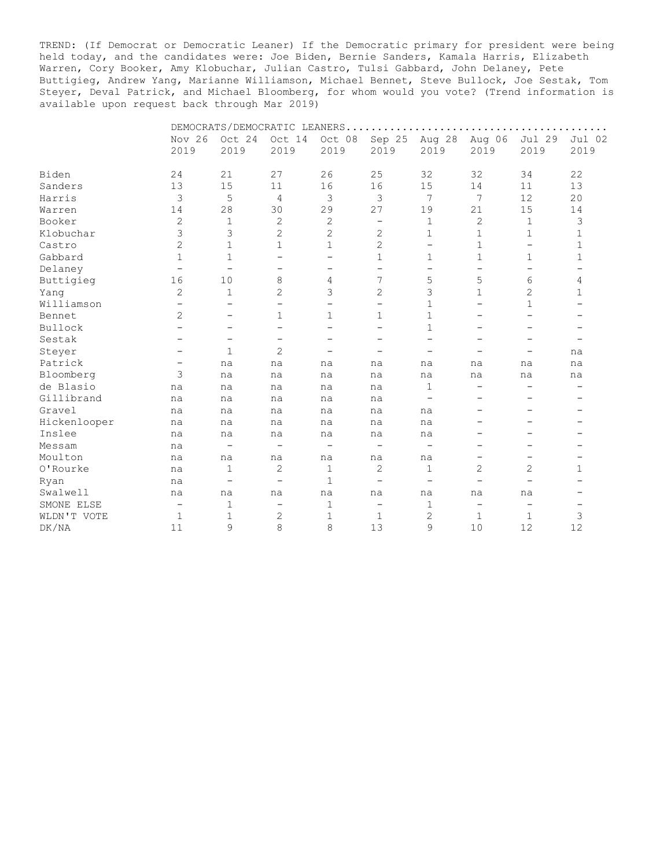TREND: (If Democrat or Democratic Leaner) If the Democratic primary for president were being held today, and the candidates were: Joe Biden, Bernie Sanders, Kamala Harris, Elizabeth Warren, Cory Booker, Amy Klobuchar, Julian Castro, Tulsi Gabbard, John Delaney, Pete Buttigieg, Andrew Yang, Marianne Williamson, Michael Bennet, Steve Bullock, Joe Sestak, Tom Steyer, Deval Patrick, and Michael Bloomberg, for whom would you vote? (Trend information is available upon request back through Mar 2019)

|              |                   |                          |                          | DEMOCRATS/DEMOCRATIC LEANERS |                          |                          |                          |                          |                |
|--------------|-------------------|--------------------------|--------------------------|------------------------------|--------------------------|--------------------------|--------------------------|--------------------------|----------------|
|              | Nov 26<br>2019    | Oct 24<br>2019           | Oct 14<br>2019           | Oct 08<br>2019               | Sep 25<br>2019           | Aug 28<br>2019           | Aug 06<br>2019           | Jul 29<br>2019           | Jul 02<br>2019 |
| Biden        | 24                | 21                       | 27                       | 26                           | 25                       | 32                       | 32                       | 34                       | 22             |
| Sanders      |                   | 15                       | 11                       | 16                           | 16                       | 15                       | 14                       | 11                       | 13             |
|              | 13                |                          |                          |                              | 3                        | 7                        | 7                        |                          |                |
| Harris       | 3                 | 5                        | $\overline{4}$           | 3                            |                          |                          |                          | 12                       | 20             |
| Warren       | 14                | 28                       | 30                       | 29                           | 27                       | 19                       | 21                       | 15                       | 14             |
| Booker       | 2                 | 1                        | $\mathbf{2}$             | $\mathbf{2}$                 | -                        | $\mathbf 1$              | $\mathbf{2}$             | $\mathbf 1$              | 3              |
| Klobuchar    | 3                 | 3                        | $\overline{c}$           | $\mathbf{2}$                 | $\overline{c}$           | 1                        | 1                        | $\mathbf{1}$             | 1              |
| Castro       | 2                 | $\mathbf 1$              | $\mathbf{1}$             | $\mathbf{1}$                 | $\overline{2}$           | $\overline{\phantom{0}}$ | $\mathbf{1}$             | $\qquad \qquad -$        | $\mathbf 1$    |
| Gabbard      | 1                 | $\mathbf 1$              | $\overline{\phantom{m}}$ | -                            | 1                        | 1                        | $\mathbf 1$              | 1                        | 1              |
| Delaney      | $\qquad \qquad -$ | $\overline{\phantom{0}}$ | $\overline{\phantom{0}}$ | -                            | $\overline{\phantom{0}}$ | $\overline{\phantom{0}}$ | $\qquad \qquad -$        | $\qquad \qquad -$        |                |
| Buttigieg    | 16                | 10                       | 8                        | 4                            | 7                        | 5                        | 5                        | 6                        | 4              |
| Yang         | 2                 | 1                        | $\overline{c}$           | 3                            | 2                        | 3                        | $\mathbf 1$              | 2                        | 1              |
| Williamson   |                   | -                        | $\overline{\phantom{0}}$ | -                            | -                        | $\mathbf{1}$             | -                        | 1                        |                |
| Bennet       | 2                 | $\overline{\phantom{0}}$ | $\mathbf 1$              | $\mathbf 1$                  | 1                        | $\mathbf{1}$             | -                        |                          |                |
| Bullock      |                   | $\overline{\phantom{m}}$ | $\qquad \qquad -$        | -                            |                          | $\mathbf{1}$             | -                        |                          |                |
| Sestak       |                   | -                        | $\qquad \qquad -$        | -                            |                          | $\overline{\phantom{0}}$ |                          |                          |                |
| Steyer       |                   | $\mathbf 1$              | $\overline{2}$           | $\overline{\phantom{0}}$     |                          | $\overline{\phantom{0}}$ |                          | -                        | na             |
| Patrick      | -                 | na                       | na                       | na                           | na                       | na                       | na                       | na                       | na             |
| Bloomberg    | 3                 | na                       | na                       | na                           | na                       | na                       | na                       | na                       | na             |
| de Blasio    | na                | na                       | na                       | na                           | na                       | 1                        | -                        |                          |                |
| Gillibrand   | na                | na                       | na                       | na                           | na                       | -                        | $\overline{\phantom{0}}$ |                          |                |
| Gravel       | na                | na                       | na                       | na                           | na                       | na                       | -                        |                          |                |
| Hickenlooper | na                | na                       | na                       | na                           | na                       | na                       | -                        |                          |                |
| Inslee       | na                | na                       | na                       | na                           | na                       | na                       |                          |                          |                |
| Messam       | na                | $\overline{\phantom{m}}$ | $\overline{\phantom{m}}$ | $\qquad \qquad -$            |                          | $\overline{\phantom{m}}$ |                          |                          |                |
| Moulton      | na                | na                       | na                       | na                           | na                       | na                       | -                        |                          |                |
| O'Rourke     | na                | 1                        | 2                        | $\mathbf 1$                  | $\mathbf{2}$             | 1                        | 2                        | $\overline{2}$           | 1              |
| Ryan         | na                | $\qquad \qquad -$        | $\overline{\phantom{0}}$ | $\mathbf{1}$                 | $\overline{\phantom{0}}$ | $\overline{\phantom{m}}$ | $\overline{\phantom{0}}$ | $\overline{\phantom{0}}$ |                |
| Swalwell     | na                | na                       | na                       | na                           | na                       | na                       | na                       | na                       |                |
| SMONE ELSE   | -                 | 1                        | $\overline{\phantom{m}}$ | $1\,$                        | -                        | $\mathbf 1$              | $\qquad \qquad -$        | $\qquad \qquad -$        |                |
| WLDN'T VOTE  | 1                 | 1                        | 2                        | $\mathbf 1$                  | 1                        | 2                        | 1                        | $\mathbf 1$              | 3              |
| DK/NA        | 11                | 9                        | 8                        | 8                            | 13                       | 9                        | 10                       | 12                       | 12             |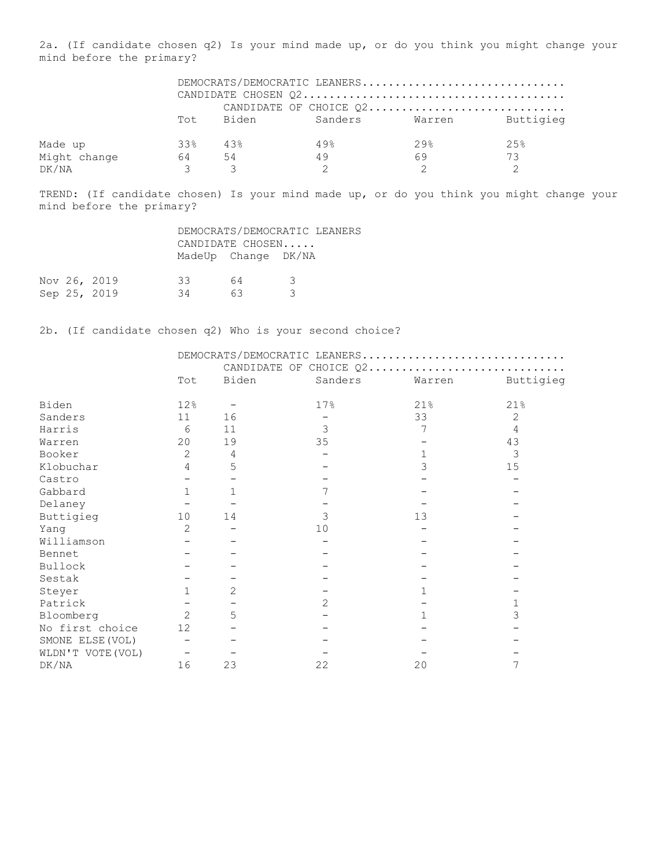2a. (If candidate chosen q2) Is your mind made up, or do you think you might change your mind before the primary?

|              |       |        | DEMOCRATS/DEMOCRATIC LEANERS       |      |     |
|--------------|-------|--------|------------------------------------|------|-----|
|              |       |        |                                    |      |     |
|              |       |        | CANDIDATE OF CHOICE Q2             |      |     |
|              |       |        | Tot Biden Sanders Warren Buttigieg |      |     |
| Made up      | 33%   | $43\%$ | 49%                                | 29.8 | 25% |
| Might change | 64 54 |        | 49                                 | 69   | 73  |
| DK/NA        |       |        |                                    |      |     |

TREND: (If candidate chosen) Is your mind made up, or do you think you might change your mind before the primary?

|  |                              |          | DEMOCRATS/DEMOCRATIC LEANERS<br>CANDIDATE CHOSEN |           |  |
|--|------------------------------|----------|--------------------------------------------------|-----------|--|
|  |                              |          | MadeUp Change DK/NA                              |           |  |
|  | Nov 26, 2019<br>Sep 25, 2019 | 33<br>34 | 64<br>63                                         | - 3-<br>₹ |  |
|  |                              |          |                                                  |           |  |

2b. (If candidate chosen q2) Who is your second choice?

|                   |                |                | DEMOCRATS/DEMOCRATIC LEANERS |        |           |
|-------------------|----------------|----------------|------------------------------|--------|-----------|
|                   |                |                | CANDIDATE OF CHOICE Q2       |        |           |
|                   | Tot            | Biden          | Sanders                      | Warren | Buttigieg |
| Biden             | 12%            |                | 17%                          | 21%    | 21%       |
| Sanders           | 11             | 16             |                              | 33     | 2         |
| Harris            | 6              | 11             | 3                            |        | 4         |
| Warren            | 20             | 19             | 35                           |        | 43        |
| Booker            | $\overline{2}$ | 4              |                              |        | 3         |
| Klobuchar         | 4              | 5              |                              | 3      | 15        |
| Castro            |                |                |                              |        |           |
| Gabbard           | $\mathbf{1}$   |                |                              |        |           |
| Delaney           |                |                |                              |        |           |
| Buttigieg         | 10             | 14             | 3                            | 13     |           |
| Yang              | 2              |                | 10                           |        |           |
| Williamson        |                |                |                              |        |           |
| Bennet            |                |                |                              |        |           |
| Bullock           |                |                |                              |        |           |
| Sestak            |                |                |                              |        |           |
| Steyer            | $\mathbf{1}$   | $\overline{2}$ |                              |        |           |
| Patrick           |                |                | $\overline{2}$               |        |           |
| Bloomberg         | $\overline{2}$ | 5              |                              |        | 3         |
| No first choice   | 12             |                |                              |        |           |
| SMONE ELSE (VOL)  |                |                |                              |        |           |
| WLDN'T VOTE (VOL) |                |                |                              |        |           |
| DK/NA             | 16             | 23             | 22                           | 20     |           |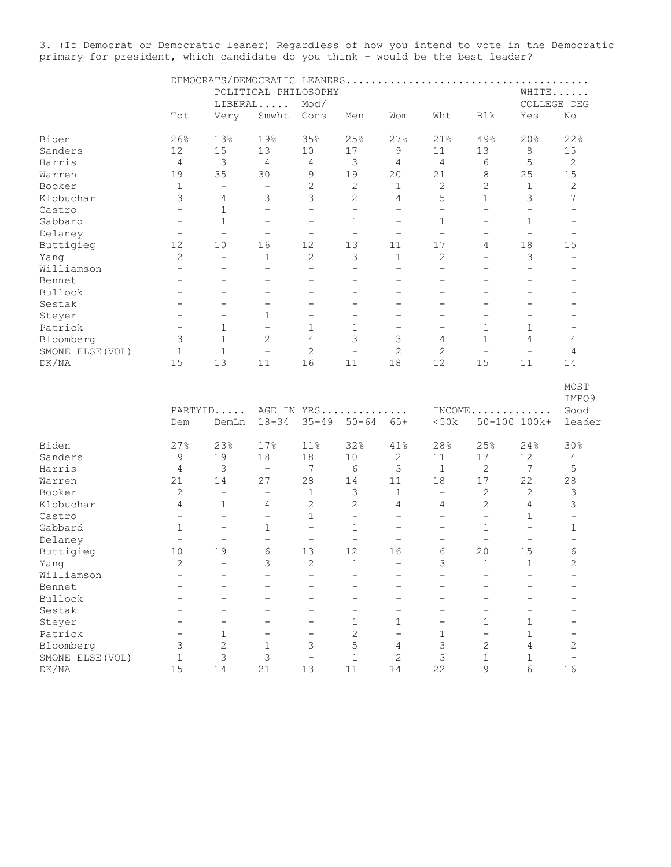3. (If Democrat or Democratic leaner) Regardless of how you intend to vote in the Democratic primary for president, which candidate do you think - would be the best leader?

|                  |                          |                          | POLITICAL PHILOSOPHY     |                          |                          |                          |                          |                          | WHITE                    |                                 |
|------------------|--------------------------|--------------------------|--------------------------|--------------------------|--------------------------|--------------------------|--------------------------|--------------------------|--------------------------|---------------------------------|
|                  |                          |                          | LIBERAL                  | Mod/                     |                          |                          |                          |                          | COLLEGE DEG              |                                 |
|                  | Tot                      | Very                     | Smwht                    | Cons                     | Men                      | Wom                      | Wht                      | Blk                      | Yes                      | No                              |
|                  |                          |                          |                          |                          |                          |                          |                          |                          |                          |                                 |
| Biden            | 26%                      | 13%                      | 19%                      | 35%                      | 25%                      | 27%                      | 21%                      | 49%                      | 20%                      | 22%                             |
| Sanders          | 12                       | 15                       | 13                       | $10$                     | 17                       | 9                        | 11                       | 13                       | 8                        | 15                              |
| Harris           | $\overline{4}$           | 3                        | 4                        | 4                        | 3                        | $\overline{4}$           | $\overline{4}$           | 6                        | 5                        | $\mathbf{2}$                    |
| Warren           | 19                       | 35                       | 30                       | 9                        | 19                       | 20                       | 21                       | 8                        | 25                       | 15                              |
| Booker           | $\mathbf{1}$             | $\equiv$                 | $\qquad \qquad -$        | $\mathbf{2}$             | 2                        | $\mathbf{1}$             | $\mathbf{2}$             | 2                        | $\mathbf{1}$             | $\mathbf{2}$                    |
| Klobuchar        | 3                        | 4                        | 3                        | 3                        | $\mathbf{2}$             | 4                        | 5                        | $\mathbf 1$              | 3                        | $7\phantom{.0}$                 |
| Castro           | $\qquad \qquad -$        | $\mathbf{1}$             | $\qquad \qquad -$        | $\overline{\phantom{a}}$ | $\overline{\phantom{a}}$ | $\overline{\phantom{a}}$ | $\qquad \qquad -$        | $\overline{\phantom{a}}$ | $\overline{\phantom{a}}$ | $\overline{\phantom{a}}$        |
| Gabbard          | $\qquad \qquad -$        | $\mathbf 1$              | $\qquad \qquad -$        | $\overline{\phantom{m}}$ | $\mathbf{1}$             | $\overline{\phantom{m}}$ | 1                        | $\qquad \qquad -$        | $\mathbf 1$              | -                               |
| Delaney          | $\overline{\phantom{0}}$ | $\qquad \qquad -$        | $\overline{\phantom{m}}$ | $\overline{\phantom{m}}$ | $\equiv$                 | $\overline{\phantom{m}}$ | $\qquad \qquad -$        | $\overline{\phantom{0}}$ | $\equiv$                 | $\qquad \qquad -$               |
| Buttigieg        | 12                       | 10                       | 16                       | 12                       | 13                       | 11                       | 17                       | 4                        | 18                       | 15                              |
| Yang             | $\overline{2}$           | $\qquad \qquad -$        | $\mathbf{1}$             | $\mathbf{2}$             | 3                        | $\mathbf{1}$             | $\overline{2}$           | $\overline{\phantom{0}}$ | 3                        | $\overline{\phantom{a}}$        |
| Williamson       | $\overline{\phantom{0}}$ | $\overline{\phantom{0}}$ | $\overline{\phantom{0}}$ | $\equiv$                 | $\qquad \qquad -$        | $\qquad \qquad -$        | $\overline{\phantom{0}}$ | $\overline{\phantom{0}}$ | $\qquad \qquad -$        | $\overline{\phantom{0}}$        |
|                  |                          |                          |                          |                          |                          |                          |                          |                          |                          |                                 |
| Bennet           | $\overline{\phantom{0}}$ | -                        | $\overline{\phantom{0}}$ | -                        | $\qquad \qquad -$        | $\overline{\phantom{0}}$ | $\qquad \qquad -$        | $\overline{\phantom{0}}$ | $\qquad \qquad -$        | -                               |
| Bullock          | $\overline{\phantom{0}}$ | $\overline{\phantom{0}}$ | $\qquad \qquad -$        | $\overline{\phantom{m}}$ | $\qquad \qquad -$        | $\overline{\phantom{0}}$ | $\qquad \qquad -$        | $\overline{\phantom{0}}$ | $\qquad \qquad -$        | $\overline{\phantom{0}}$        |
| Sestak           | $\overline{\phantom{0}}$ | ÷,                       | $\overline{\phantom{0}}$ | $\overline{\phantom{0}}$ | $\overline{\phantom{0}}$ | $\equiv$                 | $\overline{\phantom{0}}$ | $\equiv$                 | $\overline{\phantom{0}}$ | Ξ.                              |
| Steyer           | $\overline{\phantom{m}}$ | $\qquad \qquad -$        | $\mathbf{1}$             | $\overline{\phantom{m}}$ | $\qquad \qquad -$        | $\overline{\phantom{0}}$ | $\overline{\phantom{0}}$ | $\overline{\phantom{0}}$ | $\overline{\phantom{0}}$ | -                               |
| Patrick          | $\overline{\phantom{m}}$ | 1                        | $\qquad \qquad -$        | $\mathbf{1}$             | $\mathbf{1}$             | $\qquad \qquad -$        | $\qquad \qquad -$        | 1                        | 1                        | $\overline{\phantom{a}}$        |
| Bloomberg        | 3                        | $\mathbf{1}$             | 2                        | 4                        | 3                        | 3                        | 4                        | $\mathbf 1$              | $\overline{4}$           | 4                               |
| SMONE ELSE (VOL) | $\mathbf{1}$             | $\mathbf{1}$             | $\overline{\phantom{a}}$ | $\mathbf{2}$             | $\overline{\phantom{a}}$ | 2                        | $\mathbf{2}$             | $\overline{\phantom{a}}$ | $\overline{\phantom{m}}$ | 4                               |
| DK/NA            | 15                       | 13                       | 11                       | 16                       | 11                       | 18                       | 12                       | 15                       | 11                       | 14                              |
|                  | Dem                      | PARTYID<br>DemLn         | $18 - 34$                | AGE IN YRS<br>$35 - 49$  | $50 - 64$                | $\cdots$<br>$65+$        | <50k                     |                          | $INCOME$<br>50-100 100k+ | MOST<br>IMPQ9<br>Good<br>leader |
| Biden            | 27%                      | 23%                      | 17%                      | 11%                      | 32%                      | 41%                      | 28%                      | 25%                      | 24%                      | 30%                             |
| Sanders          | 9                        | 19                       | 18                       | 18                       | 10                       | 2                        | 11                       | 17                       | 12                       | 4                               |
| Harris           | $\overline{4}$           | 3                        | $\overline{\phantom{a}}$ | 7                        | 6                        | 3                        | $\mathbf 1$              | $\mathbf{2}$             | $\overline{7}$           | 5                               |
| Warren           | 21                       | 14                       | 27                       | 28                       | 14                       | 11                       | 18                       | 17                       | 22                       | 28                              |
|                  |                          |                          |                          |                          |                          |                          |                          |                          |                          |                                 |
| Booker           | $\mathbf{2}$             | $\overline{\phantom{a}}$ | $\qquad \qquad -$        | $\mathbf{1}$             | 3                        | $\mathbf{1}$             | $\overline{\phantom{0}}$ | $\mathbf{2}$             | 2                        | 3                               |
| Klobuchar        | 4                        | $\mathbf{1}$             | 4                        | 2                        | $\overline{c}$           | 4                        | 4                        | 2                        | $\overline{4}$           | 3                               |
| Castro           | $-$                      | $-$                      | $\overline{\phantom{0}}$ | $\mathbf{1}$             | $\equiv$                 | $\equiv$                 | $\qquad \qquad -$        | $\overline{\phantom{a}}$ | $\mathbf 1$              | $\qquad \qquad -$               |
| Gabbard          | $\mathbf{1}$             | $\overline{\phantom{0}}$ | $\mathbf{1}$             | $\overline{\phantom{a}}$ | $\mathbf{1}$             | $-$                      | $\qquad \qquad -$        | $\mathbf 1$              | $\overline{\phantom{a}}$ | $\mathbf{1}$                    |
| Delaney          | $\overline{\phantom{0}}$ | $\rightarrow$            | $\overline{\phantom{0}}$ | $\overline{\phantom{a}}$ | $\qquad \qquad -$        | $\!-$                    | $\overline{a}$           | $\equiv$                 | $\overline{\phantom{a}}$ | $\overline{\phantom{0}}$        |
| Buttigieg        | 10                       | 19                       | 6                        | 13                       | 12                       | 16                       | 6                        | 20                       | 15                       | 6                               |
| Yang             | $\overline{2}$           | $\overline{\phantom{a}}$ | 3                        | $\mathbf{2}$             | $\mathbf{1}$             | $\overline{\phantom{a}}$ | 3                        | $\mathbf{1}$             | $\mathbf 1$              | 2                               |
| Williamson       |                          |                          |                          |                          |                          |                          |                          |                          |                          |                                 |
| Bennet           |                          |                          |                          |                          |                          |                          |                          |                          |                          |                                 |
| Bullock          |                          |                          |                          |                          |                          |                          |                          |                          |                          |                                 |
| Sestak           |                          |                          |                          |                          | $\overline{\phantom{m}}$ | $\overline{\phantom{0}}$ |                          | $=$                      | $\equiv$                 |                                 |
| Steyer           |                          |                          |                          |                          | $\mathbf{1}$             | $\mathbf{1}$             |                          | 1                        | $\mathbf 1$              |                                 |
| Patrick          |                          | 1                        |                          |                          | $\overline{c}$           | $\overline{\phantom{0}}$ | 1                        | $\overline{\phantom{0}}$ | $\mathbf{1}$             |                                 |
| Bloomberg        | 3                        | $\overline{c}$           | 1                        | 3                        | 5                        | $\overline{4}$           | 3                        | $\overline{c}$           | $\overline{4}$           | $\mathbf{2}$                    |
| SMONE ELSE (VOL) | $\mathbf 1$              | 3                        | 3                        | $\qquad \qquad -$        | $\mathbf{1}$             | 2                        | $\mathsf 3$              | $\mathbf{1}$             | $\mathbf 1$              | $\overline{\phantom{a}}$        |
| ${\rm DK/NA}$    | 15                       | 14                       | 21                       | 13                       | 11                       | 14                       | 22                       | 9                        | 6                        | 16                              |
|                  |                          |                          |                          |                          |                          |                          |                          |                          |                          |                                 |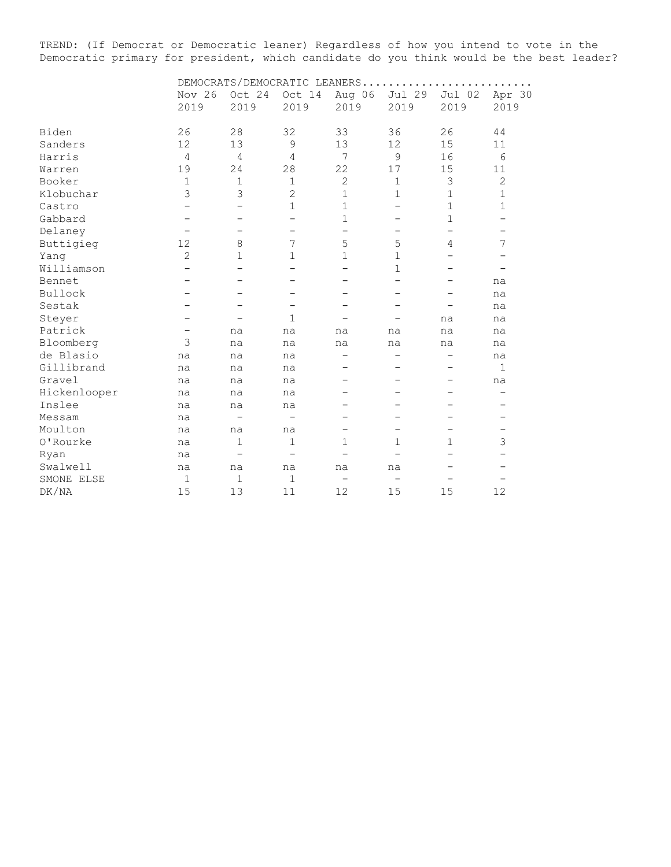TREND: (If Democrat or Democratic leaner) Regardless of how you intend to vote in the Democratic primary for president, which candidate do you think would be the best leader?

|              |                | DEMOCRATS/DEMOCRATIC LEANERS |                          |                          |                          |                          |                          |  |  |  |  |
|--------------|----------------|------------------------------|--------------------------|--------------------------|--------------------------|--------------------------|--------------------------|--|--|--|--|
|              | Nov 26<br>2019 | Oct 24<br>2019               | Oct 14<br>2019           | Aug 06<br>2019           | Jul 29<br>2019           | Jul 02<br>2019           | Apr 30<br>2019           |  |  |  |  |
|              |                |                              |                          |                          |                          |                          |                          |  |  |  |  |
| Biden        | 26             | 28                           | 32                       | 33                       | 36                       | 26                       | 44                       |  |  |  |  |
| Sanders      | 12             | 13                           | 9                        | 13                       | 12                       | 15                       | 11                       |  |  |  |  |
| Harris       | 4              | 4                            | 4                        | $\overline{7}$           | $\mathcal{G}$            | 16                       | 6                        |  |  |  |  |
| Warren       | 19             | 24                           | 28                       | 22                       | 17                       | 15                       | 11                       |  |  |  |  |
| Booker       | $\mathbf{1}$   | $\mathbf 1$                  | $\mathbf 1$              | $\mathbf{2}$             | $\mathbf{1}$             | 3                        | $\mathbf{2}$             |  |  |  |  |
| Klobuchar    | 3              | 3                            | $\overline{2}$           | $\mathbf{1}$             | $\mathbf 1$              | $\mathbf 1$              | $\mathbf 1$              |  |  |  |  |
| Castro       |                |                              | $\mathbf 1$              | $\mathbf{1}$             |                          | $\mathbf 1$              | $\mathbf 1$              |  |  |  |  |
| Gabbard      |                |                              |                          | $\mathbf{1}$             |                          | $\mathbf 1$              | —                        |  |  |  |  |
| Delaney      |                |                              | $\overline{\phantom{0}}$ | $\qquad \qquad -$        |                          | $\overline{\phantom{0}}$ |                          |  |  |  |  |
| Buttigieg    | 12             | $\,8\,$                      | 7                        | 5                        | 5                        | 4                        | 7                        |  |  |  |  |
| Yang         | $\overline{2}$ | $\mathbf{1}$                 | 1                        | $\mathbf{1}$             | $\mathbf 1$              |                          | $\overline{\phantom{0}}$ |  |  |  |  |
| Williamson   |                |                              |                          |                          | $\mathbf 1$              |                          |                          |  |  |  |  |
| Bennet       |                |                              |                          |                          | $\overline{\phantom{0}}$ | —                        | na                       |  |  |  |  |
| Bullock      |                |                              |                          |                          | $\overline{\phantom{0}}$ |                          | na                       |  |  |  |  |
| Sestak       |                |                              | $\qquad \qquad$          |                          |                          |                          | na                       |  |  |  |  |
| Steyer       |                |                              | $\mathbf{1}$             |                          |                          | na                       | na                       |  |  |  |  |
| Patrick      |                | na                           | na                       | na                       | na                       | na                       | na                       |  |  |  |  |
| Bloomberg    | 3              | na                           | na                       | na                       | na                       | na                       | na                       |  |  |  |  |
| de Blasio    | na             | na                           | na                       | $\qquad \qquad$          | —                        | —                        | na                       |  |  |  |  |
| Gillibrand   | na             | na                           | na                       |                          |                          |                          | $\mathbf 1$              |  |  |  |  |
| Gravel       | na             | na                           | na                       |                          |                          |                          | na                       |  |  |  |  |
| Hickenlooper | na             | na                           | na                       |                          |                          |                          |                          |  |  |  |  |
| Inslee       | na             | na                           | na                       |                          |                          |                          | —                        |  |  |  |  |
| Messam       | na             |                              |                          |                          |                          |                          | -                        |  |  |  |  |
| Moulton      | na             | na                           | na                       | $\qquad \qquad -$        | -                        |                          | -                        |  |  |  |  |
| O'Rourke     | na             | $\mathbf{1}$                 | $\mathbf{1}$             | $\mathbf{1}$             | $\mathbf 1$              | $\mathbf{1}$             | $\mathsf 3$              |  |  |  |  |
| Ryan         | na             |                              |                          |                          |                          |                          |                          |  |  |  |  |
| Swalwell     | na             | na                           | na                       | na                       | na                       |                          |                          |  |  |  |  |
| SMONE ELSE   | 1              | $\mathbf{1}$                 | $\mathbf{1}$             | $\overline{\phantom{0}}$ | $\overline{\phantom{0}}$ |                          |                          |  |  |  |  |
| DK/NA        | 15             | 13                           | 11                       | 12                       | 15                       | 15                       | 12                       |  |  |  |  |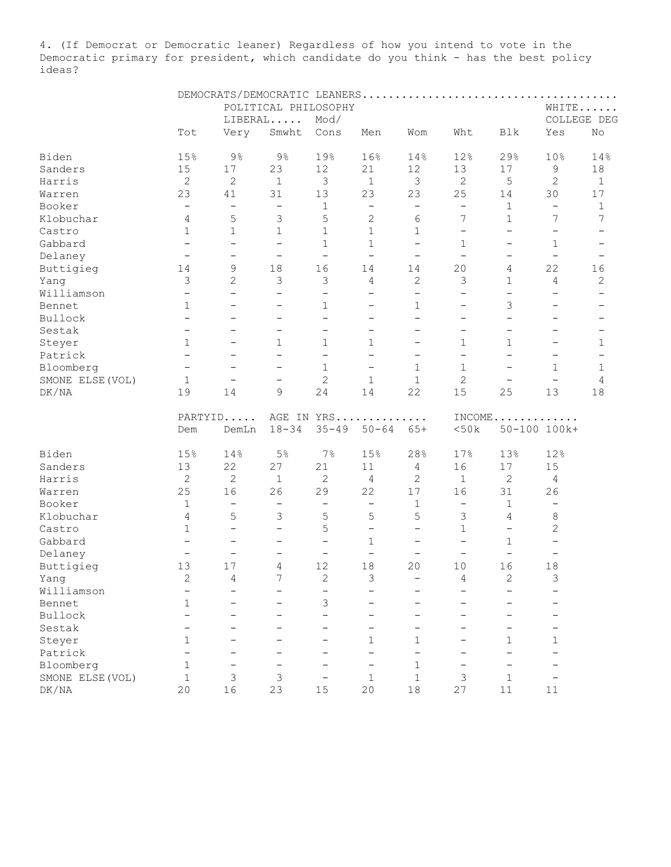4. (If Democrat or Democratic leaner) Regardless of how you intend to vote in the Democratic primary for president, which candidate do you think - has the best policy ideas?

|                  |                          |                          | POLITICAL PHILOSOPHY     |                          | WHITE                    |                          |                          |                          |                                      |                          |
|------------------|--------------------------|--------------------------|--------------------------|--------------------------|--------------------------|--------------------------|--------------------------|--------------------------|--------------------------------------|--------------------------|
|                  |                          |                          | LIBERAL                  | Mod/                     |                          |                          |                          |                          |                                      | COLLEGE DEG              |
|                  | Tot                      | Very                     | Smwht                    | Cons                     | Men                      | Wom                      | Wht                      | Blk                      | Yes                                  | No                       |
| Biden            | 15%                      | $9\frac{6}{6}$           | $9\frac{6}{6}$           | 19%                      | 16%                      | 14%                      | 12%                      | 29%                      | 10%                                  | 14%                      |
| Sanders          | 15                       | $17$                     | 23                       | 12                       | 21                       | 12                       | 13                       | 17                       | 9                                    | 18                       |
| Harris           | $\mathbf{2}$             | $\mathbf{2}$             | $\mathbf{1}$             | 3                        | $\mathbf{1}$             | $\mathcal{S}$            | $\mathbf{2}$             | 5                        | $\mathbf{2}$                         | $\mathbf{1}$             |
| Warren           | 23                       | 41                       | 31                       | 13                       | 23                       | 23                       | 25                       | 14                       | 30                                   | 17                       |
| Booker           | $\overline{\phantom{a}}$ | $\overline{\phantom{a}}$ | $\overline{\phantom{a}}$ | $\mathbf{1}$             | $\overline{\phantom{0}}$ | $\qquad \qquad -$        | $\qquad \qquad -$        | $\mathbf 1$              | $\overline{\phantom{0}}$             | $\mathbf 1$              |
| Klobuchar        | 4                        | 5                        | 3                        | 5                        | $\mathbf{2}$             | 6                        | 7                        | $\mathbf{1}$             | 7                                    | 7                        |
| Castro           | $\mathbf{1}$             | $\mathbf 1$              | $\mathbf 1$              | $\mathbf 1$              | $\mathbf{1}$             | 1                        | $\overline{\phantom{0}}$ | $\overline{\phantom{0}}$ | $\overline{\phantom{a}}$             |                          |
| Gabbard          | $\overline{\phantom{a}}$ | $\overline{\phantom{a}}$ | $\overline{\phantom{m}}$ | $\mathbf{1}$             | $\mathbf{1}$             | $\overline{\phantom{0}}$ | $\mathbf 1$              | $\overline{\phantom{0}}$ | $\mathbf{1}$                         | $\overline{\phantom{m}}$ |
| Delaney          | $\overline{\phantom{a}}$ | $\qquad \qquad -$        | $\overline{\phantom{a}}$ | $\qquad \qquad -$        | $\overline{\phantom{a}}$ | $\qquad \qquad -$        | $\overline{\phantom{a}}$ | $\qquad \qquad -$        | $\overline{\phantom{a}}$             |                          |
| Buttigieg        | 14                       | $\mathsf 9$              | 18                       | 16                       | 14                       | 14                       | 20                       | 4                        | 22                                   | 16                       |
| Yang             | $\mathcal{S}$            | $\overline{2}$           | 3                        | $\mathcal{S}$            | 4                        | $\overline{2}$           | 3                        | $\mathbf 1$              | 4                                    | $\mathbf{2}$             |
| Williamson       | $\qquad \qquad -$        | $\overline{\phantom{0}}$ | $\overline{\phantom{0}}$ | $\qquad \qquad -$        | $\overline{\phantom{0}}$ | $\overline{\phantom{0}}$ | $\equiv$                 | $\overline{\phantom{0}}$ | $\overline{\phantom{0}}$             | $\overline{\phantom{0}}$ |
| Bennet           | $\mathbf{1}$             | $\overline{\phantom{0}}$ | $\qquad \qquad -$        | $\mathbf{1}$             | $\qquad \qquad -$        | $\mathbf{1}$             | $\overline{\phantom{0}}$ | 3                        | $\overline{\phantom{0}}$             |                          |
| Bullock          | $\overline{\phantom{a}}$ | $\overline{\phantom{0}}$ | $\overline{\phantom{0}}$ | $\overline{\phantom{0}}$ | $\qquad \qquad -$        | $\qquad \qquad -$        | $\qquad \qquad -$        | $\overline{\phantom{0}}$ | $\overline{\phantom{0}}$             |                          |
| Sestak           | $\qquad \qquad -$        | $\overline{\phantom{0}}$ | $\qquad \qquad -$        | $\qquad \qquad -$        | $\qquad \qquad -$        | $\qquad \qquad -$        | $\qquad \qquad -$        | $\overline{\phantom{0}}$ | $\qquad \qquad -$                    |                          |
| Steyer           | $\mathbf{1}$             | $\qquad \qquad -$        | $\mathbf{1}$             | $\mathbf 1$              | 1                        | $\qquad \qquad -$        | $\mathbf 1$              | $\mathbf{1}$             | $\overline{\phantom{0}}$             | 1                        |
| Patrick          | $\overline{\phantom{a}}$ | $\qquad \qquad -$        | $\overline{\phantom{0}}$ | $\overline{\phantom{0}}$ | $\overline{\phantom{0}}$ | $\qquad \qquad -$        | $\overline{\phantom{0}}$ | $\overline{\phantom{0}}$ | $\overline{\phantom{0}}$             |                          |
| Bloomberg        | $\overline{\phantom{a}}$ | $\overline{\phantom{a}}$ | $\qquad \qquad -$        | $\mathbf{1}$             | $\qquad \qquad -$        | $\mathbf{1}$             | $\mathbf 1$              | $\overline{\phantom{0}}$ | $\mathbf{1}$                         | $\mathbf{1}$             |
|                  | $\mathbf{1}$             | $\overline{\phantom{a}}$ | $\qquad \qquad -$        | $\overline{c}$           | $\mathbf{1}$             | $\mathbf{1}$             | $\overline{c}$           | $\qquad \qquad -$        | $\overline{\phantom{0}}$             | 4                        |
| SMONE ELSE (VOL) | 19                       | 14                       | 9                        | 24                       | 14                       | 22                       | 15                       | 25                       | 13                                   | 18                       |
| DK/NA            |                          |                          |                          |                          |                          |                          |                          |                          |                                      |                          |
|                  |                          | PARTYID                  |                          |                          | AGE IN YRS               |                          |                          |                          | $INCOME \ldots \ldots \ldots \ldots$ |                          |
|                  | Dem                      | DemLn                    | $18 - 34$                | $35 - 49$                | $50 - 64$                | $65+$                    | <50k                     |                          | 50-100 100k+                         |                          |
| Biden            | 15%                      | 14%                      | 5%                       | 7%                       | 15%                      | 28%                      | 17%                      | 13%                      | 12%                                  |                          |
| Sanders          | 13                       | 22                       | 27                       | 21                       | 11                       | 4                        | 16                       | 17                       | 15                                   |                          |
| Harris           | $\sqrt{2}$               | $\mathbf{2}$             | $\mathbf{1}$             | $\overline{c}$           | 4                        | $\mathbf{2}$             | $\mathbf{1}$             | $\mathbf{2}$             | 4                                    |                          |
| Warren           | 25                       | 16                       | 26                       | 29                       | 22                       | 17                       | 16                       | 31                       | 26                                   |                          |
| Booker           | $1\,$                    | $\overline{\phantom{a}}$ | $\qquad \qquad -$        | $\qquad \qquad -$        | $\qquad \qquad -$        | 1                        | $\overline{\phantom{a}}$ | $\mathbf{1}$             | $\overline{\phantom{m}}$             |                          |
| Klobuchar        | $\overline{4}$           | 5                        | 3                        | 5                        | 5                        | 5                        | 3                        | $\overline{4}$           | 8                                    |                          |
| Castro           | $\mathbf{1}$             | $\overline{\phantom{a}}$ | $\overline{\phantom{0}}$ | 5                        | $\overline{\phantom{0}}$ | $\qquad \qquad -$        | $\mathbf{1}$             | $\overline{\phantom{0}}$ | $\overline{2}$                       |                          |
| Gabbard          | $\overline{\phantom{a}}$ | $\overline{\phantom{a}}$ | $\qquad \qquad -$        | $\qquad \qquad -$        | $\mathbf{1}$             | $\qquad \qquad -$        | $\overline{\phantom{0}}$ | $\mathbf 1$              | $\qquad \qquad -$                    |                          |
| Delaney          | $\overline{\phantom{a}}$ | $\qquad \qquad -$        | $\qquad \qquad -$        | $\overline{\phantom{a}}$ | $\overline{\phantom{0}}$ | $\overline{\phantom{0}}$ | $\qquad \qquad -$        | $\overline{\phantom{0}}$ | $\overline{\phantom{m}}$             |                          |
| Buttigieg        | 13                       | 17                       | 4                        | 12                       | 18                       | 20                       | 10                       | 16                       | 18                                   |                          |
| Yang             | 2                        | 4                        | 7                        | 2                        | 3                        | $\qquad \qquad -$        | 4                        | 2                        | 3                                    |                          |
| Williamson       |                          |                          |                          | -                        |                          |                          |                          |                          |                                      |                          |
| Bennet           | $\mathbf 1$              |                          |                          | 3                        |                          |                          |                          |                          |                                      |                          |
| Bullock          |                          |                          |                          |                          |                          |                          |                          |                          |                                      |                          |
| Sestak           |                          |                          |                          |                          |                          |                          |                          |                          |                                      |                          |
| Steyer           | $\mathbf{1}$             |                          |                          |                          | $\mathbf{1}$             | $\mathbf{1}$             |                          | $\mathbf{1}$             | $\mathbf{1}$                         |                          |
| Patrick          |                          |                          |                          |                          |                          |                          |                          |                          |                                      |                          |
| Bloomberg        | $\mathbf 1$              |                          |                          |                          |                          | 1                        |                          |                          |                                      |                          |
| SMONE ELSE (VOL) | $\mathbf{1}$             | 3                        | 3                        |                          | 1                        | 1                        | 3                        | $\mathbf{1}$             |                                      |                          |
| DK/NA            | 20                       | 16                       | 23                       | 15                       | 20                       | $18\,$                   | 27                       | $11\,$                   | 11                                   |                          |
|                  |                          |                          |                          |                          |                          |                          |                          |                          |                                      |                          |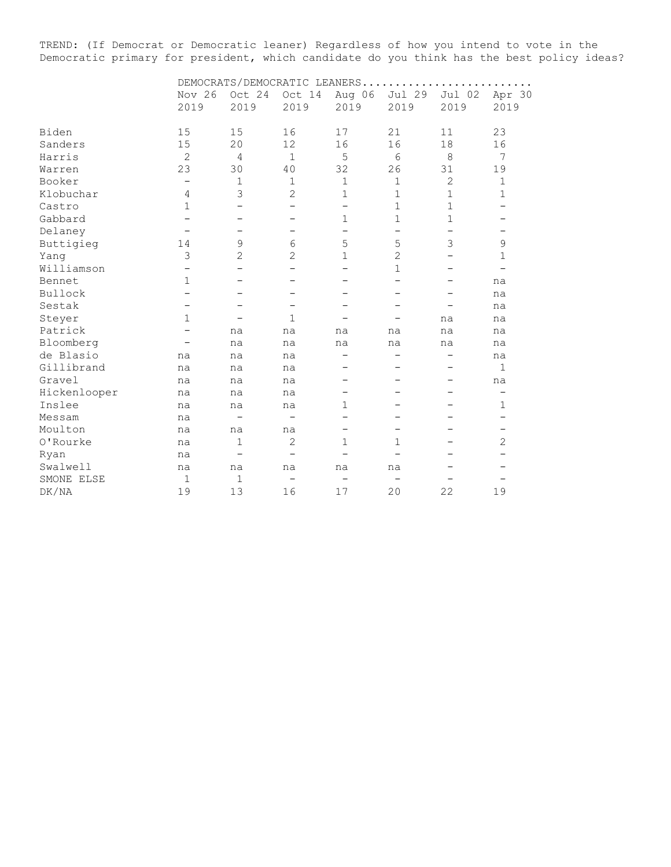TREND: (If Democrat or Democratic leaner) Regardless of how you intend to vote in the Democratic primary for president, which candidate do you think has the best policy ideas?

| Nov 26       | Oct 24         | Oct 14                   | Aug 06            | Jul 29                               | Jul 02                   | Apr 30<br>2019           |  |  |  |
|--------------|----------------|--------------------------|-------------------|--------------------------------------|--------------------------|--------------------------|--|--|--|
|              |                |                          |                   |                                      |                          |                          |  |  |  |
| 15           | 15             | 16                       | 17                | 21                                   | 11                       | 23                       |  |  |  |
| 15           | 20             | 12                       | 16                | 16                                   | 18                       | 16                       |  |  |  |
| $\mathbf{2}$ | 4              | $\mathbf{1}$             | 5                 | 6                                    | 8                        | 7                        |  |  |  |
| 23           | 30             | 40                       | 32                | 26                                   | 31                       | 19                       |  |  |  |
| -            | $\mathbf 1$    | $\mathbf 1$              | $\mathbf{1}$      | $\mathbf 1$                          | $\mathbf{2}$             | $\mathbf 1$              |  |  |  |
| 4            | 3              | $\overline{2}$           | $\mathbf 1$       | $\mathbf{1}$                         | $\mathbf 1$              | $\mathbf{1}$             |  |  |  |
| $\mathbf{1}$ |                |                          |                   | $\mathbf 1$                          | $\mathbf 1$              |                          |  |  |  |
|              |                |                          | $\mathbf 1$       | $\mathbf 1$                          | 1                        | $\qquad \qquad -$        |  |  |  |
|              |                | $\overline{\phantom{0}}$ | $\qquad \qquad -$ | $\overline{\phantom{0}}$             |                          | $\overline{\phantom{0}}$ |  |  |  |
| 14           | 9              | 6                        | 5                 | 5                                    | 3                        | 9                        |  |  |  |
| 3            | $\overline{2}$ | 2                        | $\mathbf 1$       | $\overline{c}$                       |                          | 1                        |  |  |  |
|              |                |                          |                   | $\mathbf{1}$                         |                          | $\overline{\phantom{0}}$ |  |  |  |
| 1            |                |                          |                   |                                      |                          | na                       |  |  |  |
|              |                |                          |                   | —                                    |                          | na                       |  |  |  |
|              |                | -                        |                   |                                      |                          | na                       |  |  |  |
| $\mathbf{1}$ |                | $\mathbf{1}$             |                   |                                      | na                       | na                       |  |  |  |
|              | na             | na                       | na                | na                                   | na                       | na                       |  |  |  |
|              | na             | na                       | na                | na                                   | na                       | na                       |  |  |  |
| na           | na             | na                       |                   |                                      | $\overline{\phantom{0}}$ | na                       |  |  |  |
| na           | na             | na                       |                   |                                      |                          | 1                        |  |  |  |
| na           | na             | na                       |                   |                                      |                          | na                       |  |  |  |
| na           | na             | na                       |                   |                                      |                          | $\overline{\phantom{0}}$ |  |  |  |
| na           | na             | na                       | $\mathbf{1}$      |                                      |                          | $\mathbf 1$              |  |  |  |
| na           |                |                          |                   |                                      | —                        | $\qquad \qquad -$        |  |  |  |
| na           | na             | na                       | -                 | $\qquad \qquad$                      |                          | $\qquad \qquad -$        |  |  |  |
| na           | 1              | 2                        | 1                 | 1                                    |                          | $\mathbf{2}$             |  |  |  |
| na           |                | $\overline{\phantom{0}}$ |                   |                                      |                          |                          |  |  |  |
| na           | na             | na                       | na                | na                                   |                          |                          |  |  |  |
| $\mathbf{1}$ | $\mathbf{1}$   |                          |                   |                                      |                          |                          |  |  |  |
| 19           |                | 16                       | 17                | 20                                   | 22                       | 19                       |  |  |  |
|              | 2019           | 2019<br>13               | 2019              | DEMOCRATS/DEMOCRATIC LEANERS<br>2019 | 2019                     | 2019                     |  |  |  |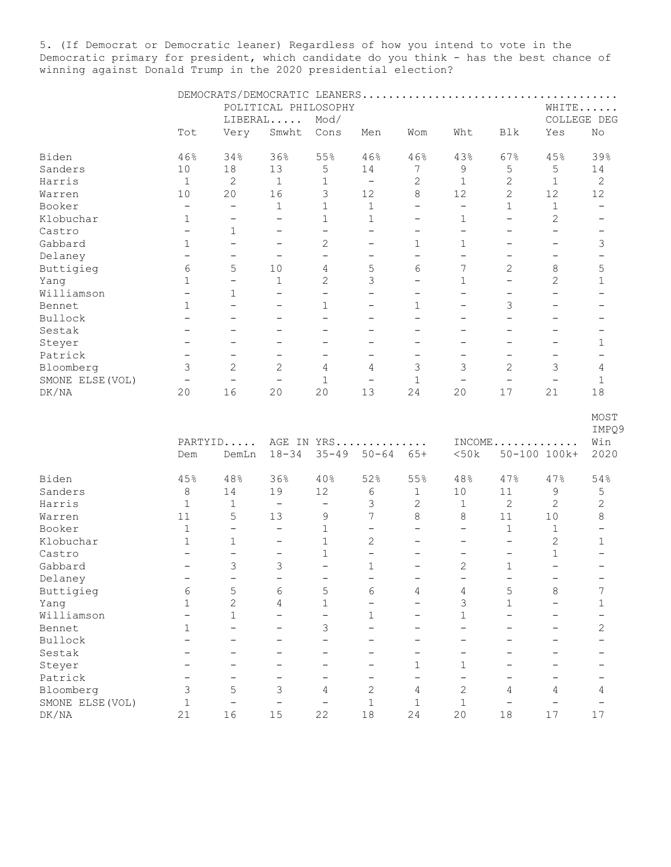5. (If Democrat or Democratic leaner) Regardless of how you intend to vote in the Democratic primary for president, which candidate do you think - has the best chance of winning against Donald Trump in the 2020 presidential election?

|                  |                          |                          | POLITICAL PHILOSOPHY     |                          |                          |                          |                          |                          | WHITE                    |                              |
|------------------|--------------------------|--------------------------|--------------------------|--------------------------|--------------------------|--------------------------|--------------------------|--------------------------|--------------------------|------------------------------|
|                  |                          |                          | LIBERAL                  | Mod/                     |                          |                          |                          |                          | COLLEGE DEG              |                              |
|                  | Tot                      | Very                     | Smwht                    | Cons                     | Men                      | Wom                      | Wht                      | Blk                      | Yes                      | No                           |
|                  |                          |                          |                          |                          |                          |                          |                          |                          |                          |                              |
| Biden            | 46%                      | 34%                      | 36%                      | 55%                      | 46%                      | 46%                      | 43%                      | 67%                      | 45%                      | 39%                          |
| Sanders          | 10                       | 18                       | 13                       | 5                        | 14                       | 7                        | 9                        | 5                        | 5                        | 14                           |
| Harris           | $\mathbf{1}$             | $\mathbf{2}$             | $\mathbf 1$              | $\mathbf 1$              | $\overline{\phantom{a}}$ | $\mathbf{2}$             | $\mathbf{1}$             | $\mathbf{2}$             | $\mathbf 1$              | $\sqrt{2}$                   |
| Warren           | $10$                     | 20                       | 16                       | 3                        | 12                       | 8                        | 12                       | $\overline{c}$           | 12                       | 12                           |
| Booker           | $\qquad \qquad -$        | $\qquad \qquad -$        | $\mathbf 1$              | $\mathbf{1}$             | $\mathbf{1}$             | $\qquad \qquad -$        | $\qquad \qquad -$        | $\mathbf{1}$             | $\mathbf 1$              | $\qquad \qquad -$            |
| Klobuchar        | 1                        | $\qquad \qquad -$        | $\qquad \qquad -$        | $\mathbf{1}$             | $\mathbf{1}$             | $\overline{\phantom{0}}$ | $\mathbf 1$              | $\overline{\phantom{0}}$ | 2                        | $\overline{\phantom{0}}$     |
| Castro           | $\overline{\phantom{0}}$ | $\mathbf 1$              | $\qquad \qquad -$        | $\qquad \qquad -$        | $\qquad \qquad -$        | $\overline{\phantom{m}}$ | $\qquad \qquad -$        | $\qquad \qquad -$        | $\qquad \qquad -$        | $\overline{\phantom{m}}$     |
| Gabbard          | 1                        | $\overline{\phantom{m}}$ | $\overline{\phantom{0}}$ | 2                        | $\overline{\phantom{0}}$ | 1                        | $\mathbf 1$              | $\qquad \qquad -$        | $\qquad \qquad -$        | 3                            |
| Delaney          | $\qquad \qquad -$        | $\qquad \qquad -$        | $\overline{\phantom{0}}$ | $\overline{\phantom{0}}$ | $\overline{\phantom{a}}$ | $\qquad \qquad -$        | $\qquad \qquad -$        | $\overline{\phantom{a}}$ | $\qquad \qquad -$        | $\qquad \qquad -$            |
| Buttigieg        | $\epsilon$               | 5                        | 10                       | 4                        | 5                        | 6                        | 7                        | $\mathbf{2}$             | 8                        | 5                            |
| Yang             | $\mathbf{1}$             | $\overline{\phantom{0}}$ | 1                        | 2                        | 3                        | $\overline{\phantom{0}}$ | $\mathbf{1}$             | $\qquad \qquad -$        | 2                        | $\mathbf 1$                  |
| Williamson       | $\qquad \qquad -$        | $\mathbf{1}$             | $\overline{\phantom{0}}$ | $\overline{\phantom{0}}$ | $\overline{\phantom{0}}$ | $\overline{\phantom{0}}$ | $\qquad \qquad -$        | $\qquad \qquad -$        | $\overline{\phantom{0}}$ | $\qquad \qquad -$            |
|                  |                          | $\overline{\phantom{0}}$ |                          |                          |                          |                          |                          |                          |                          |                              |
| Bennet           | $\mathbf{1}$             |                          | $\overline{\phantom{0}}$ | $\mathbf 1$              |                          | $\mathbf 1$              | $\overline{\phantom{0}}$ | 3                        | $\overline{\phantom{0}}$ |                              |
| Bullock          | $\overline{\phantom{0}}$ | $\overline{\phantom{0}}$ | $\overline{\phantom{0}}$ | $\overline{\phantom{0}}$ | $\overline{\phantom{0}}$ | $\overline{\phantom{0}}$ | $\overline{\phantom{0}}$ | $\overline{\phantom{0}}$ | $\overline{\phantom{0}}$ |                              |
| Sestak           | $\qquad \qquad -$        | $\overline{\phantom{0}}$ | $\overline{\phantom{0}}$ | $\overline{\phantom{0}}$ |                          |                          | $\overline{\phantom{0}}$ | $\overline{\phantom{0}}$ | $\overline{\phantom{0}}$ | $\qquad \qquad -$            |
| Steyer           | $\overline{\phantom{a}}$ | $\qquad \qquad -$        | $\qquad \qquad -$        | -                        | $\qquad \qquad -$        |                          | $\qquad \qquad -$        | $\qquad \qquad -$        | $\qquad \qquad -$        | $\mathbf{1}$                 |
| Patrick          | $\overline{\phantom{a}}$ | $\qquad \qquad -$        | $\qquad \qquad -$        | $\overline{\phantom{0}}$ | $\overline{\phantom{0}}$ | $\overline{\phantom{m}}$ | $\qquad \qquad -$        | $\qquad \qquad -$        | $\qquad \qquad -$        | $\qquad \qquad -$            |
| Bloomberg        | 3                        | $\overline{c}$           | $\overline{c}$           | 4                        | 4                        | 3                        | 3                        | 2                        | 3                        | 4                            |
| SMONE ELSE (VOL) | $\overline{\phantom{m}}$ | $\overline{\phantom{0}}$ | $\qquad \qquad -$        | $\mathbf{1}$             | $\overline{\phantom{0}}$ | $\mathbf 1$              | $\qquad \qquad -$        | $\qquad \qquad -$        | $\qquad \qquad -$        | $\mathbf{1}$                 |
| DK/NA            | 20                       | 16                       | 20                       | 20                       | 13                       | 24                       | 20                       | 17                       | 21                       | 18                           |
|                  | Dem                      | PARTYID<br>DemLn         | $18 - 34$                | $35 - 49$                | AGE IN YRS<br>$50 - 64$  | $65+$                    | <50k                     | $INCOME$                 | 50-100 100k+             | MOST<br>IMPQ!<br>Win<br>2020 |
|                  |                          |                          |                          |                          |                          |                          |                          |                          |                          |                              |
| Biden            | 45%                      | 48%                      | 36%                      | 40%                      | 52%                      | 55%                      | 48%                      | 47%                      | 47%                      | 54%                          |
| Sanders          | 8                        | 14                       | 19                       | 12                       | 6                        | 1                        | 10                       | 11                       | 9                        | 5                            |
| Harris           | $\mathbf{1}$             | $\mathbf{1}$             | $\qquad \qquad -$        | $\qquad \qquad -$        | 3                        | $\mathbf{2}$             | $\mathbf{1}$             | $\mathbf{2}$             | $\mathbf{2}$             | $\overline{c}$               |
| Warren           | 11                       | 5                        | 13                       | 9                        | $7\overline{ }$          | 8                        | 8                        | 11                       | 10                       | 8                            |
| Booker           | $\mathbf 1$              | $\overline{\phantom{0}}$ | $\overline{\phantom{0}}$ | $\mathbf{1}$             | $\overline{\phantom{0}}$ | $\overline{\phantom{0}}$ | $\overline{\phantom{0}}$ | $\mathbf 1$              | $\mathbf 1$              |                              |
| Klobuchar        | $\mathbf 1$              | $\mathbf{1}$             | $\qquad \qquad -$        | $\mathbf{1}$             | $\overline{c}$           | $\overline{\phantom{0}}$ | $\qquad \qquad -$        | $\overline{\phantom{0}}$ | 2                        | $\mathbf{1}$                 |
| Castro           | $\overline{\phantom{0}}$ | $\overline{\phantom{0}}$ | $\qquad \qquad -$        | $\mathbf{1}$             | $\overline{\phantom{0}}$ |                          | $\qquad \qquad -$        | $\qquad \qquad -$        | $\mathbf 1$              |                              |
| Gabbard          | $\qquad \qquad -$        | 3                        | 3                        | $\overline{\phantom{0}}$ | $\mathbf{1}$             | $\overline{\phantom{m}}$ | 2                        | 1                        | $\overline{\phantom{0}}$ | -                            |
| Delaney          | $\qquad \qquad -$        | $\qquad \qquad -$        | $\qquad \qquad -$        | -                        | <u>—</u>                 | $\qquad \qquad -$        | $\qquad \qquad -$        | $\qquad \qquad -$        | -                        |                              |
|                  |                          |                          |                          |                          |                          |                          |                          |                          |                          |                              |
| Buttigieg        | 6                        | 5                        | 6                        | 5                        | 6                        | 4                        | 4                        | $\mathsf S$              | 8                        | 7                            |
| Yang             | $\mathbf 1$              | $\overline{2}$           | 4                        | $\mathbf{1}$             | $\overline{\phantom{0}}$ |                          | 3                        | $\mathbf{1}$             |                          | 1                            |
| Williamson       | $\qquad \qquad -$        | $\mathbf{1}$             | $\overline{\phantom{0}}$ | $\overline{\phantom{0}}$ | $\mathbf{1}$             |                          | 1                        |                          |                          | $\overline{\phantom{0}}$     |
| Bennet           | 1                        | $\overline{\phantom{0}}$ |                          | 3                        | $\overline{\phantom{0}}$ |                          |                          |                          |                          | 2                            |
| Bullock          |                          |                          |                          | $\overline{\phantom{0}}$ |                          |                          |                          |                          |                          |                              |
| Sestak           |                          |                          |                          |                          |                          |                          |                          |                          |                          |                              |
| Steyer           |                          |                          |                          |                          |                          | $\mathbf 1$              | 1                        |                          |                          |                              |
| Patrick          |                          |                          |                          |                          |                          |                          | —                        |                          |                          | -                            |
| Bloomberg        | 3                        | 5                        | 3                        | 4                        | $\overline{2}$           | 4                        | $\mathbf{2}$             | 4                        | 4                        | 4                            |
| SMONE ELSE (VOL) | $\mathbf 1$              | $\overline{\phantom{0}}$ | $\qquad \qquad -$        | $\qquad \qquad -$        | $\mathbf{1}$             | $\mathbf 1$              | $\mathbf 1$              | $\overline{\phantom{0}}$ | $\qquad \qquad -$        | $\qquad \qquad -$            |
| $\rm DK/NA$      | 21                       | 16                       | 15                       | 22                       | 18                       | 24                       | 20                       | 18                       | 17                       | $17$                         |

IMPQ9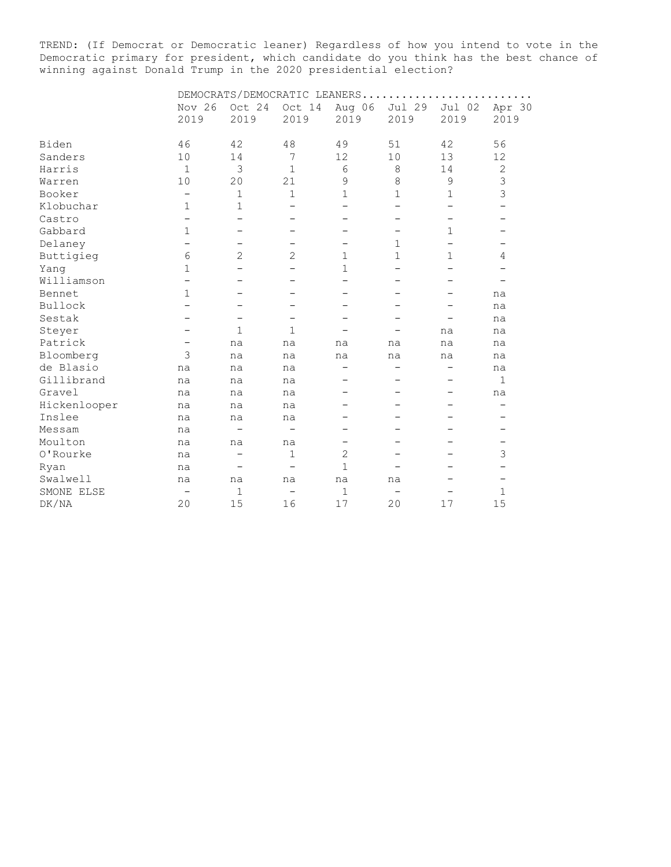TREND: (If Democrat or Democratic leaner) Regardless of how you intend to vote in the Democratic primary for president, which candidate do you think has the best chance of winning against Donald Trump in the 2020 presidential election?

|              | DEMOCRATS/DEMOCRATIC LEANERS |                          |                          |                          |                          |                          |                          |  |  |  |
|--------------|------------------------------|--------------------------|--------------------------|--------------------------|--------------------------|--------------------------|--------------------------|--|--|--|
|              | Nov 26                       | Oct 24                   | Oct 14                   | Aug 06                   | Jul 29                   | Jul 02                   | Apr 30                   |  |  |  |
|              | 2019                         | 2019                     | 2019                     | 2019                     | 2019                     | 2019                     | 2019                     |  |  |  |
| Biden        | 46                           | 42                       | 48                       | 49                       | 51                       | 42                       | 56                       |  |  |  |
| Sanders      | 10                           | 14                       | 7                        | 12                       | 10                       | 13                       | 12                       |  |  |  |
| Harris       | $\mathbf{1}$                 | 3                        | $\mathbf 1$              | 6                        | 8                        | 14                       | $\sqrt{2}$               |  |  |  |
| Warren       | 10                           | 20                       | 21                       | 9                        | $\,8\,$                  | 9                        | 3                        |  |  |  |
| Booker       | $\qquad \qquad -$            | $\mathbf 1$              | $\mathbf{1}$             | 1                        | 1                        | 1                        | 3                        |  |  |  |
| Klobuchar    | 1                            | $\mathbf 1$              |                          |                          |                          |                          | $\overline{\phantom{0}}$ |  |  |  |
| Castro       |                              |                          |                          |                          |                          |                          |                          |  |  |  |
| Gabbard      | $\mathbf{1}$                 |                          |                          |                          |                          | $\mathbf{1}$             |                          |  |  |  |
| Delaney      |                              |                          |                          |                          | 1                        | $\overline{\phantom{0}}$ |                          |  |  |  |
| Buttigieg    | 6                            | 2                        | 2                        | $\mathbf 1$              | 1                        | 1                        | 4                        |  |  |  |
| Yang         | 1                            |                          |                          | $\mathbf{1}$             |                          |                          | $\overline{\phantom{0}}$ |  |  |  |
| Williamson   |                              |                          |                          |                          |                          |                          |                          |  |  |  |
| Bennet       | $\mathbf 1$                  |                          |                          |                          |                          | -                        | na                       |  |  |  |
| Bullock      |                              |                          |                          |                          |                          |                          | na                       |  |  |  |
| Sestak       |                              | $\qquad \qquad$          | $\qquad \qquad -$        |                          |                          |                          | na                       |  |  |  |
| Steyer       |                              | 1                        | $\mathbf{1}$             |                          |                          | na                       | na                       |  |  |  |
| Patrick      |                              | na                       | na                       | na                       | na                       | na                       | na                       |  |  |  |
| Bloomberg    | 3                            | na                       | na                       | na                       | na                       | na                       | na                       |  |  |  |
| de Blasio    | na                           | na                       | na                       | $\overline{\phantom{0}}$ | $\overline{\phantom{0}}$ | $\overline{\phantom{0}}$ | na                       |  |  |  |
| Gillibrand   | na                           | na                       | na                       |                          |                          | -                        | $\mathbf 1$              |  |  |  |
| Gravel       | na                           | na                       | na                       |                          |                          |                          | na                       |  |  |  |
| Hickenlooper | na                           | na                       | na                       |                          |                          |                          | $\qquad \qquad -$        |  |  |  |
| Inslee       | na                           | na                       | na                       |                          |                          |                          | —                        |  |  |  |
| Messam       | na                           | $\overline{\phantom{0}}$ | $\qquad \qquad$          |                          |                          |                          | $\qquad \qquad -$        |  |  |  |
| Moulton      | na                           | na                       | na                       | $\qquad \qquad -$        |                          |                          | -                        |  |  |  |
| 0'Rourke     | na                           |                          | $\mathbf 1$              | $\overline{c}$           |                          |                          | 3                        |  |  |  |
| Ryan         | na                           |                          | $\overline{\phantom{0}}$ | $\mathbf{1}$             |                          |                          | $\qquad \qquad -$        |  |  |  |
| Swalwell     | na                           | na                       | na                       | na                       | na                       |                          | $\overline{\phantom{0}}$ |  |  |  |
| SMONE ELSE   |                              | $\mathbf{1}$             | $\overline{\phantom{0}}$ | $\mathbf{1}$             | $\overline{\phantom{0}}$ |                          | 1                        |  |  |  |
| DK/NA        | 20                           | 15                       | 16                       | 17                       | 20                       | 17                       | 15                       |  |  |  |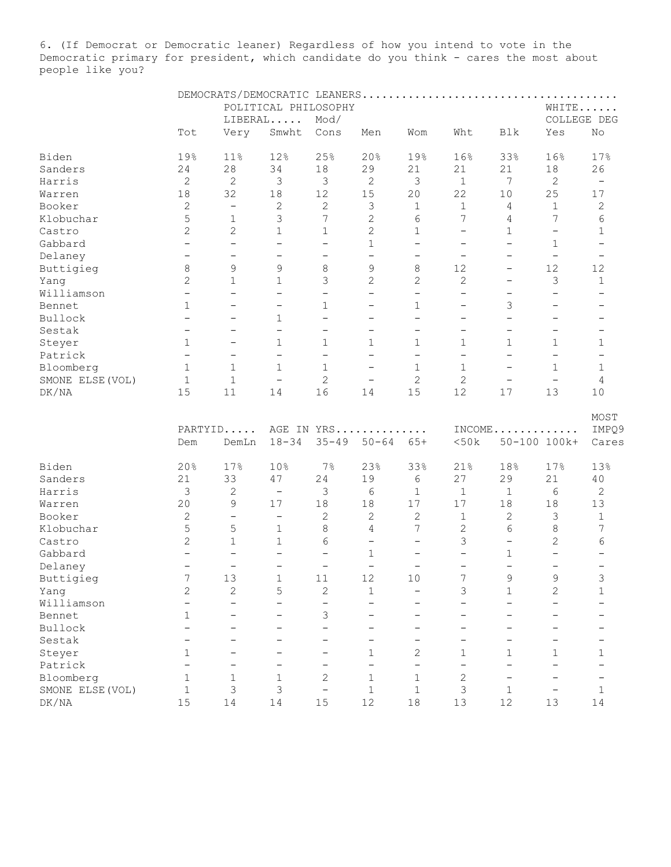6. (If Democrat or Democratic leaner) Regardless of how you intend to vote in the Democratic primary for president, which candidate do you think - cares the most about people like you?

|                  |                          |                          | POLITICAL PHILOSOPHY     |                          |                          |                          |                          |                          | WHITE                    |                          |  |
|------------------|--------------------------|--------------------------|--------------------------|--------------------------|--------------------------|--------------------------|--------------------------|--------------------------|--------------------------|--------------------------|--|
|                  |                          |                          | LIBERAL                  | Mod/                     |                          |                          |                          |                          |                          | COLLEGE DEG              |  |
|                  | Tot                      | Very                     | Smwht                    | Cons                     | Men                      | Wom                      | Wht                      | Blk                      | Yes                      | No                       |  |
|                  |                          |                          |                          |                          |                          |                          |                          |                          |                          |                          |  |
| Biden            | 19%                      | 11%                      | 12%                      | 25%                      | 20%                      | 19%                      | 16%                      | 33%                      | 16%                      | 17%                      |  |
| Sanders          | 24                       | 28                       | 34                       | $18\,$                   | 29                       | 21                       | 21                       | 21                       | 18                       | 26                       |  |
| Harris           | 2                        | $\mathbf{2}$             | 3                        | 3                        | $\sqrt{2}$               | 3                        | $\mathbf{1}$             | $7\phantom{.0}$          | $\mathbf{2}$             | $\overline{\phantom{m}}$ |  |
| Warren           | 18                       | 32                       | $18\,$                   | 12                       | 15                       | 20                       | 22                       | 10                       | 25                       | 17                       |  |
| Booker           | $\mathbf{2}$             | $\overline{\phantom{m}}$ | $\sqrt{2}$               | $\mathbf{2}$             | 3                        | 1                        | $\mathbf{1}$             | 4                        | $\mathbf 1$              | $\mathbf{2}$             |  |
| Klobuchar        | 5                        | $\mathbf 1$              | 3                        | 7                        | $\mathbf{2}$             | 6                        | $\boldsymbol{7}$         | 4                        | 7                        | 6                        |  |
| Castro           | $\overline{c}$           | $\sqrt{2}$               | $\mathbf 1$              | 1                        | $\overline{c}$           | 1                        | $\overline{\phantom{a}}$ | $\mathbf 1$              | $\qquad \qquad -$        | $\mathbf 1$              |  |
| Gabbard          | $\overline{\phantom{0}}$ | $\overline{\phantom{0}}$ | $\overline{\phantom{m}}$ | $\qquad \qquad -$        | $\mathbf{1}$             | $\overline{\phantom{0}}$ | $\overline{\phantom{0}}$ | $\qquad \qquad -$        | $\mathbf{1}$             | $\overline{\phantom{0}}$ |  |
| Delaney          | $\qquad \qquad -$        | $\qquad \qquad -$        | $\overline{\phantom{m}}$ | $\qquad \qquad -$        | $\qquad \qquad -$        | $\qquad \qquad -$        | $\overline{\phantom{m}}$ | $\qquad \qquad -$        | $\qquad \qquad -$        |                          |  |
| Buttigieg        | 8                        | 9                        | 9                        | 8                        | 9                        | 8                        | 12                       | $\qquad \qquad -$        | 12                       | 12                       |  |
| Yang             | $\overline{2}$           | $\mathbf{1}$             | $\mathbf{1}$             | 3                        | $\overline{2}$           | $\overline{c}$           | $\overline{c}$           | $\qquad \qquad -$        | 3                        | $\mathbf{1}$             |  |
| Williamson       | $\equiv$                 | $\overline{\phantom{0}}$ | $\overline{\phantom{0}}$ | $\overline{\phantom{0}}$ | $\overline{\phantom{0}}$ | $\overline{\phantom{0}}$ | $\overline{\phantom{0}}$ | $\qquad \qquad -$        | $\overline{\phantom{0}}$ |                          |  |
|                  | $\mathbf{1}$             | $\overline{\phantom{0}}$ |                          |                          |                          |                          |                          |                          | $\qquad \qquad -$        |                          |  |
| Bennet           |                          |                          | $\qquad \qquad -$        | $\mathbf 1$              |                          | $\mathbf 1$              | $\qquad \qquad -$        | 3                        |                          |                          |  |
| Bullock          | $\qquad \qquad -$        | $\overline{\phantom{0}}$ | $\mathbf{1}$             | $\overline{\phantom{0}}$ | $\overline{\phantom{0}}$ | $\overline{\phantom{0}}$ | $\overline{\phantom{0}}$ | $\overline{\phantom{0}}$ | $\overline{\phantom{0}}$ | $\qquad \qquad -$        |  |
| Sestak           | $\qquad \qquad -$        | $\overline{\phantom{0}}$ | $\overline{\phantom{0}}$ | $\qquad \qquad -$        | $\qquad \qquad -$        | $\qquad \qquad -$        | $\overline{\phantom{0}}$ | $\qquad \qquad -$        | $\overline{\phantom{0}}$ | $\qquad \qquad -$        |  |
| Steyer           | $\mathbf{1}$             | $\qquad \qquad -$        | $\mathbf{1}$             | 1                        | $\mathbf{1}$             | 1                        | $\mathbf{1}$             | 1                        | $\mathbf{1}$             | 1                        |  |
| Patrick          | $\overline{\phantom{0}}$ | $\qquad \qquad -$        | $\overline{\phantom{0}}$ | $\overline{\phantom{0}}$ | $\overline{\phantom{0}}$ | $\overline{\phantom{0}}$ | $\overline{\phantom{0}}$ | $\qquad \qquad -$        | $\qquad \qquad -$        |                          |  |
| Bloomberg        | $\mathbf{1}$             | $\mathbf{1}$             | $\mathbf{1}$             | $\mathbf{1}$             |                          | 1                        | $\mathbf{1}$             | $\qquad \qquad -$        | $\mathbf{1}$             | $\mathbf{1}$             |  |
| SMONE ELSE (VOL) | $\mathbf{1}$             | $\mathbf{1}$             | $\overline{\phantom{0}}$ | $\overline{2}$           | $\overline{\phantom{0}}$ | 2                        | $\mathbf{2}$             | $\overline{\phantom{0}}$ | $\overline{\phantom{0}}$ | 4                        |  |
| DK/NA            | 15                       | 11                       | 14                       | 16                       | 14                       | 15                       | 12                       | 17                       | 13                       | 10                       |  |
|                  |                          |                          |                          |                          |                          |                          |                          |                          |                          |                          |  |
|                  | PARTYID                  |                          |                          |                          | AGE IN YRS               |                          |                          |                          | $INCOME$                 | MOST<br>IMPQ9            |  |
|                  | Dem                      | DemLn                    | $18 - 34$                | $35 - 49$                | $50 - 64$                | $65+$                    | <50k                     |                          | 50-100 100k+             | Cares                    |  |
|                  |                          |                          |                          |                          |                          |                          |                          |                          |                          |                          |  |
| Biden            | 20%                      | 17%                      | 10%                      | $7\%$                    | 23%                      | 33%                      | 21%                      | 18%                      | 17%                      | 13%                      |  |
| Sanders          | 21                       | 33                       | 47                       | 24                       | 19                       | 6                        | 27                       | 29                       | 21                       | 40                       |  |
| Harris           | 3                        | 2                        | $\overline{\phantom{a}}$ | 3                        | 6                        | $\mathbf{1}$             | $\mathbf{1}$             | $\mathbf 1$              | 6                        | 2                        |  |
| Warren           | 20                       | 9                        | 17                       | 18                       | 18                       | $17$                     | 17                       | 18                       | 18                       | 13                       |  |
| Booker           | $\mathbf{2}$             | $\qquad \qquad -$        | $\overline{\phantom{a}}$ | $\sqrt{2}$               | $\mathbf{2}$             | $\mathbf{2}$             | $\mathbf{1}$             | $\overline{c}$           | 3                        | $\,1\,$                  |  |
| Klobuchar        | 5                        | 5                        | $\mathbf{1}$             | 8                        | 4                        | 7                        | $\sqrt{2}$               | 6                        | $\,8\,$                  | 7                        |  |
| Castro           | $\mathbf{2}$             | $\mathbf{1}$             | $\mathbf 1$              | 6                        | $\overline{\phantom{0}}$ | $\qquad \qquad -$        | 3                        | $\overline{\phantom{0}}$ | $\overline{c}$           | 6                        |  |
| Gabbard          | $\overline{\phantom{0}}$ | $\overline{\phantom{0}}$ | $\overline{\phantom{a}}$ | $\qquad \qquad -$        | $\mathbf 1$              | $\qquad \qquad -$        | $\overline{\phantom{0}}$ | 1                        | $\overline{\phantom{0}}$ |                          |  |
|                  | $\overline{\phantom{m}}$ | $\qquad \qquad -$        | $\overline{\phantom{m}}$ | $\overline{\phantom{a}}$ | $\qquad \qquad -$        | $\qquad \qquad -$        | $\overline{\phantom{0}}$ | $\qquad \qquad -$        | $\qquad \qquad -$        |                          |  |
| Delaney          |                          |                          |                          |                          |                          |                          |                          | $\mathsf{Q}$             | $\mathsf{Q}$             | $\qquad \qquad -$        |  |
| Buttigieg        | 7                        | 13                       | 1                        | 11                       | 12                       | 10                       | 7                        |                          |                          | 3                        |  |
| Yang             | 2                        | 2                        | 5                        | $\mathbf{2}$             | $\mathbf{1}$             | -                        | 3                        | 1                        | $\mathbf{2}$             | $\mathbf 1$              |  |
| Williamson       |                          | $\overline{\phantom{0}}$ |                          | $\qquad \qquad -$        |                          |                          |                          |                          |                          |                          |  |
| Bennet           | $\mathbf 1$              |                          |                          | 3                        |                          |                          |                          |                          |                          |                          |  |
| Bullock          |                          |                          |                          |                          |                          |                          |                          |                          |                          |                          |  |
| Sestak           |                          |                          |                          |                          |                          |                          |                          |                          |                          |                          |  |
| Steyer           | 1                        |                          |                          |                          | 1                        | 2                        | $\mathbf 1$              | 1                        | 1                        | 1                        |  |
| Patrick          |                          |                          |                          |                          | $\overline{\phantom{0}}$ |                          |                          |                          |                          |                          |  |
| Bloomberg        | $\mathbf 1$              | 1                        | 1                        | 2                        | 1                        | 1                        | $\mathbf{2}$             | $\qquad \qquad -$        | $\qquad \qquad -$        |                          |  |
| SMONE ELSE (VOL) | $\mathbf 1$              | 3                        | 3                        | $\qquad \qquad -$        | $1\,$                    | $\mathbf 1$              | 3                        | $\mathbf 1$              | -                        | $\mathbf 1$              |  |
| DK/NA            | 15                       | 14                       | 14                       | 15                       | 12                       | $18\,$                   | 13                       | 12                       | 13                       | 14                       |  |
|                  |                          |                          |                          |                          |                          |                          |                          |                          |                          |                          |  |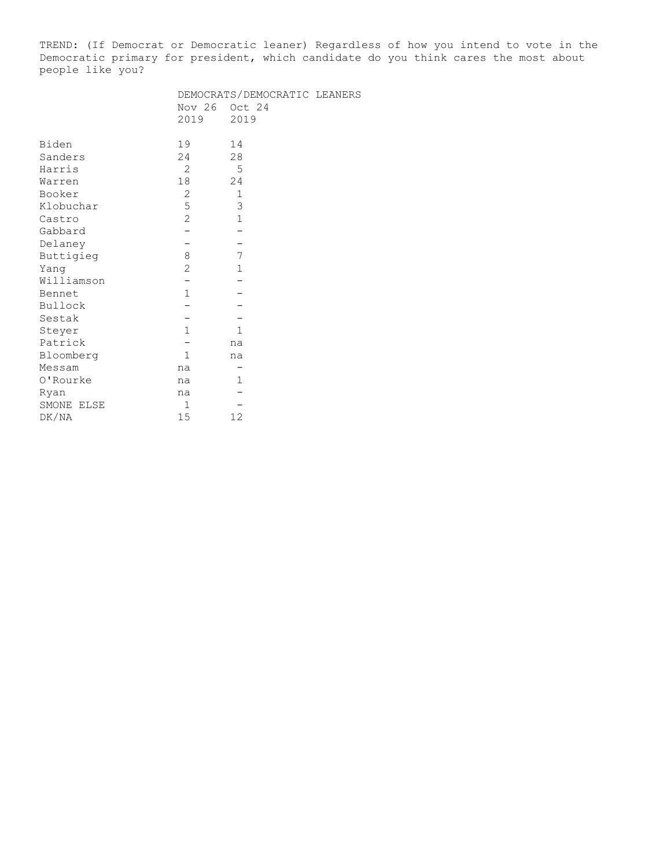TREND: (If Democrat or Democratic leaner) Regardless of how you intend to vote in the Democratic primary for president, which candidate do you think cares the most about people like you?

|                |                | DEMOCRATS/DEMOCRATIC LEANERS |  |
|----------------|----------------|------------------------------|--|
|                | Nov 26         | Oct 24                       |  |
|                | 2019           | 2019                         |  |
|                |                |                              |  |
| Biden          | 19             | 14                           |  |
| Sanders        | 24             | 28                           |  |
| Harris         | $\overline{2}$ | 5                            |  |
| Warren         | 18             | 24                           |  |
| Booker         | 2              | $\mathbf 1$                  |  |
| Klobuchar      | 5              | 3                            |  |
| Castro         | $\overline{2}$ | $\mathbf{1}$                 |  |
| Gabbard        |                |                              |  |
| Delaney        |                |                              |  |
| Buttigieg      | $\,8\,$        | 7                            |  |
| Yang           | $\overline{c}$ | $\mathbf{1}$                 |  |
| Williamson     |                |                              |  |
| Bennet         | $\mathbf{1}$   |                              |  |
| <b>Bullock</b> |                |                              |  |
| Sestak         |                |                              |  |
| Steyer         | $\mathbf{1}$   | $\mathbf{1}$                 |  |
| Patrick        |                | na                           |  |
| Bloomberg      | $\mathbf{1}$   | na                           |  |
| Messam         | na             |                              |  |
| 0'Rourke       | na             | 1                            |  |
| Ryan           | na             |                              |  |
| SMONE ELSE     | $\mathbf{1}$   |                              |  |
| DK/NA          | 15             | 12                           |  |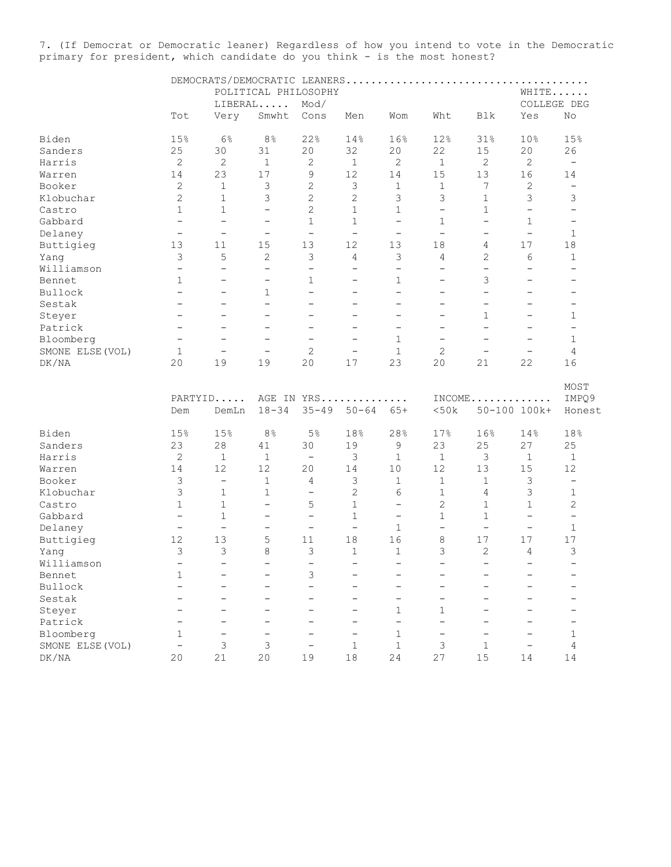7. (If Democrat or Democratic leaner) Regardless of how you intend to vote in the Democratic primary for president, which candidate do you think - is the most honest?

|                     |                          | DEMOCRATS/DEMOCRATIC LEANERS |                          |                          |                          |                          |                          |                          | .                        |                          |
|---------------------|--------------------------|------------------------------|--------------------------|--------------------------|--------------------------|--------------------------|--------------------------|--------------------------|--------------------------|--------------------------|
|                     |                          |                              | POLITICAL PHILOSOPHY     |                          |                          |                          |                          |                          | WHITE                    |                          |
|                     |                          |                              | LIBERAL                  | Mod/                     |                          |                          |                          |                          | COLLEGE DEG              |                          |
|                     | Tot                      | Very                         | Smwht                    | Cons                     | Men                      | Wom                      | Wht                      | Blk                      | Yes                      | No                       |
| Biden               | 15%                      | 6%                           | 8 <sup>°</sup>           | 22%                      | 14%                      | 16%                      | 12%                      | 31%                      | 10%                      | 15%                      |
| Sanders             | 25                       | 30                           | 31                       | 20                       | 32                       | 20                       | 22                       | 15                       | 20                       | 26                       |
| Harris              | $\mathbf{2}$             | $\mathbf{2}$                 | $\mathbf{1}$             | 2                        | $\mathbf 1$              | 2                        | $\mathbf{1}$             | 2                        | $\mathbf{2}$             | $\overline{\phantom{m}}$ |
| Warren              | 14                       | 23                           | 17                       | $\mathsf 9$              | 12                       | 14                       | 15                       | 13                       | 16                       | 14                       |
| Booker              | $\mathbf{2}$             | $1\,$                        | 3                        | $\overline{c}$           | 3                        | $\mathbf 1$              | $\mathbf 1$              | 7                        | $\sqrt{2}$               | $\overline{\phantom{a}}$ |
| Klobuchar           | 2                        | $\mathbf{1}$                 | 3                        | $\mathbf{2}$             | 2                        | 3                        | 3                        | $\mathbf 1$              | 3                        | 3                        |
| Castro              | $\mathbf 1$              | $\mathbf{1}$                 | -                        | $\overline{c}$           | $\mathbf{1}$             | $\mathbf{1}$             | $\qquad \qquad -$        | $\mathbf 1$              | $\overline{\phantom{0}}$ | $\overline{\phantom{0}}$ |
| Gabbard             | $\overline{\phantom{0}}$ | $\overline{a}$               | $\overline{\phantom{m}}$ | $\mathbf{1}$             | $\mathbf{1}$             | $\equiv$                 | $\mathbf 1$              | $\equiv$                 | 1                        | $\qquad \qquad -$        |
| Delaney             | $\overline{\phantom{0}}$ | $\overline{\phantom{a}}$     | $\overline{\phantom{m}}$ | $\overline{\phantom{a}}$ | $\overline{\phantom{a}}$ | $\overline{\phantom{m}}$ | $\overline{\phantom{a}}$ | $\qquad \qquad -$        | $\overline{\phantom{a}}$ | $\mathbf{1}$             |
| Buttigieg           | 13                       | 11                           | 15                       | 13                       | 12                       | 13                       | 18                       | 4                        | 17                       | 18                       |
| Yang                | 3                        | 5                            | 2                        | 3                        | 4                        | 3                        | 4                        | 2                        | 6                        | 1                        |
| Williamson          | $\overline{\phantom{a}}$ | $\overline{\phantom{0}}$     | $\qquad \qquad -$        | $\qquad \qquad -$        | $\qquad \qquad -$        | $\overline{\phantom{a}}$ | $\overline{\phantom{m}}$ | $\qquad \qquad -$        | $\qquad \qquad -$        | $\overline{\phantom{0}}$ |
| Bennet              | 1                        | $\overline{\phantom{0}}$     | -                        | 1                        | $\overline{\phantom{0}}$ | $\mathbf 1$              | $\overline{\phantom{0}}$ | 3                        | $\overline{\phantom{0}}$ |                          |
| Bullock             | $\overline{\phantom{m}}$ | -                            | $\mathbf{1}$             | $\equiv$                 | $\qquad \qquad -$        | $\equiv$                 | $\qquad \qquad -$        | $\rightarrow$            | $\qquad \qquad -$        | $\overline{\phantom{0}}$ |
| Sestak              | $\overline{\phantom{0}}$ | $\overline{\phantom{0}}$     | $\overline{\phantom{0}}$ | $\equiv$                 | $\overline{\phantom{0}}$ | $\overline{\phantom{0}}$ | $\overline{\phantom{0}}$ | $\rightarrow$            | $\equiv$                 | $\overline{\phantom{0}}$ |
| Steyer              | $\overline{\phantom{0}}$ | $\overline{\phantom{0}}$     | $\overline{\phantom{0}}$ | $\overline{\phantom{0}}$ | $\qquad \qquad -$        | $\overline{\phantom{0}}$ | $\overline{\phantom{0}}$ | 1                        | $\qquad \qquad -$        | 1                        |
| Patrick             | $\qquad \qquad -$        | -                            | -                        | $\qquad \qquad -$        | -                        | -                        | -                        | $\qquad \qquad -$        | $\qquad \qquad -$        | $\qquad \qquad -$        |
| Bloomberg           | $\overline{\phantom{0}}$ | $\overline{\phantom{0}}$     | -                        | $\overline{\phantom{0}}$ | $\overline{\phantom{0}}$ | $\mathbf{1}$             | $\overline{\phantom{0}}$ | $\overline{\phantom{0}}$ | $\overline{\phantom{0}}$ | $\mathbf{1}$             |
| SMONE ELSE (VOL)    | 1                        | $\overline{\phantom{0}}$     | $\overline{\phantom{0}}$ | $\mathbf{2}$             | $\qquad \qquad -$        | $\mathbf{1}$             | 2                        | $\qquad \qquad -$        | $\qquad \qquad -$        | 4                        |
| DK/NA               | 20                       | 19                           | 19                       | 20                       | 17                       | 23                       | 20                       | 21                       | 22                       | 16                       |
|                     | Dem                      | PARTYID<br>DemLn             | $18 - 34$                | $35 - 49$                | AGE IN YRS<br>$50 - 64$  | $\cdot$<br>$65+$         | <50k                     |                          | $INCOME$<br>50-100 100k+ | MOST<br>IMPQ9<br>Honest  |
| Biden               | 15%                      | 15%                          | 8 <sup>°</sup>           | 5%                       | 18%                      | 28%                      | 17%                      | 16%                      | 14%                      | 18%                      |
| Sanders             | 23                       | 28                           | 41                       | 30                       | 19                       | 9                        | 23                       | 25                       | 27                       | 25                       |
| Harris              | $\mathbf{2}$             | 1                            | $\mathbf{1}$             | $\qquad \qquad -$        | 3                        | $\mathbf{1}$             | $\mathbf{1}$             | 3                        | 1                        | $\mathbf{1}$             |
| Warren              | 14                       | 12                           | 12                       | 20                       | 14                       | 10                       | 12                       | 13                       | 15                       | 12                       |
| Booker              | 3                        | $\overline{\phantom{a}}$     | $\mathbf{1}$             | 4                        | 3                        | $\mathbf{1}$             | $\mathbf 1$              | $\mathbf{1}$             | 3                        | $\overline{\phantom{a}}$ |
| Klobuchar           | 3                        | $\mathbf 1$                  | $\mathbf{1}$             | $\qquad \qquad -$        | $\overline{c}$           | 6                        | $\mathbf 1$              | 4                        | 3                        | $\mathbf{1}$             |
| Castro              | $\mathbf 1$              | $\mathbf{1}$                 | $\overline{\phantom{0}}$ | 5                        | $\mathbf{1}$             | $\overline{\phantom{0}}$ | 2                        | $\mathbf 1$              | $\mathbf{1}$             | $\overline{c}$           |
| Gabbard             | $\qquad \qquad -$        | $\mathbf{1}$                 | -                        | $\overline{\phantom{a}}$ | $\mathbf{1}$             | $\overline{\phantom{m}}$ | $\mathbf{1}$             | 1                        | $\overline{\phantom{m}}$ | $\overline{\phantom{a}}$ |
| Delaney             | $\qquad \qquad -$        | $\overline{\phantom{0}}$     | -                        | $\qquad \qquad -$        | $\qquad \qquad -$        | $1\,$                    | $\overline{\phantom{0}}$ | $\qquad \qquad -$        | $\qquad \qquad -$        | $\mathbf{1}$             |
| Buttigieg           | 12                       | 13                           | 5                        | 11                       | 18                       | 16                       | 8                        | 17                       | 17                       | 17                       |
| Yang                | 3                        | 3                            | 8                        | 3                        | $\mathbf{1}$             | $\mathbf{1}$             | 3                        | 2                        | 4                        | 3                        |
| Williamson          | $\rightarrow$            | $\rightarrow$                | $\overline{ }$           | $\overline{\phantom{a}}$ | $\overline{\phantom{0}}$ | $\equiv$                 | $\rightarrow$            | $\rightarrow$            | $\overline{\phantom{a}}$ | $\rightarrow$            |
| Bennet              | 1                        |                              |                          | 3                        |                          |                          |                          |                          |                          |                          |
| Bullock             |                          |                              |                          | L.                       |                          |                          |                          |                          |                          |                          |
| Sestak              |                          |                              |                          | $\overline{\phantom{0}}$ | $\overline{\phantom{0}}$ | $\overline{\phantom{0}}$ | $\overline{\phantom{0}}$ | $\overline{\phantom{0}}$ |                          |                          |
| Steyer              |                          |                              |                          | $\overline{\phantom{0}}$ | $\overline{\phantom{0}}$ | $\mathbf{1}$             | 1                        |                          |                          |                          |
| Patrick             |                          |                              |                          |                          | $\overline{\phantom{0}}$ | $\equiv$                 |                          |                          |                          |                          |
| Bloomberg           | $\mathbf 1$              | $\overline{\phantom{0}}$     | $\overline{\phantom{0}}$ | $\overline{\phantom{0}}$ | $\overline{\phantom{0}}$ | $\mathbf 1$              | $\overline{\phantom{m}}$ | $\overline{\phantom{0}}$ | $\overline{\phantom{0}}$ | 1                        |
| SMONE ELSE (VOL)    | $\qquad \qquad -$        | 3                            | 3                        | $\qquad \qquad -$        | $\mathbf{1}$             | $\mathbf{1}$             | 3                        | $\mathbf{1}$             | $\overline{\phantom{m}}$ | 4                        |
| ${\rm DK}/{\rm NA}$ | 20                       | 21                           | 20                       | 19                       | $1\,8$                   | 24                       | 27                       | 15                       | 14                       | 14                       |
|                     |                          |                              |                          |                          |                          |                          |                          |                          |                          |                          |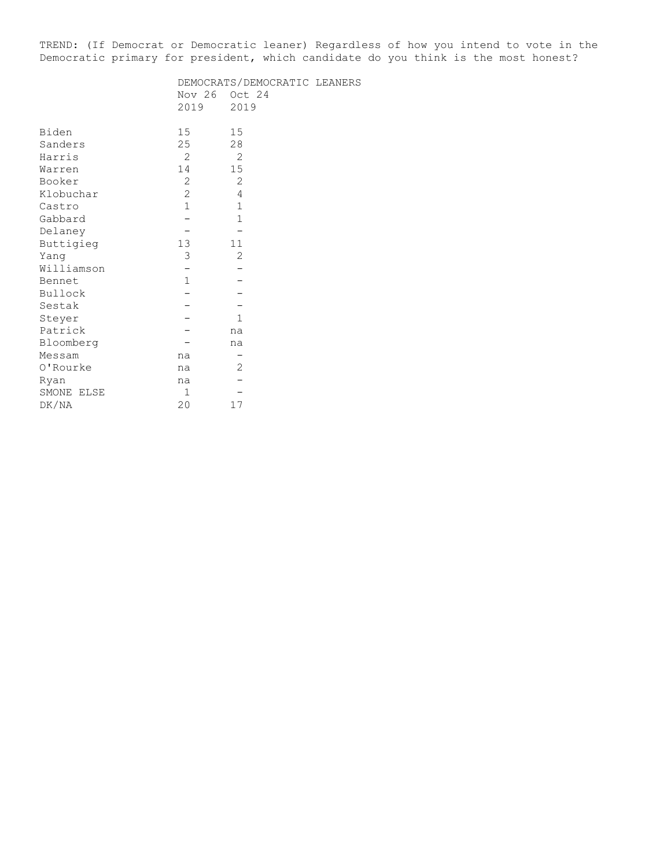TREND: (If Democrat or Democratic leaner) Regardless of how you intend to vote in the Democratic primary for president, which candidate do you think is the most honest?

|            | DEMOCRATS/DEMOCRATIC LEANERS |              |  |  |  |  |  |  |
|------------|------------------------------|--------------|--|--|--|--|--|--|
|            | Nov 26                       | Oct 24       |  |  |  |  |  |  |
|            | 2019                         | 2019         |  |  |  |  |  |  |
|            |                              |              |  |  |  |  |  |  |
| Biden      | 15 <sub>1</sub>              | 15           |  |  |  |  |  |  |
| Sanders    | 25                           | 28           |  |  |  |  |  |  |
| Harris     | $\overline{2}$               | 2            |  |  |  |  |  |  |
| Warren     | 14                           | 15           |  |  |  |  |  |  |
| Booker     | $\overline{2}$               | 2            |  |  |  |  |  |  |
| Klobuchar  | $\mathbf{2}$                 | 4            |  |  |  |  |  |  |
| Castro     | $1\,$                        | $1\,$        |  |  |  |  |  |  |
| Gabbard    |                              | $\mathbf{1}$ |  |  |  |  |  |  |
| Delaney    |                              |              |  |  |  |  |  |  |
| Buttigieg  | 13                           | 11           |  |  |  |  |  |  |
| Yang       | 3                            | 2            |  |  |  |  |  |  |
| Williamson |                              |              |  |  |  |  |  |  |
| Bennet     | $1\,$                        |              |  |  |  |  |  |  |
| Bullock    |                              |              |  |  |  |  |  |  |
| Sestak     |                              |              |  |  |  |  |  |  |
| Steyer     |                              | $\mathbf{1}$ |  |  |  |  |  |  |
| Patrick    |                              | na           |  |  |  |  |  |  |
| Bloomberg  |                              | na           |  |  |  |  |  |  |
| Messam     | na                           |              |  |  |  |  |  |  |
| 0'Rourke   | na                           | 2            |  |  |  |  |  |  |
| Ryan       | na                           |              |  |  |  |  |  |  |
| SMONE ELSE | $\mathbf{1}$                 |              |  |  |  |  |  |  |
| DK/NA      | 20                           | 17           |  |  |  |  |  |  |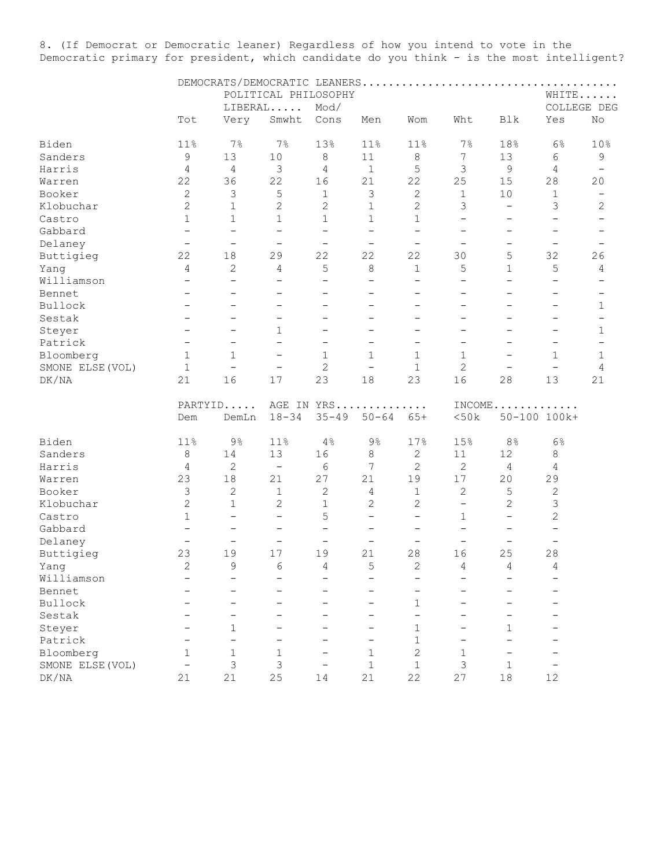8. (If Democrat or Democratic leaner) Regardless of how you intend to vote in the Democratic primary for president, which candidate do you think - is the most intelligent?

|                  |                          |                          |                          | POLITICAL PHILOSOPHY     |                          |                          |                          |                          |                          | WHITE                    |  |  |
|------------------|--------------------------|--------------------------|--------------------------|--------------------------|--------------------------|--------------------------|--------------------------|--------------------------|--------------------------|--------------------------|--|--|
|                  |                          |                          | LIBERAL                  | Mod/                     |                          |                          |                          |                          |                          | COLLEGE DEG              |  |  |
|                  | Tot                      | Very                     | Smwht                    | Cons                     | Men                      | Wom                      | Wht                      | Blk                      | Yes                      | No                       |  |  |
| Biden            | 11%                      | $7\%$                    | $7\%$                    | 13%                      | 11%                      | 11%                      | 7%                       | 18%                      | 6%                       | 10%                      |  |  |
| Sanders          | $\mathsf 9$              | 13                       | $10$                     | 8                        | 11                       | $\,8\,$                  | 7                        | 13                       | 6                        | 9                        |  |  |
| Harris           | $\overline{4}$           | 4                        | $\mathsf 3$              | $\overline{4}$           | $\mathbf 1$              | 5                        | 3                        | $\mathsf 9$              | $\overline{4}$           | $\qquad \qquad -$        |  |  |
| Warren           | 22                       | 36                       | 22                       | 16                       | 21                       | 22                       | 25                       | 15                       | 28                       | 20                       |  |  |
| Booker           | $\mathbf{2}$             | 3                        | 5                        | $\,1\,$                  | 3                        | $\mathbf{2}$             | $\,1\,$                  | 10                       | $\,1\,$                  | $\overline{\phantom{m}}$ |  |  |
| Klobuchar        | $\overline{c}$           | $\mathbf 1$              | $\overline{c}$           | $\mathbf{2}$             | $\mathbf 1$              | $\mathbf{2}$             | 3                        | $\overline{\phantom{a}}$ | 3                        | $\mathbf{2}$             |  |  |
| Castro           | $\mathbf{1}$             | $\mathbf{1}$             | 1                        | $\mathbf{1}$             | $\mathbf{1}$             | $\mathbf 1$              | $\qquad \qquad -$        | $\overline{\phantom{m}}$ | $\qquad \qquad -$        | $\overline{\phantom{m}}$ |  |  |
| Gabbard          | $\overline{\phantom{0}}$ | $\overline{\phantom{0}}$ | $\qquad \qquad -$        | $\overline{\phantom{a}}$ | $\qquad \qquad -$        | $\overline{\phantom{0}}$ | $\overline{\phantom{0}}$ | $\overline{\phantom{m}}$ | $\overline{\phantom{m}}$ |                          |  |  |
| Delaney          | $\qquad \qquad -$        | $\overline{\phantom{a}}$ | $\overline{\phantom{a}}$ | $\overline{\phantom{a}}$ | $\overline{\phantom{a}}$ | $\overline{\phantom{0}}$ | $\overline{\phantom{0}}$ | $\overline{\phantom{0}}$ | $\overline{\phantom{0}}$ | $\overline{\phantom{m}}$ |  |  |
| Buttigieg        | 22                       | 18                       | 29                       | 22                       | 22                       | 22                       | 30                       | 5                        | 32                       | 26                       |  |  |
| Yang             | 4                        | 2                        | 4                        | 5                        | 8                        | $\mathbf{1}$             | 5                        | $\mathbf{1}$             | 5                        | 4                        |  |  |
| Williamson       | $\overline{\phantom{0}}$ | $\overline{\phantom{0}}$ | $\overline{\phantom{0}}$ | $\overline{\phantom{0}}$ | $\overline{\phantom{0}}$ | $\qquad \qquad -$        | $\qquad \qquad -$        | $\equiv$                 | $\overline{\phantom{0}}$ |                          |  |  |
| Bennet           | $\overline{\phantom{0}}$ | $\overline{\phantom{0}}$ | $\overline{\phantom{0}}$ | $\overline{\phantom{0}}$ | $\overline{\phantom{0}}$ | $\overline{\phantom{0}}$ | $\overline{\phantom{0}}$ |                          |                          |                          |  |  |
| Bullock          |                          |                          | $\overline{\phantom{0}}$ | $\overline{\phantom{0}}$ | $\overline{\phantom{0}}$ |                          | $\overline{\phantom{0}}$ |                          |                          | $\mathbf 1$              |  |  |
| Sestak           | $\qquad \qquad -$        | $\qquad \qquad -$        | $\qquad \qquad -$        | $\overline{\phantom{0}}$ | —                        | —                        | -                        | $\qquad \qquad -$        | $\overline{\phantom{m}}$ | $\qquad \qquad -$        |  |  |
| Steyer           | $\overline{\phantom{0}}$ | $\qquad \qquad -$        | 1                        | $\qquad \qquad -$        | $\overline{\phantom{0}}$ | —                        | -                        | $\overline{\phantom{0}}$ | $\overline{\phantom{0}}$ | $\mathbf 1$              |  |  |
| Patrick          | $\qquad \qquad -$        | $\qquad \qquad -$        | $\qquad \qquad -$        | —                        | —                        | $\overline{\phantom{0}}$ | —                        | $\qquad \qquad -$        | $\overline{\phantom{m}}$ | $\overline{\phantom{m}}$ |  |  |
| Bloomberg        | $\mathbf{1}$             | $\mathbf 1$              | $\qquad \qquad -$        | $\mathbf{1}$             | $\mathbf{1}$             | $\mathbf{1}$             | $\mathbf{1}$             |                          | $\mathbf{1}$             | $\mathbf{1}$             |  |  |
| SMONE ELSE (VOL) | $\mathbf{1}$             | $\overline{\phantom{a}}$ | $\qquad \qquad -$        | $\mathbf{2}$             | $\qquad \qquad -$        | $\mathbf 1$              | $\overline{c}$           | $\qquad \qquad -$        | $\overline{\phantom{m}}$ | 4                        |  |  |
| DK/NA            | 21                       | 16                       | $17$                     | 23                       | $18\,$                   | 23                       | 16                       | 28                       | 13                       | 21                       |  |  |
|                  |                          | PARTYID                  |                          | AGE IN YRS               |                          | .                        |                          | $INCOME$                 |                          |                          |  |  |
|                  | Dem                      | DemLn                    | $18 - 34$                | $35 - 49$                | $50 - 64$                | $65+$                    | <50k                     |                          | 50-100 100k+             |                          |  |  |
| Biden            | 11%                      | $9\%$                    | 11%                      | 4%                       | $9\frac{6}{6}$           | 17%                      | 15%                      | 8 <sup>°</sup>           | 6 <sup>°</sup>           |                          |  |  |
| Sanders          | $\,8\,$                  | 14                       | 13                       | 16                       | 8                        | $\mathbf{2}$             | 11                       | 12                       | 8                        |                          |  |  |
| Harris           | 4                        | $\mathbf{2}$             | $\overline{\phantom{a}}$ | 6                        | 7                        | $\mathbf{2}$             | 2                        | 4                        | 4                        |                          |  |  |
| Warren           | 23                       | 18                       | 21                       | 27                       | 21                       | 19                       | 17                       | 20                       | 29                       |                          |  |  |
| Booker           | $\mathfrak{Z}$           | $\sqrt{2}$               | $\mathbf 1$              | $\mathbf{2}$             | 4                        | $\mathbf 1$              | $\mathbf{2}$             | 5                        | $\mathbf{2}$             |                          |  |  |
| Klobuchar        | $\overline{c}$           | $\mathbf{1}$             | 2                        | $\mathbf 1$              | 2                        | 2                        | $\overline{\phantom{a}}$ | $\mathbf{2}$             | $\mathfrak{Z}$           |                          |  |  |
| Castro           | $\mathbf{1}$             | $\overline{\phantom{0}}$ | $\overline{\phantom{0}}$ | 5                        | $\qquad \qquad -$        | $\overline{\phantom{0}}$ | $\mathbf{1}$             | $\overline{\phantom{0}}$ | $\mathbf{2}$             |                          |  |  |
| Gabbard          | $\qquad \qquad -$        | $\qquad \qquad -$        | $\overline{\phantom{0}}$ | $\overline{\phantom{m}}$ | $\qquad \qquad -$        | $\overline{\phantom{0}}$ | $\overline{\phantom{0}}$ | $\overline{\phantom{0}}$ | $\qquad \qquad -$        |                          |  |  |
| Delaney          | $\qquad \qquad -$        | $\overline{\phantom{m}}$ | $\overline{\phantom{a}}$ | $\overline{\phantom{a}}$ | $\qquad \qquad -$        | $\qquad \qquad -$        | $\qquad \qquad -$        | $\overline{\phantom{m}}$ | $\overline{\phantom{m}}$ |                          |  |  |
| Buttigieg        | 23                       | 19                       | 17                       | 19                       | 21                       | 28                       | 16                       | 25                       | 28                       |                          |  |  |
| Yang             | $\overline{c}$           | 9                        | 6                        | 4                        | 5                        | $\overline{c}$           | 4                        | 4                        | 4                        |                          |  |  |
| Williamson       |                          |                          |                          |                          |                          |                          |                          |                          |                          |                          |  |  |
| Bennet           |                          |                          |                          |                          |                          |                          |                          |                          |                          |                          |  |  |
| Bullock          |                          |                          |                          |                          |                          | $\mathbf 1$              |                          |                          |                          |                          |  |  |
| Sestak           |                          |                          |                          |                          |                          | $\overline{\phantom{0}}$ |                          |                          |                          |                          |  |  |
| Steyer           |                          | $\mathbf 1$              |                          |                          |                          | $\mathbf{1}$             |                          | $\mathbf{1}$             |                          |                          |  |  |
| Patrick          |                          |                          |                          |                          |                          | $\mathbf 1$              |                          |                          |                          |                          |  |  |
| Bloomberg        | 1                        | $\mathbf 1$              | 1                        |                          | 1                        | $\overline{c}$           | 1                        |                          |                          |                          |  |  |
| SMONE ELSE (VOL) | $\qquad \qquad -$        | 3                        | 3                        | —                        | $\mathbf 1$              | $\mathbf 1$              | 3                        | $\mathbf{1}$             |                          |                          |  |  |
| DK/NA            | 21                       | 21                       | 25                       | 14                       | 21                       | 22                       | 27                       | $18\,$                   | 12                       |                          |  |  |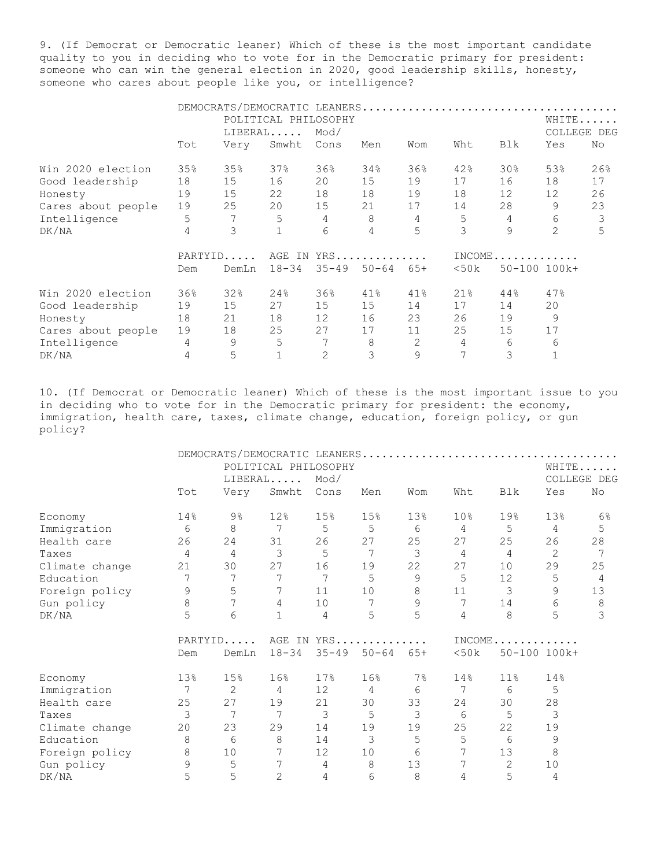9. (If Democrat or Democratic leaner) Which of these is the most important candidate quality to you in deciding who to vote for in the Democratic primary for president: someone who can win the general election in 2020, good leadership skills, honesty, someone who cares about people like you, or intelligence?

|                    |         | DEMOCRATS/DEMOCRATIC LEANERS |                      |               |           |       |      |                   |                |       |
|--------------------|---------|------------------------------|----------------------|---------------|-----------|-------|------|-------------------|----------------|-------|
|                    |         |                              | POLITICAL PHILOSOPHY |               |           |       |      |                   |                | WHITE |
|                    |         |                              | LIBERAL              | Mod/          |           |       |      |                   | COLLEGE<br>DEG |       |
|                    | Tot     | Very                         | Smwht                | Cons          | Men       | Wom   | Wht  | Blk               | Yes            | No    |
| Win 2020 election  | 35%     | 35%                          | 37%                  | 36%           | 34%       | 36%   | 42%  | 30 <sub>8</sub>   | 53%            | 26%   |
| Good leadership    | 18      | 15                           | 16                   | 20            | 15        | 19    | 17   | 16                | 18             | 17    |
| Honesty            | 19      | 15                           | 22                   | 18            | 18        | 19    | 18   | $12 \overline{ }$ | 12             | 26    |
| Cares about people | 19      | 25                           | 20                   | 15            | 21        | 17    | 14   | 28                | 9              | 23    |
| Intelligence       | 5       | 7                            | 5                    | 4             | 8         | 4     | 5    | 4                 | 6              | 3     |
| DK/NA              | 4       | 3                            |                      | 6             | 4         | 5     | 3    | 9                 | 2              | 5     |
|                    | PARTYID |                              |                      | AGE IN<br>YRS |           |       |      | $INCOME$          |                |       |
|                    | Dem     | DemLn                        | $18 - 34$            | $35 - 49$     | $50 - 64$ | $65+$ | <50k |                   | 50-100 100k+   |       |
| Win 2020 election  | 36%     | 32%                          | 24%                  | 36%           | 41%       | 41%   | 21%  | 44%               | 47%            |       |
| Good leadership    | 19      | 15                           | 27                   | 15            | 15        | 14    | 17   | 14                | 20             |       |
| Honesty            | 18      | 21                           | 18                   | 12            | 16        | 23    | 26   | 19                | 9              |       |
| Cares about people | 19      | 18                           | 25                   | 27            | 17        | 11    | 25   | 15                | 17             |       |
| Intelligence       | 4       | 9                            | 5                    | 7             | 8         | 2     | 4    | 6                 | 6              |       |
| DK/NA              | 4       | 5                            |                      | 2             | 3         | 9     |      | 3                 |                |       |

10. (If Democrat or Democratic leaner) Which of these is the most important issue to you in deciding who to vote for in the Democratic primary for president: the economy, immigration, health care, taxes, climate change, education, foreign policy, or gun policy?

|                |               | DEMOCRATS/DEMOCRATIC LEANERS |                      |            |           |                 |                 |                 |                |                |
|----------------|---------------|------------------------------|----------------------|------------|-----------|-----------------|-----------------|-----------------|----------------|----------------|
|                |               |                              | POLITICAL PHILOSOPHY |            |           |                 |                 |                 |                | WHITE          |
|                |               |                              | LIBERAL              | Mod/       |           |                 |                 |                 |                | COLLEGE DEG    |
|                | Tot           | Very                         | Smwht                | Cons       | Men       | Wom             | Wht             | Blk             | Yes            | No             |
| Economy        | 14%           | $9\%$                        | 12%                  | 15%        | 15%       | 13 <sup>°</sup> | 10 <sub>8</sub> | 19%             | 13%            | 6 <sup>°</sup> |
| Immigration    | 6             | 8                            | $\overline{7}$       | 5          | 5         | 6               | $\overline{4}$  | 5               | $\overline{4}$ | $\mathsf S$    |
| Health care    | 26            | 24                           | 31                   | 26         | 27        | 25              | 27              | 25              | 26             | 28             |
| Taxes          | 4             | $\overline{4}$               | 3                    | 5          | 7         | 3               | 4               | 4               | 2              |                |
| Climate change | 21            | 30                           | 27                   | 16         | 19        | 22              | 27              | 10 <sup>°</sup> | 29             | 25             |
| Education      | 7             | 7                            | 7                    | 7          | 5         | 9               | 5               | 12 <sup>°</sup> | 5              | 4              |
| Foreign policy | $\mathcal{G}$ | 5                            | 7                    | 11         | 10        | $\,8\,$         | 11              | 3               | 9              | 13             |
| Gun policy     | 8             | 7                            | 4                    | 10         | 7         | 9               | 7               | 14              | 6              | 8              |
| DK/NA          | 5             | 6                            | $\mathbf{1}$         | 4          | 5         | 5               | 4               | 8               | 5              | 3              |
|                |               | PARTYID                      |                      | AGE IN YRS |           |                 |                 |                 | $INCOME$       |                |
|                | Dem           | DemLn                        | $18 - 34$            | $35 - 49$  | $50 - 64$ | $65+$           | $<$ 50 $k$      |                 | 50-100 100k+   |                |
| Economy        | 13%           | 15%                          | 16%                  | 17%        | 16%       | $7\%$           | 14%             | 11%             | 14%            |                |
| Immigration    | 7             | 2                            | $\overline{4}$       | 12         | 4         | 6               | 7               | 6               | 5              |                |
| Health care    | 25            | 27                           | 19                   | 21         | 30        | 33              | 24              | 30              | 28             |                |
| Taxes          | 3             | 7                            | 7                    | 3          | 5         | 3               | 6               | 5               | 3              |                |
| Climate change | 20            | 23                           | 29                   | 14         | 19        | 19              | 25              | 22              | 19             |                |
| Education      | 8             | 6                            | 8                    | 14         | 3         | 5               | 5               | 6               | 9              |                |
| Foreign policy | $\,8\,$       | 10                           | 7                    | 12         | 10        | 6               | 7               | 13              | $\,8\,$        |                |
| Gun policy     | 9             | 5                            | 7                    | 4          | 8         | 13              | 7               | 2               | 10             |                |
| DK/NA          | 5             | 5                            | $\overline{2}$       | 4          | 6         | 8               | 4               | 5               | 4              |                |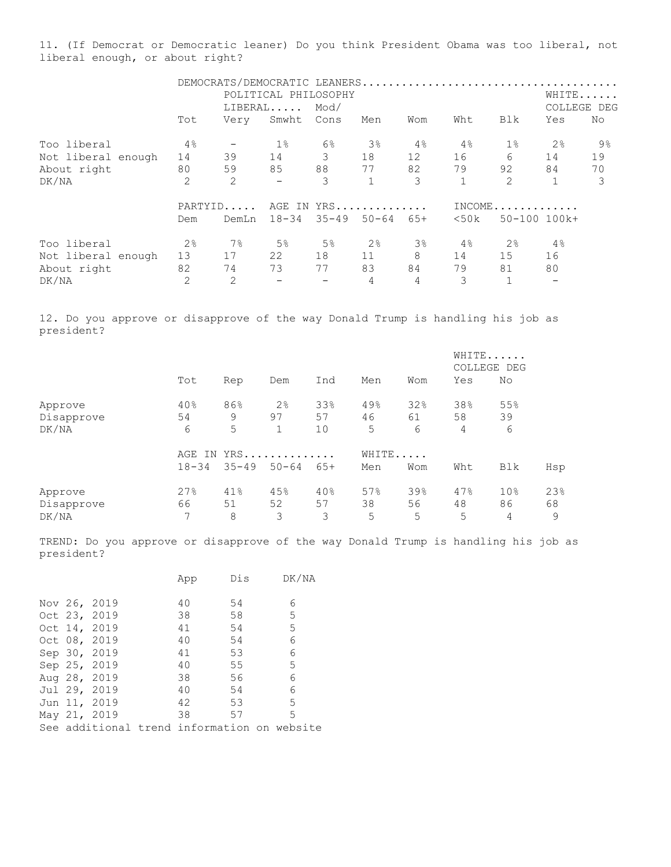11. (If Democrat or Democratic leaner) Do you think President Obama was too liberal, not liberal enough, or about right?

|                    |                | DEMOCRATS/DEMOCRATIC LEANERS |                      |             |            |       |                        |       |              |    |  |
|--------------------|----------------|------------------------------|----------------------|-------------|------------|-------|------------------------|-------|--------------|----|--|
|                    |                |                              | POLITICAL PHILOSOPHY |             |            |       |                        |       | WHITE        |    |  |
|                    |                |                              | $LIBERAL$            | Mod/        |            |       |                        |       | COLLEGE DEG  |    |  |
|                    | Tot            | Very                         | Smwht                | Cons        | Men        | Wom   | Wht                    | Blk   | Yes          | No |  |
| Too liberal        | $4\,$          |                              | $1\%$                | 6%          | 3%         | $4\,$ | 4%                     | $1\%$ | 2%           | 9% |  |
| Not liberal enough | 14             | 39                           | 14                   | 3           | 18         | 12    | 16                     | 6     | 14           | 19 |  |
| About right        | 80             | 59                           | 85                   | 88          | 77         | 82    | 79                     | 92    | 84           | 70 |  |
| DK/NA              | $\overline{2}$ | 2                            | $\qquad \qquad -$    | 3           |            | 3     | $\mathbf{1}$           | 2     |              | 3  |  |
|                    | PARTYID        |                              |                      |             | AGE IN YRS |       | $INCOME \ldots \ldots$ |       |              |    |  |
|                    | Dem            | DemLn                        |                      | 18-34 35-49 | $50 - 64$  | $65+$ | $<$ 50 k               |       | 50-100 100k+ |    |  |
| Too liberal        | 2 <sup>°</sup> | 7%                           | 5 <sup>°</sup>       | $5\%$       | 2%         | $3\%$ | $4\,$                  | 2%    | 4%           |    |  |
| Not liberal enough | 13             | 17                           | 22                   | 18          | 11         | 8     | 14                     | 15    | 16           |    |  |
| About right        | 82             | 74                           | 73                   | 77          | 83         | 84    | 79                     | 81    | 80           |    |  |
| DK/NA              | 2              | $\overline{2}$               |                      |             | 4          | 4     | 3                      |       |              |    |  |

12. Do you approve or disapprove of the way Donald Trump is handling his job as president?

|            |           |           |                |       |     |       |     | WHITE<br>COLLEGE DEG |     |
|------------|-----------|-----------|----------------|-------|-----|-------|-----|----------------------|-----|
|            | Tot       | Rep       | Dem            | Ind   | Men | Wom   | Yes | No                   |     |
| Approve    | 40%       | 86%       | 2 <sup>°</sup> | 33%   | 49% | 32%   | 38% | 55%                  |     |
| Disapprove | 54        | 9         | 97             | 57    | 46  | 61    | 58  | 39                   |     |
| DK/NA      | 6         | 5         |                | 10    | 5   | 6     | 4   | 6                    |     |
|            | AGE<br>IN |           | YRS            |       |     | WHITE |     |                      |     |
|            | $18 - 34$ | $35 - 49$ | $50 - 64$      | $65+$ | Men | Wom   | Wht | Blk                  | Hsp |
| Approve    | 27%       | 41%       | 45%            | 40%   | 57% | 39%   | 47% | 10 <sub>8</sub>      | 23% |
| Disapprove | 66        | 51        | 52             | 57    | 38  | 56    | 48  | 86                   | 68  |
| DK/NA      | 7         | 8         | 3              | 3     | 5   | 5     | 5   | 4                    | 9   |

TREND: Do you approve or disapprove of the way Donald Trump is handling his job as president?

|  |              | App | Dis | DK/NA                                       |
|--|--------------|-----|-----|---------------------------------------------|
|  | Nov 26, 2019 | 40  | 54  | 6                                           |
|  | Oct 23, 2019 | 38  | 58  | 5                                           |
|  | Oct 14, 2019 | 41  | 54  | 5                                           |
|  | Oct 08, 2019 | 40  | 54  | 6                                           |
|  | Sep 30, 2019 | 41  | 53  | 6                                           |
|  | Sep 25, 2019 | 40  | 55  | 5                                           |
|  | Aug 28, 2019 | 38  | 56  | 6                                           |
|  | Jul 29, 2019 | 40  | 54  | 6                                           |
|  | Jun 11, 2019 | 42  | 53  | 5                                           |
|  | May 21, 2019 | 38  | 57  | 5                                           |
|  |              |     |     | See additional trend information on website |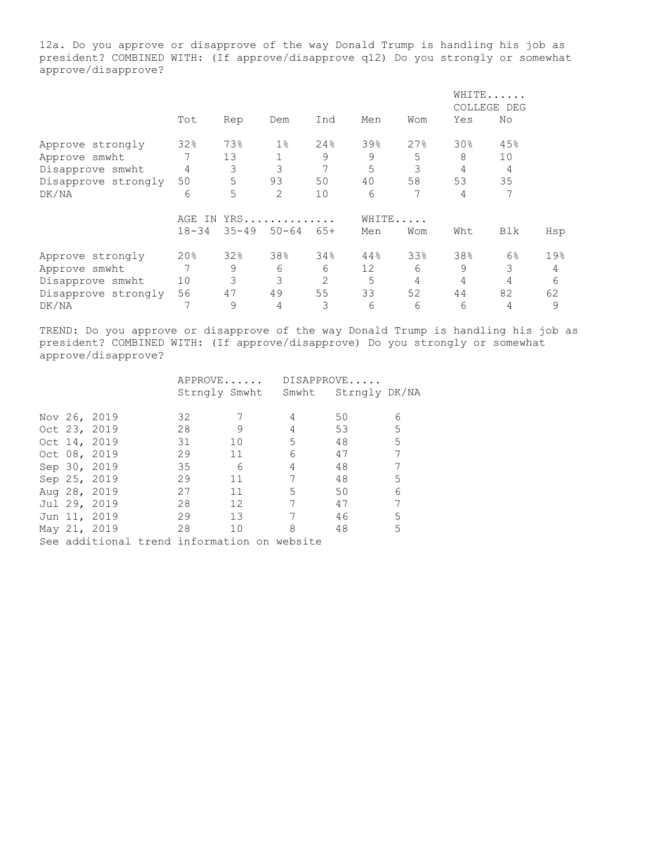12a. Do you approve or disapprove of the way Donald Trump is handling his job as president? COMBINED WITH: (If approve/disapprove q12) Do you strongly or somewhat approve/disapprove?

|                     |            |           |           |                |       |     |     | WHITE<br>COLLEGE DEG |     |
|---------------------|------------|-----------|-----------|----------------|-------|-----|-----|----------------------|-----|
|                     | Tot        | Rep       | Dem       | Ind            | Men   | Wom | Yes | No                   |     |
| Approve strongly    | 32%        | 73%       | $1\%$     | 24%            | 39%   | 27% | 30% | 45%                  |     |
| Approve smwht       |            | 13        |           | 9              | 9     | 5   | 8   | 10                   |     |
| Disapprove smwht    | 4          | 3         | 3         |                | 5     | 3   | 4   | 4                    |     |
| Disapprove strongly | 50         | 5         | 93        | 50             | 40    | 58  | 53  | 35                   |     |
| DK/NA               | 6          | 5         | 2         | 10             | 6     | 7   | 4   |                      |     |
|                     | AGE<br>IN. |           | YRS       |                | WHITE |     |     |                      |     |
|                     | $18 - 34$  | $35 - 49$ | $50 - 64$ | $65+$          | Men   | Wom | Wht | Blk                  | Hsp |
| Approve strongly    | 20%        | 32%       | 38%       | 34%            | 44%   | 33% | 38% | $6\%$                | 19% |
| Approve smwht       | 7          | 9         | 6         | 6              | 12    | 6   | 9   | 3                    | 4   |
| Disapprove smwht    | 10         | 3         | 3         | $\overline{2}$ | 5     | 4   | 4   | 4                    | 6   |
| Disapprove strongly | 56         | 47        | 49        | 55             | 33    | 52  | 44  | 82                   | 62  |
| DK/NA               | 7          | 9         | 4         | 3              | 6     | 6   | 6   | 4                    | 9   |

TREND: Do you approve or disapprove of the way Donald Trump is handling his job as president? COMBINED WITH: (If approve/disapprove) Do you strongly or somewhat approve/disapprove?

|  |              | APPROVE                                     |                 |                 | DISAPPROVE          |   |
|--|--------------|---------------------------------------------|-----------------|-----------------|---------------------|---|
|  |              | Strngly Smwht                               |                 |                 | Smwht Strngly DK/NA |   |
|  |              |                                             |                 |                 |                     |   |
|  | Nov 26, 2019 | 32                                          |                 | 4               | 50                  | 6 |
|  | Oct 23, 2019 | 28                                          | 9               | 4               | 53                  | 5 |
|  | Oct 14, 2019 | 31                                          | 10              | 5               | 48                  | 5 |
|  | Oct 08, 2019 | 29                                          | 11              | 6               | 47                  |   |
|  | Sep 30, 2019 | 35                                          | - 6             | 4               | 48                  |   |
|  | Sep 25, 2019 | 29                                          | 11              | 7               | 48                  | 5 |
|  | Aug 28, 2019 | 27                                          | 11              | 5               | 50                  | 6 |
|  | Jul 29, 2019 | 28                                          | 12              | $7\phantom{.0}$ | 47                  | 7 |
|  | Jun 11, 2019 | 29                                          | 13 <sup>°</sup> | 7               | 46                  | 5 |
|  | May 21, 2019 | 28                                          | 10              | 8               | 48                  | 5 |
|  |              | See additional trend information on website |                 |                 |                     |   |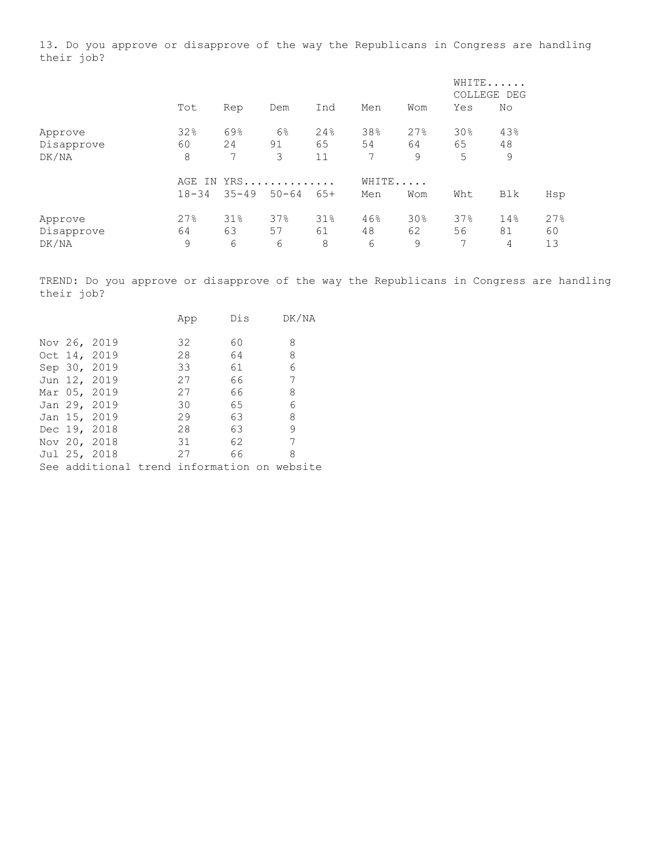13. Do you approve or disapprove of the way the Republicans in Congress are handling their job?

|            |           |           |           |       |       |     | WHITE<br>COLLEGE DEG |     |     |
|------------|-----------|-----------|-----------|-------|-------|-----|----------------------|-----|-----|
|            | Tot       | Rep       | Dem       | Ind   | Men   | Wom | Yes                  | No  |     |
| Approve    | 32%       | 69%       | 6%        | 24%   | 38%   | 27% | 30%                  | 43% |     |
| Disapprove | 60        | 24        | 91        | 65    | 54    | 64  | 65                   | 48  |     |
| DK/NA      | 8         | 7         | 3         | 11    | 7     | 9   | 5                    | 9   |     |
|            | IN<br>AGE |           | YRS       |       | WHITE |     |                      |     |     |
|            | $18 - 34$ | $35 - 49$ | $50 - 64$ | $65+$ | Men   | Wom | Wht                  | Blk | Hsp |
| Approve    | 27%       | 31%       | 37%       | 31%   | 46%   | 30% | 37%                  | 14% | 27% |
| Disapprove | 64        | 63        | 57        | 61    | 48    | 62  | 56                   | 81  | 60  |
| DK/NA      | 9         | 6         | 6         | 8     | 6     | 9   | 7                    | 4   | 13  |

TREND: Do you approve or disapprove of the way the Republicans in Congress are handling their job?

|  |              | App                                         | Dis | DK/NA |
|--|--------------|---------------------------------------------|-----|-------|
|  | Nov 26, 2019 | 32                                          | 60  | 8     |
|  | Oct 14, 2019 | 28                                          | 64  | 8     |
|  | Sep 30, 2019 | 33                                          | 61  | 6     |
|  | Jun 12, 2019 | 27                                          | 66  | 7     |
|  | Mar 05, 2019 | 27                                          | 66  | 8     |
|  | Jan 29, 2019 | 30                                          | 65  | 6     |
|  | Jan 15, 2019 | 29                                          | 63  | 8     |
|  | Dec 19, 2018 | 28                                          | 63  | 9     |
|  | Nov 20, 2018 | 31                                          | 62  | 7     |
|  | Jul 25, 2018 | 27                                          | 66  | 8     |
|  |              | See additional trend information on website |     |       |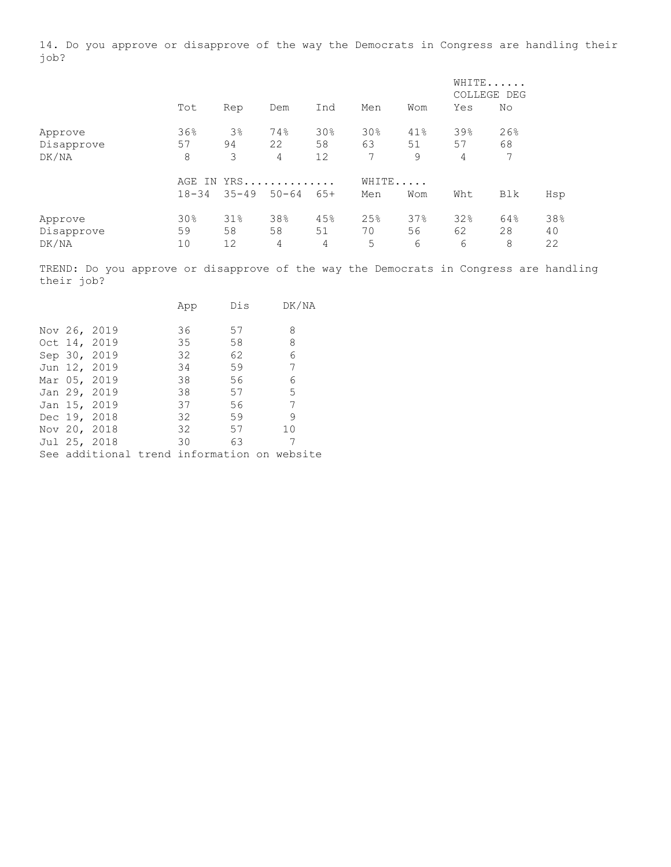14. Do you approve or disapprove of the way the Democrats in Congress are handling their job?

|                                |                        |                    |                |                             |                              |                | WHITE<br>COLLEGE DEG |                |                 |
|--------------------------------|------------------------|--------------------|----------------|-----------------------------|------------------------------|----------------|----------------------|----------------|-----------------|
|                                | Tot                    | Rep                | Dem            | Ind                         | Men                          | Wom            | Yes                  | No             |                 |
| Approve<br>Disapprove<br>DK/NA | 36%<br>57<br>8         | $3\%$<br>94<br>3   | 74%<br>22<br>4 | 30 <sub>8</sub><br>58<br>12 | 30%<br>63<br>$7\phantom{.0}$ | 41%<br>51<br>9 | 39%<br>57<br>4       | 26%<br>68<br>7 |                 |
|                                | AGE<br>IN<br>$18 - 34$ | $YRS$<br>$35 - 49$ | $50 - 64$      | $65+$                       | WHITE<br>Men                 | Wom            | Wht                  | Blk            | Hsp             |
| Approve<br>Disapprove<br>DK/NA | 30%<br>59<br>10        | 31%<br>58<br>12    | 38%<br>58<br>4 | 45%<br>51<br>4              | 25%<br>70<br>5               | 37%<br>56<br>6 | 32%<br>62<br>6       | 64%<br>28<br>8 | 38%<br>40<br>22 |

TREND: Do you approve or disapprove of the way the Democrats in Congress are handling their job?

|  |              | App                                         | Dis | DK/NA |  |
|--|--------------|---------------------------------------------|-----|-------|--|
|  |              |                                             |     |       |  |
|  | Nov 26, 2019 | 36                                          | 57  | 8     |  |
|  | Oct 14, 2019 | 35                                          | 58  | 8     |  |
|  | Sep 30, 2019 | 32 <sup>2</sup>                             | 62  | 6     |  |
|  | Jun 12, 2019 | 34                                          | 59  | 7     |  |
|  | Mar 05, 2019 | 38                                          | 56  | 6     |  |
|  | Jan 29, 2019 | 38                                          | 57  | 5     |  |
|  | Jan 15, 2019 | 37                                          | 56  | 7     |  |
|  | Dec 19, 2018 | 32                                          | 59  | -9    |  |
|  | Nov 20, 2018 | 32                                          | 57  | 10    |  |
|  | Jul 25, 2018 | 30                                          | 63  | 7     |  |
|  |              | See additional trend information on website |     |       |  |
|  |              |                                             |     |       |  |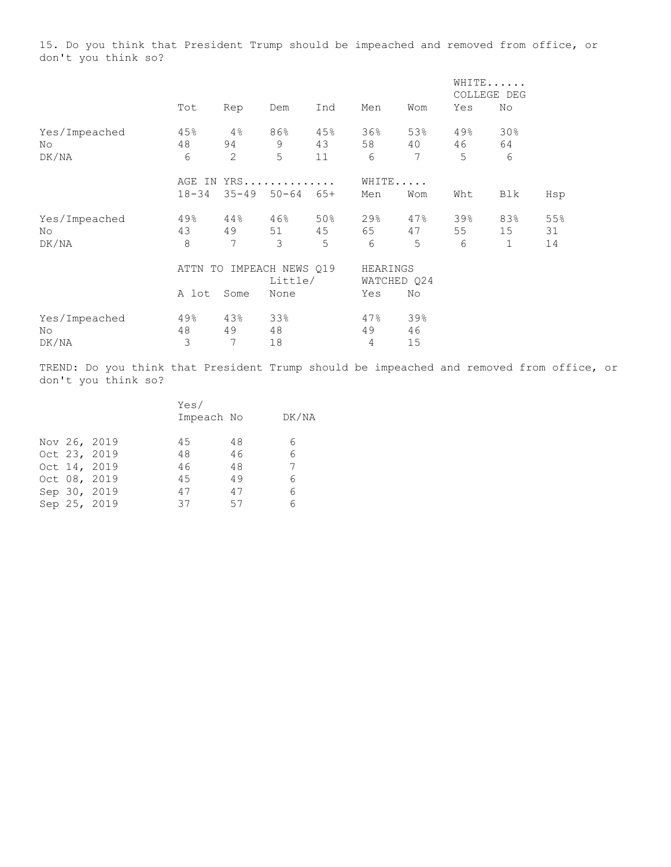15. Do you think that President Trump should be impeached and removed from office, or don't you think so?

|               |           |           |                  |       |          |             |     | WHITE<br>COLLEGE DEG |     |
|---------------|-----------|-----------|------------------|-------|----------|-------------|-----|----------------------|-----|
|               | Tot       | Rep       | Dem              | Ind   | Men      | Wom         | Yes | No                   |     |
| Yes/Impeached | 45%       | 4%        | 86%              | 45%   | 36%      | 53%         | 49% | 30%                  |     |
| No            | 48        | 94        | 9                | 43    | 58       | 40          | 46  | 64                   |     |
| DK/NA         | 6         | 2         | 5                | 11    | 6        | 7           | 5   | 6                    |     |
|               | AGE<br>IN |           | $YRS$            |       | WHITE    |             |     |                      |     |
|               | $18 - 34$ | $35 - 49$ | $50 - 64$        | $65+$ | Men      | Wom         | Wht | Blk                  | Hsp |
| Yes/Impeached | 49%       | 44%       | 46%              | 50%   | 29%      | 47%         | 39% | 83%                  | 55% |
| No            | 43        | 49        | 51               | 45    | 65       | 47          | 55  | 15                   | 31  |
| DK/NA         | 8         | 7         | 3                | 5     | 6        | 5           | 6   | 1                    | 14  |
|               | ATTN      | TO        | IMPEACH NEWS Q19 |       | HEARINGS |             |     |                      |     |
|               |           |           | Little/          |       |          | WATCHED Q24 |     |                      |     |
|               | A lot     | Some      | None             |       | Yes      | No          |     |                      |     |
| Yes/Impeached | 49%       | 43%       | 33%              |       | 47%      | 39%         |     |                      |     |
| No            | 48        | 49        | 48               |       | 49       | 46          |     |                      |     |
| DK/NA         | 3         | 7         | 18               |       | 4        | 15          |     |                      |     |

TREND: Do you think that President Trump should be impeached and removed from office, or don't you think so?

|  |              |    | Yes/       |       |
|--|--------------|----|------------|-------|
|  |              |    | Impeach No | DK/NA |
|  |              |    |            |       |
|  | Nov 26, 2019 | 45 | 48         | 6     |
|  | Oct 23, 2019 | 48 | 46         | 6     |
|  | Oct 14, 2019 | 46 | 48         |       |
|  | Oct 08, 2019 | 45 | 49         | 6     |
|  | Sep 30, 2019 | 47 | 47         | 6     |
|  | Sep 25, 2019 | 37 | 57         | 6     |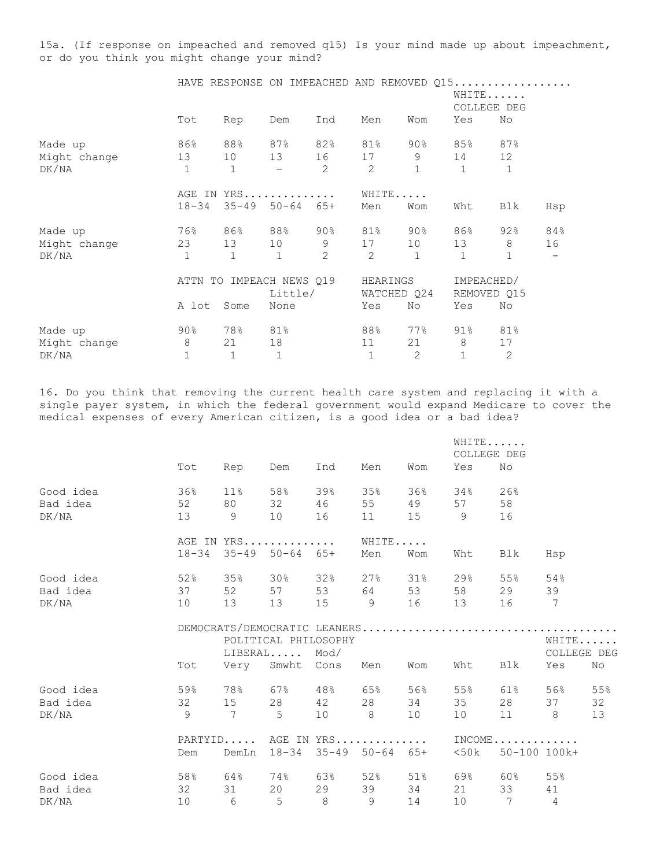15a. (If response on impeached and removed q15) Is your mind made up about impeachment, or do you think you might change your mind?

|              |                |              |              | HAVE RESPONSE ON IMPEACHED AND REMOVED Q15 |              |                         |              |                           |     |
|--------------|----------------|--------------|--------------|--------------------------------------------|--------------|-------------------------|--------------|---------------------------|-----|
|              |                |              |              |                                            |              |                         |              | WHITE                     |     |
|              |                |              |              |                                            |              |                         |              | COLLEGE DEG               |     |
|              | Tot            | Rep          | Dem          | Ind                                        | Men          | Wom                     | Yes          | No                        |     |
| Made up      | 86%            |              |              | 88% 87% 82%                                | 81%          | 90%                     | 85%          | 87%                       |     |
| Might change | 13             | 10           |              | 13 16 17                                   |              | 9                       | 14           | 12                        |     |
| DK/NA        | $\mathbf{1}$   | $\mathbf{1}$ |              | 2                                          | 2            | $\mathbf{1}$            | $\mathbf{1}$ | $\mathbf{1}$              |     |
|              |                | AGE IN YRS   |              |                                            |              | WHITE                   |              |                           |     |
|              | $18 - 34$      | $35 - 49$    | $50 - 64$    | $65+$                                      | Men          | Wom                     | Wht          | Blk                       | Hsp |
| Made up      | 76% მ          |              |              | 86% 88% 90%                                | 81%          | 90%                     | 86% a        | 92%                       | 84% |
| Might change | 23             | 13           | 10           | 9                                          | 17           | 10                      | 13           | 8                         | 16  |
| DK/NA        | $\overline{1}$ | $\mathbf{1}$ | 1            | 2                                          | 2            | $\mathbf{1}$            | $\mathbf{1}$ | $\mathbf{1}$              |     |
|              | ATTN TO        |              |              | IMPEACH NEWS Q19<br>Little/                |              | HEARINGS<br>WATCHED Q24 |              | IMPEACHED/<br>REMOVED Q15 |     |
|              | A lot          | Some         | None         |                                            | Yes          | No                      | Yes          | No                        |     |
| Made up      | $90\%$         | 78%          | $81\%$       |                                            | 88%          | 77%                     | 91% - 1      | 81%                       |     |
| Might change | 8              | 21           | 18           |                                            | 11           | 21                      | 8            | 17                        |     |
| DK/NA        | $\mathbf{1}$   | $\mathbf{1}$ | $\mathbf{1}$ |                                            | $\mathbf{1}$ | 2                       | $\mathbf{1}$ | 2                         |     |

16. Do you think that removing the current health care system and replacing it with a single payer system, in which the federal government would expand Medicare to cover the medical expenses of every American citizen, is a good idea or a bad idea?

|           |     |                               |                                 |         |          |        |         | WHITE<br>COLLEGE DEG |       |             |
|-----------|-----|-------------------------------|---------------------------------|---------|----------|--------|---------|----------------------|-------|-------------|
|           | Tot | Rep                           | Dem                             | Ind     | Men      | Wom    | Yes     | No                   |       |             |
| Good idea | 36% | 11 <sup>°</sup>               | 58%                             | 39%     | 35%      | 36%    | 34%     | 26%                  |       |             |
| Bad idea  | 52  | 80 0                          | 32                              | 46      | 55       | 49     | 57      | 58                   |       |             |
| DK/NA     |     | 13 9 10                       |                                 | 16      | 11       |        | 15 9    | 16                   |       |             |
|           |     | AGE IN YRS                    |                                 |         | WHITE    |        |         |                      |       |             |
|           |     | $18-34$ $35-49$ $50-64$ $65+$ |                                 |         | Men      | Wom    | Wht     | Blk                  | Hsp   |             |
| Good idea | 52% | 35%                           |                                 | 30% 32% | 27%      | $31\%$ | $29\%$  | 55%                  | 54%   |             |
| Bad idea  | 37  |                               | 52 57 53 64 53                  |         |          |        | 58      | 29                   | 39    |             |
| DK/NA     |     | 10 13 13 15 9 16 13           |                                 |         |          |        |         | 16 7                 |       |             |
|           |     |                               |                                 |         |          |        |         |                      |       |             |
|           |     |                               | POLITICAL PHILOSOPHY            |         |          |        |         |                      |       | WHITE       |
|           |     |                               | $\mathtt{LIBERAL} \dots$ . Mod/ |         |          |        |         |                      |       | COLLEGE DEG |
|           | Tot |                               | Very Smwht Cons Men             |         |          | Wom    | Wht     | Blk                  | Yes   | No          |
| Good idea |     | $59\%$ 78% 67% 48% 65%        |                                 |         |          | 56%    | 55%     | $61\%$               | 56%   | 55%         |
| Bad idea  |     | 32 15 28 42 28                |                                 |         |          | 34     | 35      |                      | 28 37 | 32          |
| DK/NA     | 9   | $7\overline{ }$               | $5^{\circ}$                     |         | 10 8     | 10     | 10      |                      | 11 8  | 13          |
|           |     | PARTYID AGE IN YRS INCOME     |                                 |         |          |        |         |                      |       |             |
|           | Dem |                               | DemLn 18-34 35-49 50-64 65+     |         |          |        |         | $<50k$ 50-100 100k+  |       |             |
| Good idea | 58% | 64%                           |                                 | 74% 63% | 52%      | $51\%$ | 69% - 1 | 60%                  | 55%   |             |
| Bad idea  | 32  | 31                            |                                 |         | 20 29 39 | 34     | 21      | 33                   | 41    |             |
| DK/NA     | 10  | 6 <sup>6</sup>                | 5 8 9 14                        |         |          |        |         | $10$ 7 4             |       |             |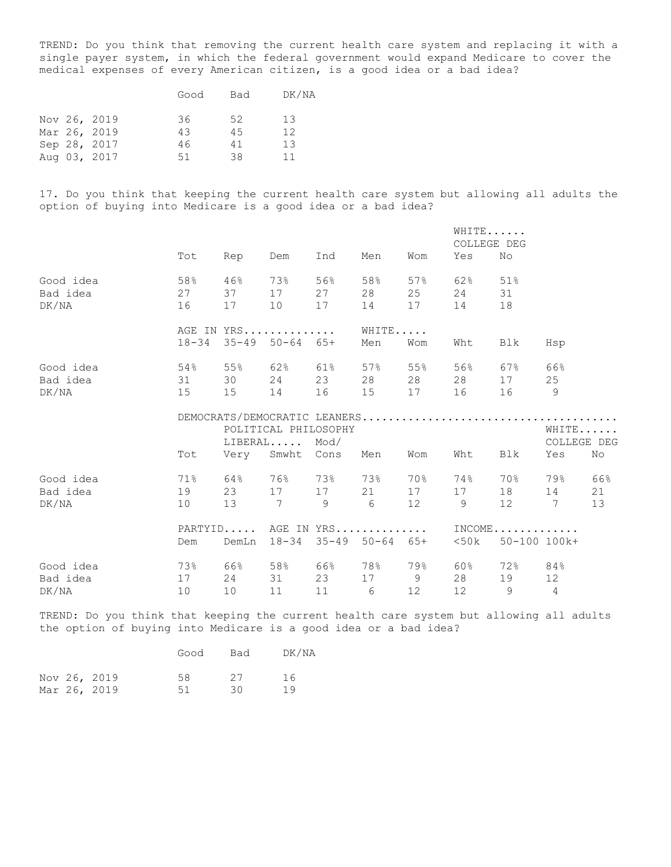TREND: Do you think that removing the current health care system and replacing it with a single payer system, in which the federal government would expand Medicare to cover the medical expenses of every American citizen, is a good idea or a bad idea?

|  |              | Good | Bad | DK/NA |
|--|--------------|------|-----|-------|
|  | Nov 26, 2019 | 36   | 52  | 13    |
|  | Mar 26, 2019 | 43   | 4.5 | 12    |
|  | Sep 28, 2017 | 46   | 41  | 13    |
|  | Aug 03, 2017 | 51   | 38  | 11    |

17. Do you think that keeping the current health care system but allowing all adults the option of buying into Medicare is a good idea or a bad idea?

|           |                 |                               |                             |       |                |                 |     | WHITE<br>COLLEGE DEG |                 |                    |
|-----------|-----------------|-------------------------------|-----------------------------|-------|----------------|-----------------|-----|----------------------|-----------------|--------------------|
|           | Tot             | Rep                           | Dem                         | Ind   | Men            | Wom             | Yes | No                   |                 |                    |
| Good idea | 58%             | 46%                           | 73%                         | 56%   | 58%            | $57\%$          | 62% | 51%                  |                 |                    |
| Bad idea  | 27              | 37                            | 17                          | 27    | 28             | 25              | 24  | 31                   |                 |                    |
| DK/NA     | 16              | 17                            | 10                          | 17    | 14             | 17              | 14  | 18                   |                 |                    |
|           |                 | AGE IN YRS                    |                             |       | WHITE          |                 |     |                      |                 |                    |
|           |                 | $18-34$ $35-49$ $50-64$ $65+$ |                             |       | Men            | Wom             | Wht | Blk                  | Hsp             |                    |
| Good idea | 54%             | 55%                           | <b>62</b> %                 | 61%   | 57%            | 55%             | 56% | 67%                  | 66%             |                    |
| Bad idea  | 31              | 30                            | 24                          | 23    | 28             | 28              | 28  | 17                   | 25              |                    |
| DK/NA     | 15              | 15                            | 14                          | 16    | 15             | 17              | 16  |                      | - 9             |                    |
|           |                 | DEMOCRATS/DEMOCRATIC LEANERS  |                             |       |                |                 |     |                      |                 |                    |
|           |                 | POLITICAL PHILOSOPHY          |                             |       |                |                 |     |                      |                 | WHITE              |
|           |                 |                               | $LIBERAL$ $Mod/$            |       |                |                 |     |                      |                 | <b>COLLEGE DEG</b> |
|           | Tot             |                               | Very Smwht Cons             |       | Men            | Wom             | Wht | Blk                  | Yes             | No                 |
| Good idea | $71\%$          | 64%                           | 76%                         | 73%   | 73%            | 70%             | 74% | 70%                  | 79%             | 66%                |
| Bad idea  | 19              | 23                            |                             | 17 17 | 21             | 17              | 17  |                      | 14              | 21                 |
| DK/NA     | 10              | 13                            | 7 9                         |       | 6 <sup>6</sup> | 12              | 9   | 12 7                 |                 | 13                 |
|           |                 | PARTYID AGE IN YRS            |                             |       |                |                 |     | $INCOME$             |                 |                    |
|           | Dem             |                               | DemLn 18-34 35-49 50-64 65+ |       |                |                 |     | <50k 50-100 100k+    |                 |                    |
| Good idea | 73%             | 66%                           | 58%                         | 66%   | 78%            | 79%             | 60% | 72%                  | 84%             |                    |
| Bad idea  | 17              | 24                            | 31                          | 23    | 17 9           |                 | 28  | 19                   | 12 <sup>°</sup> |                    |
| DK/NA     | 10 <sup>°</sup> | 10                            | 11                          | 11    | 6              | 12 <sup>°</sup> | 12  | 9                    | $\overline{4}$  |                    |

TREND: Do you think that keeping the current health care system but allowing all adults the option of buying into Medicare is a good idea or a bad idea?

|  |              | Good | Bad | DK/NA |
|--|--------------|------|-----|-------|
|  | Nov 26, 2019 | 58   | 27  | 16    |
|  | Mar 26, 2019 | .51  | 30. | 19    |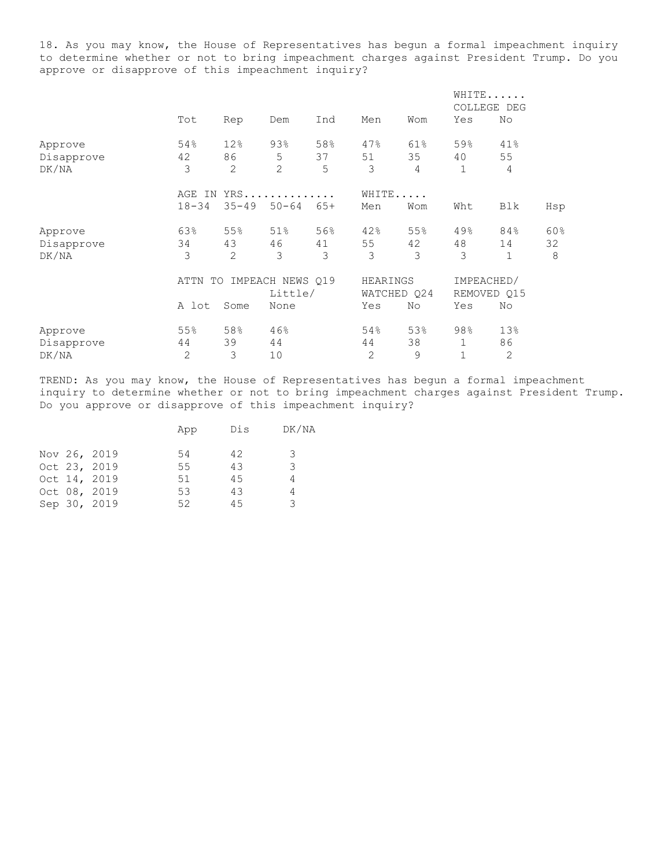18. As you may know, the House of Representatives has begun a formal impeachment inquiry to determine whether or not to bring impeachment charges against President Trump. Do you approve or disapprove of this impeachment inquiry?

|            |              |           |                  |       |              |             |     | WHITE<br>COLLEGE DEG |     |
|------------|--------------|-----------|------------------|-------|--------------|-------------|-----|----------------------|-----|
|            | Tot          | Rep       | Dem              | Ind   | Men          | Wom         | Yes | No                   |     |
| Approve    | 54%          | 12%       | 93%              | 58%   | 47%          | 61%         | 59% | 41%                  |     |
| Disapprove | 42           | 86        | 5                | 37    | 51           | 35          | 40  | 55                   |     |
| DK/NA      | 3            | 2         | 2                | 5     | 3            | 4           | 1   | 4                    |     |
|            | AGE<br>IN    |           | $YRS$            |       | WHITE.       | $\cdot$     |     |                      |     |
|            | $18 - 34$    | $35 - 49$ | $50 - 64$        | $65+$ | Men          | Wom         | Wht | Blk                  | Hsp |
| Approve    | 63%          | 55%       | 51%              | 56%   | 42%          | 55%         | 49% | 84%                  | 60% |
| Disapprove | 34           | 43        | 46               | 41    | 55           | 42          | 48  | 14                   | 32  |
| DK/NA      | 3            | 2         | 3                | 3     | 3            | 3           | 3   | $\mathbf{1}$         | 8   |
|            | ATTN         | TO        | IMPEACH NEWS Q19 |       | HEARINGS     |             |     | IMPEACHED/           |     |
|            |              |           | Little/          |       |              | WATCHED Q24 |     | REMOVED Q15          |     |
|            | A lot        | Some      | None             |       | Yes          | No          | Yes | No                   |     |
| Approve    | 55%          | 58%       | 46%              |       | 54%          | 53%         | 98% | 13%                  |     |
| Disapprove | 44           | 39        | 44               |       | 44           | 38          | 1   | 86                   |     |
| DK/NA      | $\mathbf{2}$ | 3         | 10               |       | $\mathbf{2}$ | 9           | 1   | 2                    |     |

TREND: As you may know, the House of Representatives has begun a formal impeachment inquiry to determine whether or not to bring impeachment charges against President Trump. Do you approve or disapprove of this impeachment inquiry?

| DK/NA<br>Dis<br>App            |  |
|--------------------------------|--|
| Nov 26, 2019<br>42<br>3<br>54  |  |
| Oct 23, 2019<br>3<br>43<br>55  |  |
| Oct 14, 2019<br>45<br>51<br>4  |  |
| Oct 08, 2019<br>43<br>53<br>4  |  |
| 3<br>Sep 30, 2019<br>52<br>4.5 |  |
|                                |  |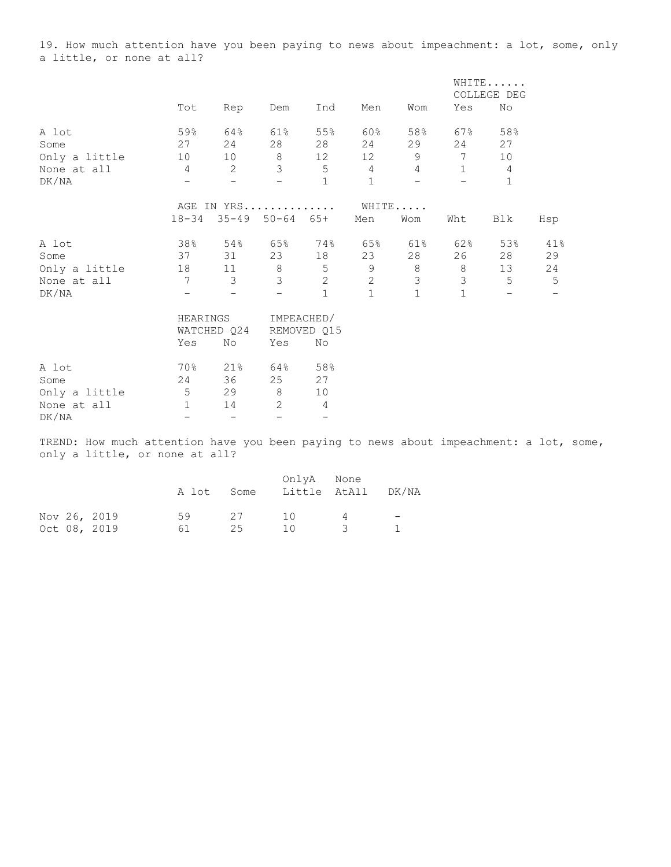19. How much attention have you been paying to news about impeachment: a lot, some, only a little, or none at all?

|                                                                                        |                          |                          |                          |                          |                 |                 |                          | WHITE                    |                          |  |
|----------------------------------------------------------------------------------------|--------------------------|--------------------------|--------------------------|--------------------------|-----------------|-----------------|--------------------------|--------------------------|--------------------------|--|
|                                                                                        |                          |                          |                          |                          |                 |                 |                          | COLLEGE DEG              |                          |  |
|                                                                                        | Tot                      | Rep                      | Dem                      | Ind                      | Men             | Wom             | Yes                      | No                       |                          |  |
| A lot                                                                                  | 59%                      | 64%                      | 61%                      | 55%                      | 60%             | 58%             | 67%                      | 58%                      |                          |  |
| Some                                                                                   | 27                       | 24                       | 28                       | 28                       | 24              | 29              | 24                       | 27                       |                          |  |
| Only a little                                                                          | 10                       | 10                       | 8                        | 12                       | 12              | 9               | 7                        | 10                       |                          |  |
| None at all                                                                            | 4                        | 2                        | $\mathfrak{Z}$           | $5\phantom{.0}$          | $4\overline{ }$ | $4\overline{ }$ | $\mathbf{1}$             | 4                        |                          |  |
| DK/NA                                                                                  | $-$                      | $-$                      | $\overline{\phantom{0}}$ | $\mathbf{1}$             | $\mathbf{1}$    | $-$             | $\overline{\phantom{0}}$ | $\mathbf{1}$             |                          |  |
|                                                                                        |                          | AGE IN YRS               |                          |                          |                 | WHITE           |                          |                          |                          |  |
|                                                                                        |                          | 18-34 35-49 50-64 65+    |                          |                          | Men             | Wom             | Wht                      | Blk                      | Hsp                      |  |
| A lot                                                                                  | 38%                      | 54%                      | <b>65%</b>               | 74%                      | 65%             | 61%             | 62%                      | 53%                      | 41%                      |  |
| Some                                                                                   | 37                       | 31                       | 23                       | 18                       | 23              | 28              | 26                       | 28                       | 29                       |  |
| Only a little                                                                          | 18                       | $11$ 8                   |                          | $5\phantom{.0}$          | $\overline{9}$  | 8               | 8                        | 13                       | 24                       |  |
| None at all                                                                            | $7\overline{ }$          | $\overline{3}$           | $\mathcal{E}$            | $\mathbf{2}$             | $\overline{c}$  | $\mathfrak{Z}$  | $\mathfrak{Z}$           | $5\overline{)}$          | 5                        |  |
| DK/NA                                                                                  | $\overline{\phantom{0}}$ | $\overline{\phantom{m}}$ | $\overline{\phantom{m}}$ | $\mathbf{1}$             | $\mathbf{1}$    | $\mathbf{1}$    | $\mathbf{1}$             | $\overline{\phantom{m}}$ | $\overline{\phantom{a}}$ |  |
|                                                                                        | HEARINGS                 |                          |                          | IMPEACHED/               |                 |                 |                          |                          |                          |  |
|                                                                                        |                          | WATCHED Q24              |                          | REMOVED Q15              |                 |                 |                          |                          |                          |  |
|                                                                                        | Yes                      | No                       | Yes                      | No                       |                 |                 |                          |                          |                          |  |
| A lot                                                                                  | 70%                      | 21%                      | 64%                      | 58%                      |                 |                 |                          |                          |                          |  |
| Some                                                                                   | 24                       | 36                       | 25                       | 27                       |                 |                 |                          |                          |                          |  |
| Only a little                                                                          | 5 <sub>5</sub>           | 29                       | 8 <sup>8</sup>           | 10                       |                 |                 |                          |                          |                          |  |
| None at all                                                                            | $\mathbf{1}$             | 14                       | 2                        | $\overline{4}$           |                 |                 |                          |                          |                          |  |
| DK/NA                                                                                  | $\overline{\phantom{0}}$ | $\overline{\phantom{m}}$ | $\qquad \qquad -$        | $\overline{\phantom{0}}$ |                 |                 |                          |                          |                          |  |
| TREND: How much attention have you been paying to news about impeachment: a lot, some, |                          |                          |                          |                          |                 |                 |                          |                          |                          |  |

only a little, or none at all?

|  |              | A lot | Some | OnlyA None<br>Little AtAll |     | DK/NA                    |
|--|--------------|-------|------|----------------------------|-----|--------------------------|
|  | Nov 26, 2019 | 59    | 27   | $\overline{10}$            |     | $\overline{\phantom{0}}$ |
|  | Oct 08, 2019 | 61.   | 25   | 1()                        | - 3 |                          |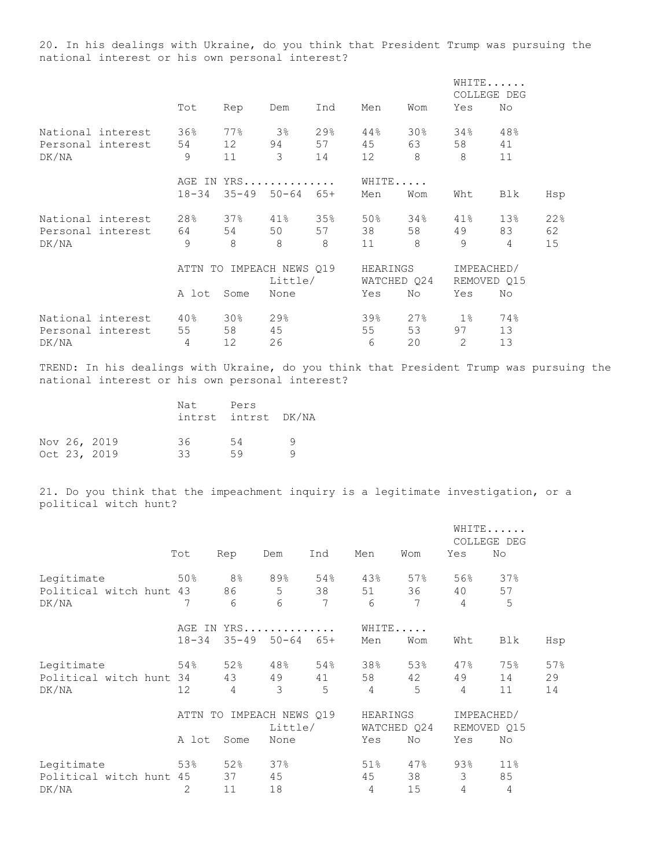20. In his dealings with Ukraine, do you think that President Trump was pursuing the national interest or his own personal interest?

|       |                   |            |           |                  |       |             |                 | WHITE<br>COLLEGE DEG |     |     |
|-------|-------------------|------------|-----------|------------------|-------|-------------|-----------------|----------------------|-----|-----|
|       |                   | Tot        | Rep       | Dem              | Ind   | Men         | Wom             | Yes                  | No  |     |
|       | National interest | 36%        | 77%       | 3 <sup>°</sup>   | 29%   | 44%         | 30 <sub>8</sub> | 34%                  | 48% |     |
|       | Personal interest | 54         | 12        | 94               | 57    | 45          | 63              | 58                   | 41  |     |
| DK/NA |                   | 9          | 11        | 3                | 14    | 12          | 8               | 8                    | 11  |     |
|       |                   | AGE IN     |           | $YRS$            |       | WHITE       |                 |                      |     |     |
|       |                   | $18 - 34$  | $35 - 49$ | $50 - 64$        | $65+$ | Men         | Wom             | Wht                  | Blk | Hsp |
|       | National interest | 28%        | 37%       | $41\%$           | 35%   | 50%         | 34%             | 41%                  | 13% | 22% |
|       | Personal interest | 64         | 54        | 50               | 57    | 38          | 58              | 49                   | 83  | 62  |
| DK/NA |                   | 9          | 8         | 8                | 8     | 11          | 8               | 9                    | 4   | 15  |
|       |                   | ATTN<br>TO |           | IMPEACH NEWS 019 |       | HEARINGS    |                 | IMPEACHED/           |     |     |
|       |                   |            |           | Little/          |       | WATCHED 024 |                 | REMOVED 015          |     |     |
|       |                   | A lot      | Some      | None             |       | Yes         | No              | Yes                  | No  |     |
|       | National interest | 40%        | 30%       | 29%              |       | 39%         | 27%             | $1\%$                | 74% |     |
|       | Personal interest | 55         | 58        | 45               |       | 55          | 53              | 97                   | 13  |     |
| DK/NA |                   | 4          | 12        | 26               |       | 6           | 20              | 2                    | 13  |     |

TREND: In his dealings with Ukraine, do you think that President Trump was pursuing the national interest or his own personal interest?

|  |                              | Nat       | Pers<br>intrst intrst DK/NA |   |
|--|------------------------------|-----------|-----------------------------|---|
|  | Nov 26, 2019<br>Oct 23, 2019 | 36.<br>33 | .54<br>59                   | a |

21. Do you think that the impeachment inquiry is a legitimate investigation, or a political witch hunt?

|                         |            |                |                  |       |          |             |     | WHITE<br>COLLEGE DEG |     |
|-------------------------|------------|----------------|------------------|-------|----------|-------------|-----|----------------------|-----|
|                         | Tot        | Rep            | Dem              | Ind   | Men      | Wom         | Yes | No                   |     |
| Legitimate              | 50%        | 8 <sup>°</sup> | 89%              | 54%   | 43%      | 57%         | 56% | 37%                  |     |
| Political witch hunt 43 |            | 86             | 5                | 38    | 51       | 36          | 40  | 57                   |     |
| DK/NA                   | 7          | 6              | 6                | 7     | 6        | 7           | 4   | 5                    |     |
|                         | AGE IN     |                | $YRS$            |       |          | WHITE       |     |                      |     |
|                         | $18 - 34$  | $35 - 49$      | $50 - 64$        | $65+$ | Men      | Wom         | Wht | Blk                  | Hsp |
| Legitimate              | 54%        | 52%            | 48%              | 54%   | 38%      | 53%         | 47% | 75%                  | 57% |
| Political witch hunt    | 34         | 43             | 49               | 41    | 58       | 42          | 49  | 14                   | 29  |
| DK/NA                   | 12         | 4              | 3                | 5     | 4        | 5           | 4   | 11                   | 14  |
|                         | ATTN<br>TO |                | IMPEACH NEWS Q19 |       | HEARINGS |             |     | IMPEACHED/           |     |
|                         |            |                | Little/          |       |          | WATCHED Q24 |     | REMOVED Q15          |     |
|                         | A lot      | Some           | None             |       | Yes      | No          | Yes | No                   |     |
| Legitimate              | 53%        | 52%            | 37%              |       | 51%      | 47%         | 93% | $11\%$               |     |
| Political witch hunt 45 |            | 37             | 45               |       | 45       | 38          | 3   | 85                   |     |
| DK/NA                   | 2          | 11             | 18               |       | 4        | 15          | 4   | 4                    |     |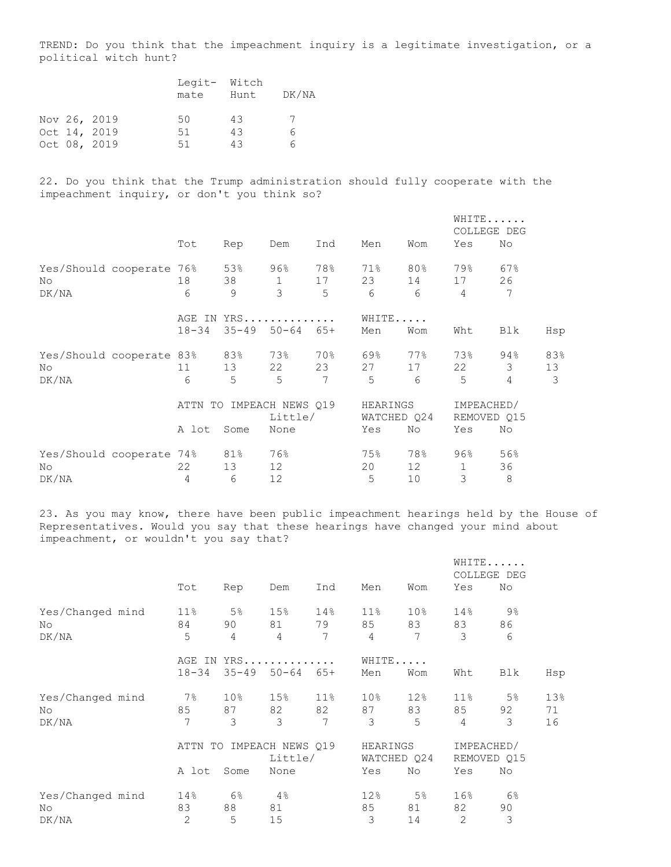TREND: Do you think that the impeachment inquiry is a legitimate investigation, or a political witch hunt?

|  |              | mate | Legit- Witch<br>Hunt | DK/NA |
|--|--------------|------|----------------------|-------|
|  | Nov 26, 2019 | 50   | 43                   | 7     |
|  | Oct 14, 2019 | 51   | 43                   | 6.    |
|  | Oct 08, 2019 | 51   | 43                   | ี คิ  |

22. Do you think that the Trump administration should fully cooperate with the impeachment inquiry, or don't you think so?

|                      |            |           |                  |       |          |             | COLLEGE    | WHITE<br>DEG |     |
|----------------------|------------|-----------|------------------|-------|----------|-------------|------------|--------------|-----|
|                      | Tot        | Rep       | Dem              | Ind   | Men      | Wom         | Yes        | No           |     |
| Yes/Should cooperate | 76%        | 53%       | 96%              | 78%   | 71%      | 80%         | 79%        | 67%          |     |
| No                   | 18         | 38        | 1                | 17    | 23       | 14          | 17         | 26           |     |
| DK/NA                | 6          | 9         | 3                | 5     | 6        | 6           | 4          | 7            |     |
|                      | AGE IN     |           | $YRS$            |       | WHITE    |             |            |              |     |
|                      | $18 - 34$  | $35 - 49$ | $50 - 64$        | $65+$ | Men      | Wom         | Wht        | Blk          | Hsp |
| Yes/Should cooperate | 83%        | 83%       | 73%              | 70%   | 69%      | 77%         | 73%        | 94%          | 83% |
| No                   | 11         | 13        | 22               | 23    | 27       | 17          | 22         | 3            | 13  |
| DK/NA                | 6          | 5         | 5                | 7     | 5        | 6           | 5          | 4            | 3   |
|                      | ATTN<br>TO |           | IMPEACH NEWS 019 |       | HEARINGS |             | IMPEACHED/ |              |     |
|                      |            |           | Little/          |       |          | WATCHED Q24 |            | REMOVED Q15  |     |
|                      | A lot      | Some      | None             |       | Yes      | No          | Yes        | No           |     |
| Yes/Should cooperate | 74%        | 81%       | 76%              |       | 75%      | 78%         | 96%        | 56%          |     |
| No                   | 22         | 13        | 12               |       | 20       | 12          | 1          | 36           |     |
| DK/NA                | 4          | 6         | 12               |       | 5        | 10          | 3          | 8            |     |

23. As you may know, there have been public impeachment hearings held by the House of Representatives. Would you say that these hearings have changed your mind about impeachment, or wouldn't you say that?

|                  |           |                 |                  |        |                 |                 |        | WHITE<br>COLLEGE DEG |     |
|------------------|-----------|-----------------|------------------|--------|-----------------|-----------------|--------|----------------------|-----|
|                  | Tot       | Rep             | Dem              | Ind    | Men             | Wom             | Yes    | No                   |     |
| Yes/Changed mind | $11\%$    | 5 <sup>°</sup>  | 15%              | 14%    | 11%             | 10 <sub>8</sub> | 14%    | $9\%$                |     |
| No               | 84        | 90              | 81               | 79     | 85              | 83              | 83     | 86                   |     |
| DK/NA            | 5         | 4               | 4                | 7      | 4               | 7               | 3      | 6                    |     |
|                  |           |                 | AGE IN YRS       |        |                 | WHITE           |        |                      |     |
|                  | $18 - 34$ | $35 - 49$       | $50 - 64$        | $65+$  | Men             | Wom             | Wht    | Blk                  | Hsp |
| Yes/Changed mind | $7\%$     | 10 <sup>°</sup> | 15 <sub>8</sub>  | $11\%$ | 10 <sub>8</sub> | 12%             | $11\%$ | 5 <sup>°</sup>       | 13% |
| No               | 85        | 87              | 82               | 82     | 87              | 83              | 85     | 92                   | 71  |
| DK/NA            | 7         | 3               | 3                | 7      | 3               | 5               | 4      | 3                    | 16  |
|                  | ATTN      | TO              | IMPEACH NEWS 019 |        | HEARINGS        |                 |        | IMPEACHED/           |     |
|                  |           |                 | Little/          |        |                 | WATCHED Q24     |        | REMOVED Q15          |     |
|                  | A lot     | Some            | None             |        | Yes             | No              | Yes    | No                   |     |
| Yes/Changed mind | 14%       | 6 <sup>°</sup>  | 4%               |        | 12%             | 5 <sup>°</sup>  | 16%    | 6%                   |     |
| No               | 83        | 88              | 81               |        | 85              | 81              | 82     | 90                   |     |
| DK/NA            | 2         | 5               | 15               |        | 3               | 14              | 2      | 3                    |     |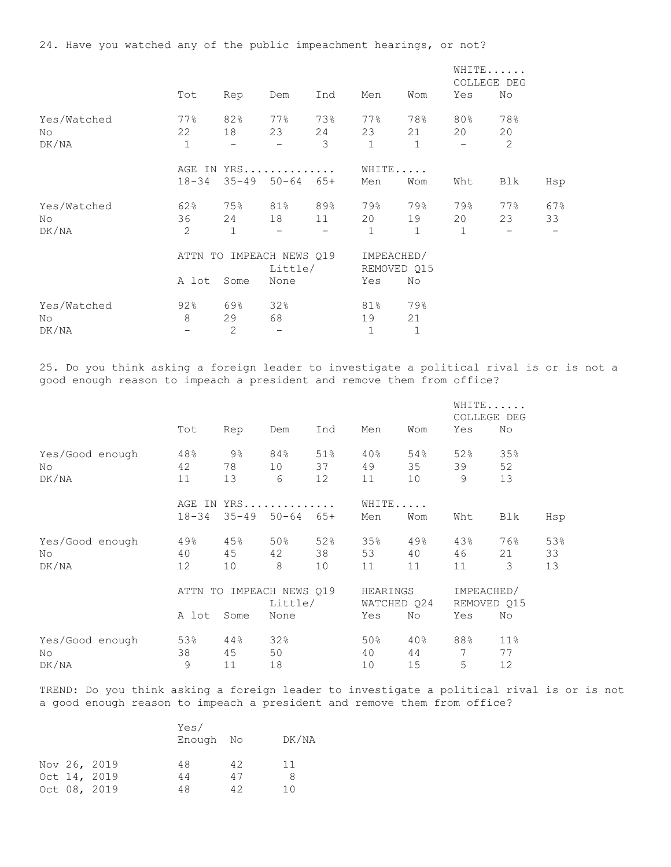|             |                                |                   |                        |       |              |              |                          | WHITE<br>COLLEGE DEG |     |  |
|-------------|--------------------------------|-------------------|------------------------|-------|--------------|--------------|--------------------------|----------------------|-----|--|
|             | Tot                            | Rep               | Dem                    | Ind   | Men          | Wom          | Yes                      | No                   |     |  |
| Yes/Watched | 77%                            | 82%               | 77%                    | 73%   | 77%          | 78%          | 80%                      | 78%                  |     |  |
| No          | 22                             | 18                | 23                     | 24    | 23           | 21           | 20                       | 20                   |     |  |
| DK/NA       | $\mathbf{1}$                   | $\qquad \qquad -$ | $\qquad \qquad -$      | 3     | $\mathbf{1}$ | $\mathbf{1}$ | $\overline{\phantom{0}}$ | $\mathbf{2}$         |     |  |
|             | YRS<br>AGE IN                  |                   |                        |       | WHITE        |              |                          |                      |     |  |
|             | $18 - 34$                      | $35 - 49$         | $50 - 64$              | $65+$ | Men          | Wom          | Wht                      | Blk                  | Hsp |  |
| Yes/Watched | 62%                            | 75%               | 81%                    | 89%   | 79%          | 79%          | 79%                      | 77%                  | 67% |  |
| No          | 36                             | 24                | 18                     | 11    | 20           | 19           | 20                       | 23                   | 33  |  |
| DK/NA       | $\overline{2}$                 | 1                 | —                      |       | $\mathbf 1$  | 1            | $\mathbf{1}$             |                      |     |  |
|             | IMPEACH NEWS 019<br>ATTN<br>TO |                   |                        |       |              | IMPEACHED/   |                          |                      |     |  |
|             |                                |                   | Little/<br>REMOVED Q15 |       |              |              |                          |                      |     |  |
|             | A lot                          | Some              | None                   |       | Yes          | No           |                          |                      |     |  |
| Yes/Watched | 92%                            | 69%               | 32%                    |       | 81%          | 79%          |                          |                      |     |  |
| No.         | 8                              | 29                | 68                     |       | 19           | 21           |                          |                      |     |  |
| DK/NA       | $\overline{\phantom{0}}$       | 2                 |                        |       | 1            | $\mathbf{1}$ |                          |                      |     |  |

25. Do you think asking a foreign leader to investigate a political rival is or is not a good enough reason to impeach a president and remove them from office?

|                 |            |                     |                  |             |          |     | WHITE<br>COLLEGE DEG |                 |     |  |
|-----------------|------------|---------------------|------------------|-------------|----------|-----|----------------------|-----------------|-----|--|
|                 | Tot        | Rep                 | Dem              | Ind         | Men      | Wom | Yes                  | No              |     |  |
| Yes/Good enough | 48%        | $9\frac{6}{6}$      | 84%              | 51%         | 40%      | 54% | 52%                  | 35%             |     |  |
| No              | 42         | 78                  | 10               | 37          | 49       | 35  | 39                   | 52              |     |  |
| DK/NA           | 11         | 13                  | 6                | 12          | 11       | 10  | 9                    | 13              |     |  |
|                 |            |                     | AGE IN YRS       |             | WHITE    |     |                      |                 |     |  |
|                 | $18 - 34$  | $35 - 49$ $50 - 64$ |                  | $65+$       | Men      | Wom | Wht                  | Blk             | Hsp |  |
| Yes/Good enough | 49%        | 45%                 | 50%              | 52%         | 35%      | 49% | 43%                  | 76%             | 53% |  |
| No              | 40         | 45                  | 42               | 38          | 53       | 40  | 46                   | 21              | 33  |  |
| DK/NA           | 12         | 10                  | 8                | 10          | 11       | 11  | 11                   | 3               | 13  |  |
|                 | ATTN<br>TO |                     | IMPEACH NEWS 019 |             | HEARINGS |     | IMPEACHED/           |                 |     |  |
|                 |            |                     | Little/          | WATCHED Q24 |          |     | REMOVED Q15          |                 |     |  |
|                 | A lot      | Some                | None             |             | Yes      | No  | Yes                  | No              |     |  |
| Yes/Good enough | 53%        | $44\,$              | 32%              |             | 50%      | 40% | 88%                  | 11 <sub>8</sub> |     |  |
| No              | 38         | 45                  | 50               |             | 40       | 44  | 7                    | 77              |     |  |
| DK/NA           | 9          | 11                  | 18               |             | 10       | 15  | 5                    | 12              |     |  |

TREND: Do you think asking a foreign leader to investigate a political rival is or is not a good enough reason to impeach a president and remove them from office?

|  |              | Yes/<br>Enough No |    | DK/NA |
|--|--------------|-------------------|----|-------|
|  | Nov 26, 2019 | 48                | 42 | 11    |
|  | Oct 14, 2019 | 44                | 47 | 8     |
|  | Oct 08, 2019 | 48                | 42 | 10    |